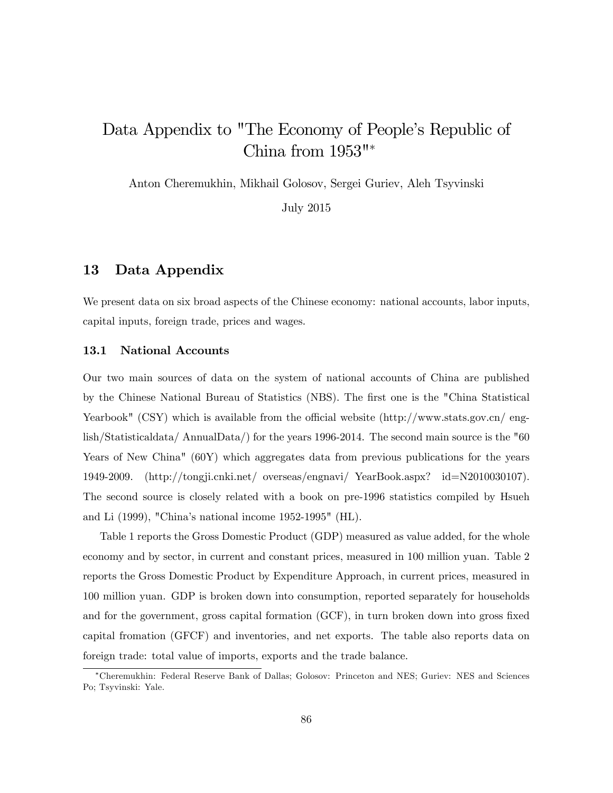# Data Appendix to "The Economy of People's Republic of China from 1953"

Anton Cheremukhin, Mikhail Golosov, Sergei Guriev, Aleh Tsyvinski

July 2015

# 13 Data Appendix

We present data on six broad aspects of the Chinese economy: national accounts, labor inputs, capital inputs, foreign trade, prices and wages.

#### 13.1 National Accounts

Our two main sources of data on the system of national accounts of China are published by the Chinese National Bureau of Statistics (NBS). The first one is the "China Statistical Yearbook" (CSY) which is available from the official website  $(\text{http://www.stats.gov.cn/ eng-})$ lish/Statisticaldata/ AnnualData/) for the years 1996-2014. The second main source is the "60 Years of New China" (60Y) which aggregates data from previous publications for the years 1949-2009. (http://tongji.cnki.net/ overseas/engnavi/ YearBook.aspx? id=N2010030107). The second source is closely related with a book on pre-1996 statistics compiled by Hsueh and Li (1999), "Chinaís national income 1952-1995" (HL).

Table 1 reports the Gross Domestic Product (GDP) measured as value added, for the whole economy and by sector, in current and constant prices, measured in 100 million yuan. Table 2 reports the Gross Domestic Product by Expenditure Approach, in current prices, measured in 100 million yuan. GDP is broken down into consumption, reported separately for households and for the government, gross capital formation (GCF), in turn broken down into gross fixed capital fromation (GFCF) and inventories, and net exports. The table also reports data on foreign trade: total value of imports, exports and the trade balance.

Cheremukhin: Federal Reserve Bank of Dallas; Golosov: Princeton and NES; Guriev: NES and Sciences Po; Tsyvinski: Yale.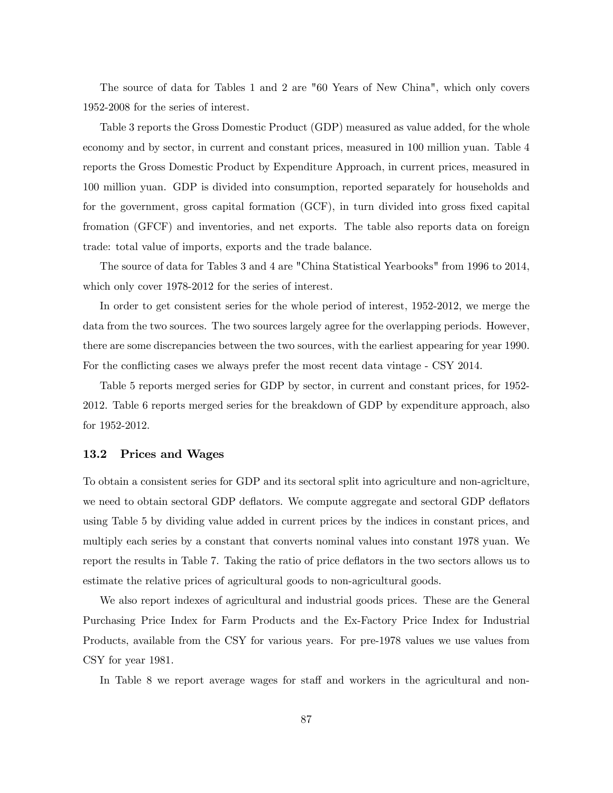The source of data for Tables 1 and 2 are "60 Years of New China", which only covers 1952-2008 for the series of interest.

Table 3 reports the Gross Domestic Product (GDP) measured as value added, for the whole economy and by sector, in current and constant prices, measured in 100 million yuan. Table 4 reports the Gross Domestic Product by Expenditure Approach, in current prices, measured in 100 million yuan. GDP is divided into consumption, reported separately for households and for the government, gross capital formation (GCF), in turn divided into gross fixed capital fromation (GFCF) and inventories, and net exports. The table also reports data on foreign trade: total value of imports, exports and the trade balance.

The source of data for Tables 3 and 4 are "China Statistical Yearbooks" from 1996 to 2014, which only cover 1978-2012 for the series of interest.

In order to get consistent series for the whole period of interest, 1952-2012, we merge the data from the two sources. The two sources largely agree for the overlapping periods. However, there are some discrepancies between the two sources, with the earliest appearing for year 1990. For the conflicting cases we always prefer the most recent data vintage - CSY 2014.

Table 5 reports merged series for GDP by sector, in current and constant prices, for 1952- 2012. Table 6 reports merged series for the breakdown of GDP by expenditure approach, also for 1952-2012.

## 13.2 Prices and Wages

To obtain a consistent series for GDP and its sectoral split into agriculture and non-agriclture, we need to obtain sectoral GDP deflators. We compute aggregate and sectoral GDP deflators using Table 5 by dividing value added in current prices by the indices in constant prices, and multiply each series by a constant that converts nominal values into constant 1978 yuan. We report the results in Table 7. Taking the ratio of price deflators in the two sectors allows us to estimate the relative prices of agricultural goods to non-agricultural goods.

We also report indexes of agricultural and industrial goods prices. These are the General Purchasing Price Index for Farm Products and the Ex-Factory Price Index for Industrial Products, available from the CSY for various years. For pre-1978 values we use values from CSY for year 1981.

In Table 8 we report average wages for staff and workers in the agricultural and non-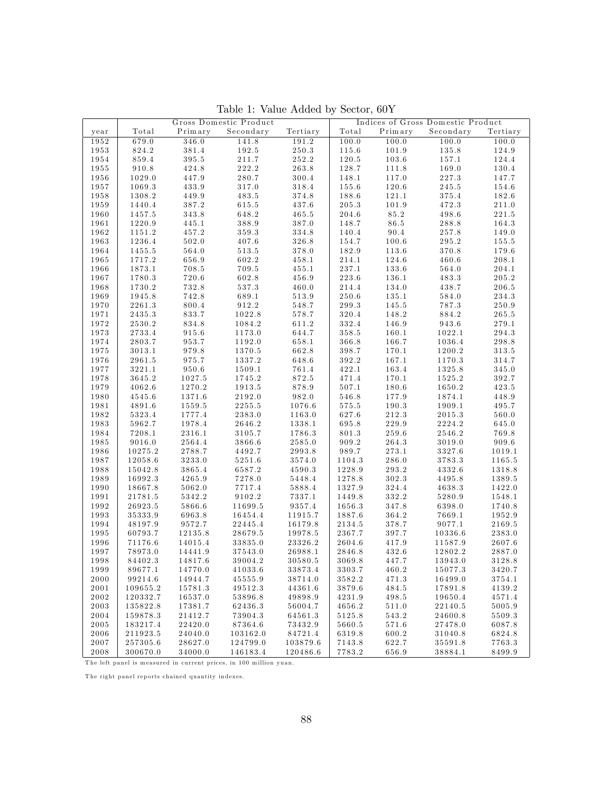|              | Gross Domestic Product |         |           | Indices of Gross Domestic Product |        |         |           |                  |
|--------------|------------------------|---------|-----------|-----------------------------------|--------|---------|-----------|------------------|
| year         | Total                  | Primary | Secondary | Tertiary                          | Total  | Primary | Secondary | Tertiary         |
| 1952         | 679.0                  | 346.0   | 141.8     | 191.2                             | 100.0  | 100.0   | 100.0     | 100.0            |
| 1953         | 824.2                  | 381.4   | 192.5     | 250.3                             | 115.6  | 101.9   | 135.8     | 124.9            |
| 1954         | 859.4                  | 395.5   | 211.7     | 252.2                             | 120.5  | 103.6   | 157.1     | 124.4            |
| 1955         | 910.8                  | 424.8   | 222.2     | 263.8                             | 128.7  | 111.8   | 169.0     | 130.4            |
| 1956         | 1029.0                 | 447.9   | 280.7     | 300.4                             | 148.1  | 117.0   | 227.3     | 147.7            |
| 1957         | 1069.3                 | 433.9   | 317.0     | 318.4                             | 155.6  | 120.6   | 245.5     | 154.6            |
| 1958         | 1308.2                 | 449.9   | 483.5     | 374.8                             | 188.6  | 121.1   | 375.4     | 182.6            |
| 1959         | 1440.4                 | 387.2   | 615.5     | 437.6                             | 205.3  | 101.9   | 472.3     | 211.0            |
| 1960         | 1457.5                 | 343.8   | 648.2     | 465.5                             | 204.6  | 85.2    | 498.6     | 221.5            |
|              | 1220.9                 |         |           |                                   |        |         |           |                  |
| 1961         |                        | 445.1   | 388.9     | 387.0                             | 148.7  | 86.5    | 288.8     | 164.3            |
| 1962         | 1151.2                 | 457.2   | 359.3     | 334.8                             | 140.4  | 90.4    | 257.8     | 149.0            |
| 1963         | 1236.4                 | 502.0   | 407.6     | 326.8                             | 154.7  | 100.6   | 295.2     | 155.5            |
| 1964         | 1455.5                 | 564.0   | 513.5     | 378.0                             | 182.9  | 113.6   | 370.8     | 179.6            |
| 1965         | 1717.2                 | 656.9   | 602.2     | 458.1                             | 214.1  | 124.6   | 460.6     | 208.1            |
| 1966         | 1873.1                 | 708.5   | 709.5     | 455.1                             | 237.1  | 133.6   | 564.0     | 204.1            |
| 1967         | 1780.3                 | 720.6   | 602.8     | 456.9                             | 223.6  | 136.1   | 483.3     | 205.2            |
| 1968         | 1730.2                 | 732.8   | 537.3     | 460.0                             | 214.4  | 134.0   | 438.7     | 206.5            |
| 1969         | 1945.8                 | 742.8   | 689.1     | 513.9                             | 250.6  | 135.1   | 584.0     | 234.3            |
| 1970         | 2261.3                 | 800.4   | 912.2     | 548.7                             | 299.3  | 145.5   | 787.3     | 250.9            |
| 1971         | 2435.3                 | 833.7   | 1022.8    | 578.7                             | 320.4  | 148.2   | 884.2     | 265.5            |
| 1972         | 2530.2                 | 834.8   | 1084.2    | 611.2                             | 332.4  | 146.9   | 943.6     | 279.1            |
| 1973         | 2733.4                 | 915.6   | 1173.0    | 644.7                             | 358.5  | 160.1   | 1022.1    | 294.3            |
| 1974         | 2803.7                 | 953.7   | 1192.0    | 658.1                             | 366.8  | 166.7   | 1036.4    | 298.8            |
| 1975         | 3013.1                 | 979.8   | 1370.5    | 662.8                             | 398.7  | 170.1   | 1200.2    | 313.5            |
| 1976         | 2961.5                 | 975.7   | 1337.2    | 648.6                             | 392.2  | 167.1   | 1170.3    | 314.7            |
| 1977         | 3221.1                 | 950.6   | 1509.1    | 761.4                             | 422.1  | 163.4   | 1325.8    | 345.0            |
| 1978         | 3645.2                 | 1027.5  | 1745.2    | 872.5                             | 471.4  | 170.1   | 1525.2    | 392.7            |
| 1979         | $4062.6\,$             | 1270.2  | 1913.5    | 878.9                             | 507.1  | 180.6   | 1650.2    | 423.5            |
| 1980         | 4545.6                 | 1371.6  | 2192.0    | 982.0                             | 546.8  | 177.9   | 1874.1    | 448.9            |
| 1981         | 4891.6                 | 1559.5  | 2255.5    | 1076.6                            | 575.5  | 190.3   | 1909.1    | 495.7            |
| 1982         | 5323.4                 | 1777.4  | 2383.0    | 1163.0                            | 627.6  | 212.3   | 2015.3    | 560.0            |
| 1983         | 5962.7                 | 1978.4  | 2646.2    | 1338.1                            | 695.8  | 229.9   | 2224.2    | 645.0            |
| 1984         | 7208.1                 | 2316.1  | 3105.7    | 1786.3                            | 801.3  | 259.6   | 2546.2    | 769.8            |
| 1985         | 9016.0                 | 2564.4  | 3866.6    | 2585.0                            | 909.2  | 264.3   | 3019.0    | 909.6            |
| 1986         | 10275.2                | 2788.7  | 4492.7    | 2993.8                            | 989.7  | 273.1   | 3327.6    | 1019.1           |
| 1987         | 12058.6                | 3233.0  | 5251.6    | 3574.0                            | 1104.3 | 286.0   | 3783.3    | 1165.5           |
| 1988         | 15042.8                | 3865.4  | 6587.2    | 4590.3                            | 1228.9 | 293.2   | 4332.6    | 1318.8           |
| 1989         | 16992.3                | 4265.9  | 7278.0    | 5448.4                            | 1278.8 | 302.3   | 4495.8    |                  |
| 1990         | 18667.8                | 5062.0  | 7717.4    | 5888.4                            | 1327.9 | 324.4   | 4638.3    | 1389.5<br>1422.0 |
|              |                        |         |           |                                   |        |         |           |                  |
| 1991         | 21781.5                | 5342.2  | 9102.2    | 7337.1<br>9357.4                  | 1449.8 | 332.2   | 5280.9    | 1548.1           |
| 1992         | 26923.5                | 5866.6  | 11699.5   |                                   | 1656.3 | 347.8   | 6398.0    | 1740.8           |
| 1993         | 35333.9                | 6963.8  | 16454.4   | 11915.7                           | 1887.6 | 364.2   | 7669.1    | 1952.9           |
| 1994         | 48197.9                | 9572.7  | 22445.4   | 16179.8                           | 2134.5 | 378.7   | 9077.1    | 2169.5           |
| 1995         | 60793.7                | 12135.8 | 28679.5   | 19978.5                           | 2367.7 | 397.7   | 10336.6   | 2383.0           |
| 1996         | 71176.6                | 14015.4 | 33835.0   | 23326.2                           | 2604.6 | 417.9   | 11587.9   | 2607.6           |
| 1997         | 78973.0                | 14441.9 | 37543.0   | $26988.1\,$                       | 2846.8 | 432.6   | 12802.2   | 2887.0           |
| 1998         | 84402.3                | 14817.6 | 39004.2   | 30580.5                           | 3069.8 | 447.7   | 13943.0   | 3128.8           |
| 1999         | 89677.1                | 14770.0 | 41033.6   | 33873.4                           | 3303.7 | 460.2   | 15077.3   | 3420.7           |
| 2000         | 99214.6                | 14944.7 | 45555.9   | 38714.0                           | 3582.2 | 471.3   | 16499.0   | 3754.1           |
| $2\,0\,0\,1$ | 109655.2               | 15781.3 | 49512.3   | 44361.6                           | 3879.6 | 484.5   | 17891.8   | 4139.2           |
| 2002         | 120332.7               | 16537.0 | 53896.8   | 49898.9                           | 4231.9 | 498.5   | 19650.4   | 4571.4           |
| 2003         | 135822.8               | 17381.7 | 62436.3   | 56004.7                           | 4656.2 | 511.0   | 22140.5   | 5005.9           |
| 2004         | 159878.3               | 21412.7 | 73904.3   | 64561.3                           | 5125.8 | 543.2   | 24600.8   | 5509.3           |
| $2\,0\,0\,5$ | 183217.4               | 22420.0 | 87364.6   | 73432.9                           | 5660.5 | 571.6   | 27478.0   | 6087.8           |
| 2006         | 211923.5               | 24040.0 | 103162.0  | 84721.4                           | 6319.8 | 600.2   | 31040.8   | 6824.8           |
| 2007         | 257305.6               | 28627.0 | 124799.0  | 103879.6                          | 7143.8 | 622.7   | 35591.8   | 7763.3           |
| 2008         | 300670.0               | 34000.0 | 146183.4  | 120486.6                          | 7783.2 | 656.9   | 38884.1   | 8499.9           |

Table 1: Value Added by Sector, 60Y

The left panel is measured in current prices, in 100 million yuan.

The right panel reports chained quantity indexes.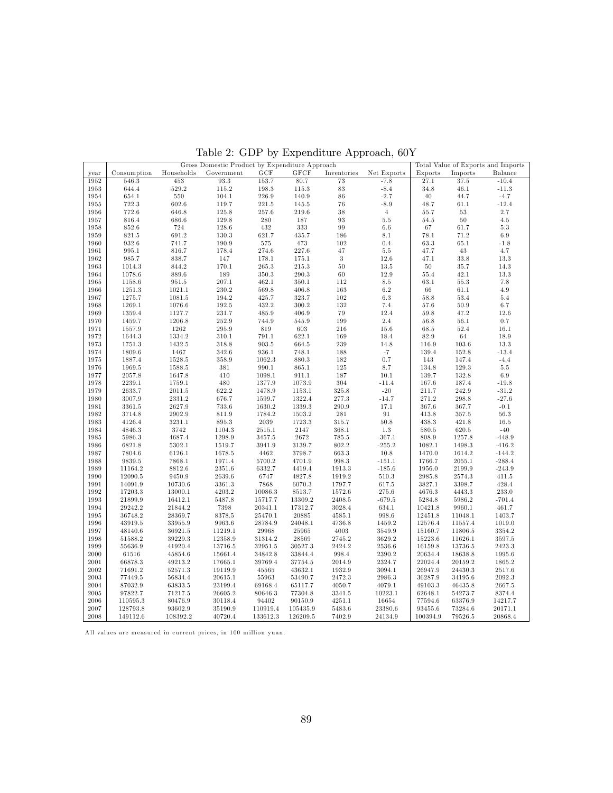| GCF<br><b>GFCF</b><br>Net Exports<br>Imports<br>Balance<br>Consumption<br>Households<br>Government<br>Inventories<br>Exports<br>year<br>80.7<br>453<br>93.3<br>153.7<br>$\overline{73}$<br>27.1<br>37.5<br>$-10.4$<br>1952<br>546.3<br>$-7.8$<br>644.4<br>$529.2\,$<br>115.2<br>198.3<br>115.3<br>$\bf 83$<br>$-8.4$<br>34.8<br>46.1<br>$-11.3$<br>1953<br>$550\,$<br>104.1<br>226.9<br>$86\,$<br>1954<br>654.1<br>140.9<br>$-2.7$<br>40<br>44.7<br>$-4.7$<br>$-8.9$<br>722.3<br>602.6<br>119.7<br>221.5<br>$76\,$<br>48.7<br>61.1<br>$-12.4$<br>1955<br>145.5<br>$125.8\,$<br>38<br>$\,4$<br>$2.7\,$<br>1956<br>772.6<br>646.8<br>257.6<br>219.6<br>55.7<br>$53\,$<br>129.8<br>93<br>$50\,$<br>$686.6\,$<br>$\,280$<br>187<br>$5.5\,$<br>54.5<br>$4.5\,$<br>1957<br>816.4<br>128.6<br>$\,99$<br>$6.6\,$<br>67<br>1958<br>852.6<br>724<br>432<br>333<br>61.7<br>$5.3\,$<br>$130.3\,$<br>$71.2\,$<br>1959<br>821.5<br>691.2<br>621.7<br>435.7<br>186<br>$8.1\,$<br>78.1<br>6.9<br>65.1<br>190.9<br>473<br>102<br>0.4<br>$-1.8$<br>1960<br>932.6<br>741.7<br>575<br>63.3<br>178.4<br>47<br>47.7<br>1961<br>995.1<br>816.7<br>274.6<br>227.6<br>$5.5\,$<br>$43\,$<br>4.7<br>147<br>3<br>47.1<br>$33.8\,$<br>13.3<br>1962<br>985.7<br>838.7<br>178.1<br>175.1<br>12.6<br>35.7<br>170.1<br>$50\,$<br>1963<br>844.2<br>$265.3\,$<br>215.3<br>13.5<br>$50\,$<br>14.3<br>1014.3<br>189<br>$60\,$<br>12.9<br>42.1<br>13.3<br>1964<br>889.6<br>350.3<br>290.3<br>55.4<br>1078.6<br>$207.1\,$<br>1965<br>951.5<br>462.1<br>350.1<br>112<br>$8.5\,$<br>63.1<br>$55.3\,$<br>7.8<br>1158.6<br>$230.2\,$<br>163<br>$6.2\,$<br>$66\,$<br>$61.1\,$<br>$4.9\,$<br>1966<br>1021.1<br>569.8<br>406.8<br>1251.3<br>$194.2\,$<br>$102\,$<br>$6.3\,$<br>1275.7<br>425.7<br>323.7<br>58.8<br>$53.4\,$<br>$5.4\,$<br>1967<br>1081.5<br>$192.5\,$<br>$132\,$<br>57.6<br>$50.9\,$<br>$7.4\,$<br>1968<br>1269.1<br>1076.6<br>432.2<br>$300.2\,$<br>6.7<br>$231.7\,$<br>$79\,$<br>47.2<br>1969<br>485.9<br>406.9<br>12.4<br>$59.8\,$<br>12.6<br>1359.4<br>1127.7<br>252.9<br>199<br>$2.4\,$<br>$56.1\,$<br>744.9<br>$545.9\,$<br>$56.8\,$<br>$0.7\,$<br>1970<br>1459.7<br>1206.8<br>295.9<br>$216\,$<br>68.5<br>52.4<br>1262<br>819<br>$603\,$<br>15.6<br>16.1<br>1971<br>1557.9<br>169<br>310.1<br>18.4<br>$82.9\,$<br>$64\,$<br>1972<br>1644.3<br>1334.2<br>791.1<br>622.1<br>18.9<br>318.8<br>$\bf 239$<br>116.9<br>1973<br>1751.3<br>1432.5<br>903.5<br>664.5<br>14.8<br>103.6<br>13.3<br>$342.6\,$<br>188<br>$^{\rm -7}$<br>139.4<br>$\begin{array}{c} 152.8 \\ 147.4 \end{array}$<br>$-13.4$<br>1974<br>1809.6<br>1467<br>936.1<br>748.1<br>0.7<br>358.9<br>$182\,$<br>1975<br>1528.5<br>1062.3<br>880.3<br>143<br>$-4.4$<br>1887.4<br>$125\,$<br>1976<br>$381\,$<br>8.7<br>134.8<br>129.3<br>$5.5\,$<br>1969.5<br>1588.5<br>990.1<br>865.1<br>410<br>$187\,$<br>139.7<br>$\begin{array}{c} 132.8 \\ 187.4 \end{array}$<br>1977<br>1098.1<br>911.1<br>10.1<br>$6.9\,$<br>2057.8<br>1647.8<br>304<br>$480\,$<br>1377.9<br>1073.9<br>$-11.4$<br>167.6<br>$-19.8$<br>1978<br>2239.1<br>1759.1<br>325.8<br>$-20$<br>211.7<br>1979<br>2633.7<br>2011.5<br>622.2<br>1478.9<br>1153.1<br>242.9<br>$-31.2$<br>277.3<br>271.2<br>1980<br>3007.9<br>2331.2<br>676.7<br>1599.7<br>1322.4<br>$-14.7$<br>$298.8\,$<br>$-27.6$<br>290.9<br>367.6<br>367.7<br>$\text{-}0.1$<br>1981<br>3361.5<br>2627.9<br>733.6<br>1630.2<br>1339.3<br>17.1<br>811.9<br>$357.5\,$<br>1982<br>2902.9<br>1784.2<br>1503.2<br>$\bf 281$<br>$\rm 91$<br>413.8<br>$56.3\,$<br>3714.8<br>895.3<br>2039<br>315.7<br>50.8<br>421.8<br>16.5<br>1983<br>4126.4<br>3231.1<br>1723.3<br>438.3<br>3742<br>1104.3<br>368.1<br>620.5<br>1984<br>4846.3<br>2515.1<br>$2147\,$<br>$1.3\,$<br>580.5<br>$-40$<br>1298.9<br>2672<br>785.5<br>1257.8<br>1985<br>$5986.3\,$<br>4687.4<br>3457.5<br>$-367.1$<br>808.9<br>$-448.9$<br>802.2<br>$-255.2$<br>1498.3<br>5302.1<br>1519.7<br>3941.9<br>3139.7<br>1082.1<br>$-416.2$<br>1986<br>6821.8<br>$663.3\,$<br>$-144.2$<br>1987<br>6126.1<br>1678.5<br>4462<br>3798.7<br>10.8<br>1470.0<br>1614.2<br>7804.6<br>7868.1<br>1971.4<br>5700.2<br>4701.9<br>$998.3\,$<br>1766.7<br>2055.1<br>$-288.4$<br>1988<br>9839.5<br>$-151.1$<br>$1913.3\,$<br>$2351.6\,$<br>6332.7<br>1989<br>11164.2<br>8812.6<br>4419.4<br>$-185.6$<br>1956.0<br>2199.9<br>$-243.9$<br>2639.6<br>6747<br>4827.8<br>1919.2<br>510.3<br>2985.8<br>411.5<br>1990<br>12090.5<br>9450.9<br>2574.3<br>7868<br>428.4<br>1991<br>14091.9<br>10730.6<br>3361.3<br>6070.3<br>1797.7<br>617.5<br>3827.1<br>3398.7<br>4203.2<br>10086.3<br>1572.6<br>4676.3<br>4443.3<br>233.0<br>1992<br>17203.3<br>13000.1<br>8513.7<br>275.6<br>5487.8<br>1993<br>21899.9<br>16412.1<br>15717.7<br>13309.2<br>2408.5<br>$-679.5$<br>5284.8<br>5986.2<br>$-701.4$<br>1994<br>29242.2<br>21844.2<br>7398<br>20341.1<br>17312.7<br>3028.4<br>634.1<br>10421.8<br>9960.1<br>461.7<br>1995<br>36748.2<br>28369.7<br>8378.5<br>25470.1<br>998.6<br>20885<br>4585.1<br>12451.8<br>11048.1<br>1403.7<br>1996<br>43919.5<br>33955.9<br>9963.6<br>28784.9<br>4736.8<br>1459.2<br>12576.4<br>$1019.0\,$<br>24048.1<br>11557.4<br>36921.5<br>29968<br>25965<br>$4003\,$<br>3549.9<br>1997<br>48140.6<br>11219.1<br>15160.7<br>11806.5<br>3354.2<br>1998<br>51588.2<br>39229.3<br>12358.9<br>31314.2<br>28569<br>2745.2<br>3629.2<br>15223.6<br>3597.5<br>11626.1<br>1999<br>2424.2<br>55636.9<br>41920.4<br>13716.5<br>32951.5<br>30527.3<br>2536.6<br>16159.8<br>13736.5<br>2423.3<br>2000<br>34842.8<br>998.4<br>2390.2<br>20634.4<br>61516<br>45854.6<br>15661.4<br>33844.4<br>18638.8<br>1995.6<br>2001<br>66878.3<br>49213.2<br>17665.1<br>39769.4<br>37754.5<br>2014.9<br>2324.7<br>22024.4<br>20159.2<br>1865.2<br>1932.9<br>2002<br>71691.2<br>52571.3<br>19119.9<br>45565<br>43632.1<br>26947.9<br>2517.6<br>3094.1<br>24430.3<br>2003<br>77449.5<br>55963<br>$2472.3\,$<br>36287.9<br>56834.4<br>20615.1<br>53490.7<br>2986.3<br>34195.6<br>2092.3<br>2004<br>87032.9<br>63833.5<br>4050.7<br>49103.3<br>23199.4<br>69168.4<br>65117.7<br>4079.1<br>46435.8<br>2667.5<br>97822.7<br>71217.5<br>26605.2<br>80646.3<br>77304.8<br>$3341.5\,$<br>10223.1<br>62648.1<br>54273.7<br>8374.4<br>$\,2005\,$<br>94402<br>4251.1<br>14217.7<br>2006<br>110595.3<br>80476.9<br>30118.4<br>90150.9<br>16654<br>77594.6<br>63376.9<br>128793.8<br>93602.9<br>35190.9<br>$5483.6\,$<br>93455.6<br>20171.1<br>2007<br>110919.4<br>105435.9<br>23380.6<br>73284.6 |      |          |          | Gross Domestic Product by Expenditure Approach |          |          |        |         |          |         | Total Value of Exports and Imports |
|------------------------------------------------------------------------------------------------------------------------------------------------------------------------------------------------------------------------------------------------------------------------------------------------------------------------------------------------------------------------------------------------------------------------------------------------------------------------------------------------------------------------------------------------------------------------------------------------------------------------------------------------------------------------------------------------------------------------------------------------------------------------------------------------------------------------------------------------------------------------------------------------------------------------------------------------------------------------------------------------------------------------------------------------------------------------------------------------------------------------------------------------------------------------------------------------------------------------------------------------------------------------------------------------------------------------------------------------------------------------------------------------------------------------------------------------------------------------------------------------------------------------------------------------------------------------------------------------------------------------------------------------------------------------------------------------------------------------------------------------------------------------------------------------------------------------------------------------------------------------------------------------------------------------------------------------------------------------------------------------------------------------------------------------------------------------------------------------------------------------------------------------------------------------------------------------------------------------------------------------------------------------------------------------------------------------------------------------------------------------------------------------------------------------------------------------------------------------------------------------------------------------------------------------------------------------------------------------------------------------------------------------------------------------------------------------------------------------------------------------------------------------------------------------------------------------------------------------------------------------------------------------------------------------------------------------------------------------------------------------------------------------------------------------------------------------------------------------------------------------------------------------------------------------------------------------------------------------------------------------------------------------------------------------------------------------------------------------------------------------------------------------------------------------------------------------------------------------------------------------------------------------------------------------------------------------------------------------------------------------------------------------------------------------------------------------------------------------------------------------------------------------------------------------------------------------------------------------------------------------------------------------------------------------------------------------------------------------------------------------------------------------------------------------------------------------------------------------------------------------------------------------------------------------------------------------------------------------------------------------------------------------------------------------------------------------------------------------------------------------------------------------------------------------------------------------------------------------------------------------------------------------------------------------------------------------------------------------------------------------------------------------------------------------------------------------------------------------------------------------------------------------------------------------------------------------------------------------------------------------------------------------------------------------------------------------------------------------------------------------------------------------------------------------------------------------------------------------------------------------------------------------------------------------------------------------------------------------------------------------------------------------------------------------------------------------------------------------------------------------------------------------------------------------------------------------------------------------------------------------------------------------------------------------------------------------------------------------------------------------------------------------------------------------------------------------------------------------------------------------------------------------------------------------------------------------------------------------------------------------------------------------------------------------------------------------------------------------------------------------------------------------------------------------------------------------------------------------------------------------------------------------------------------------------------------------------------------------------------------------------------------------------------------------------------------------------------------------------------------------------------------------------------------------------------------------------------------|------|----------|----------|------------------------------------------------|----------|----------|--------|---------|----------|---------|------------------------------------|
|                                                                                                                                                                                                                                                                                                                                                                                                                                                                                                                                                                                                                                                                                                                                                                                                                                                                                                                                                                                                                                                                                                                                                                                                                                                                                                                                                                                                                                                                                                                                                                                                                                                                                                                                                                                                                                                                                                                                                                                                                                                                                                                                                                                                                                                                                                                                                                                                                                                                                                                                                                                                                                                                                                                                                                                                                                                                                                                                                                                                                                                                                                                                                                                                                                                                                                                                                                                                                                                                                                                                                                                                                                                                                                                                                                                                                                                                                                                                                                                                                                                                                                                                                                                                                                                                                                                                                                                                                                                                                                                                                                                                                                                                                                                                                                                                                                                                                                                                                                                                                                                                                                                                                                                                                                                                                                                                                                                                                                                                                                                                                                                                                                                                                                                                                                                                                                                                                                                                                                                                                                                                                                                                                                                                                                                                                                                                                                                                                                                                  |      |          |          |                                                |          |          |        |         |          |         |                                    |
|                                                                                                                                                                                                                                                                                                                                                                                                                                                                                                                                                                                                                                                                                                                                                                                                                                                                                                                                                                                                                                                                                                                                                                                                                                                                                                                                                                                                                                                                                                                                                                                                                                                                                                                                                                                                                                                                                                                                                                                                                                                                                                                                                                                                                                                                                                                                                                                                                                                                                                                                                                                                                                                                                                                                                                                                                                                                                                                                                                                                                                                                                                                                                                                                                                                                                                                                                                                                                                                                                                                                                                                                                                                                                                                                                                                                                                                                                                                                                                                                                                                                                                                                                                                                                                                                                                                                                                                                                                                                                                                                                                                                                                                                                                                                                                                                                                                                                                                                                                                                                                                                                                                                                                                                                                                                                                                                                                                                                                                                                                                                                                                                                                                                                                                                                                                                                                                                                                                                                                                                                                                                                                                                                                                                                                                                                                                                                                                                                                                                  |      |          |          |                                                |          |          |        |         |          |         |                                    |
|                                                                                                                                                                                                                                                                                                                                                                                                                                                                                                                                                                                                                                                                                                                                                                                                                                                                                                                                                                                                                                                                                                                                                                                                                                                                                                                                                                                                                                                                                                                                                                                                                                                                                                                                                                                                                                                                                                                                                                                                                                                                                                                                                                                                                                                                                                                                                                                                                                                                                                                                                                                                                                                                                                                                                                                                                                                                                                                                                                                                                                                                                                                                                                                                                                                                                                                                                                                                                                                                                                                                                                                                                                                                                                                                                                                                                                                                                                                                                                                                                                                                                                                                                                                                                                                                                                                                                                                                                                                                                                                                                                                                                                                                                                                                                                                                                                                                                                                                                                                                                                                                                                                                                                                                                                                                                                                                                                                                                                                                                                                                                                                                                                                                                                                                                                                                                                                                                                                                                                                                                                                                                                                                                                                                                                                                                                                                                                                                                                                                  |      |          |          |                                                |          |          |        |         |          |         |                                    |
|                                                                                                                                                                                                                                                                                                                                                                                                                                                                                                                                                                                                                                                                                                                                                                                                                                                                                                                                                                                                                                                                                                                                                                                                                                                                                                                                                                                                                                                                                                                                                                                                                                                                                                                                                                                                                                                                                                                                                                                                                                                                                                                                                                                                                                                                                                                                                                                                                                                                                                                                                                                                                                                                                                                                                                                                                                                                                                                                                                                                                                                                                                                                                                                                                                                                                                                                                                                                                                                                                                                                                                                                                                                                                                                                                                                                                                                                                                                                                                                                                                                                                                                                                                                                                                                                                                                                                                                                                                                                                                                                                                                                                                                                                                                                                                                                                                                                                                                                                                                                                                                                                                                                                                                                                                                                                                                                                                                                                                                                                                                                                                                                                                                                                                                                                                                                                                                                                                                                                                                                                                                                                                                                                                                                                                                                                                                                                                                                                                                                  |      |          |          |                                                |          |          |        |         |          |         |                                    |
|                                                                                                                                                                                                                                                                                                                                                                                                                                                                                                                                                                                                                                                                                                                                                                                                                                                                                                                                                                                                                                                                                                                                                                                                                                                                                                                                                                                                                                                                                                                                                                                                                                                                                                                                                                                                                                                                                                                                                                                                                                                                                                                                                                                                                                                                                                                                                                                                                                                                                                                                                                                                                                                                                                                                                                                                                                                                                                                                                                                                                                                                                                                                                                                                                                                                                                                                                                                                                                                                                                                                                                                                                                                                                                                                                                                                                                                                                                                                                                                                                                                                                                                                                                                                                                                                                                                                                                                                                                                                                                                                                                                                                                                                                                                                                                                                                                                                                                                                                                                                                                                                                                                                                                                                                                                                                                                                                                                                                                                                                                                                                                                                                                                                                                                                                                                                                                                                                                                                                                                                                                                                                                                                                                                                                                                                                                                                                                                                                                                                  |      |          |          |                                                |          |          |        |         |          |         |                                    |
|                                                                                                                                                                                                                                                                                                                                                                                                                                                                                                                                                                                                                                                                                                                                                                                                                                                                                                                                                                                                                                                                                                                                                                                                                                                                                                                                                                                                                                                                                                                                                                                                                                                                                                                                                                                                                                                                                                                                                                                                                                                                                                                                                                                                                                                                                                                                                                                                                                                                                                                                                                                                                                                                                                                                                                                                                                                                                                                                                                                                                                                                                                                                                                                                                                                                                                                                                                                                                                                                                                                                                                                                                                                                                                                                                                                                                                                                                                                                                                                                                                                                                                                                                                                                                                                                                                                                                                                                                                                                                                                                                                                                                                                                                                                                                                                                                                                                                                                                                                                                                                                                                                                                                                                                                                                                                                                                                                                                                                                                                                                                                                                                                                                                                                                                                                                                                                                                                                                                                                                                                                                                                                                                                                                                                                                                                                                                                                                                                                                                  |      |          |          |                                                |          |          |        |         |          |         |                                    |
|                                                                                                                                                                                                                                                                                                                                                                                                                                                                                                                                                                                                                                                                                                                                                                                                                                                                                                                                                                                                                                                                                                                                                                                                                                                                                                                                                                                                                                                                                                                                                                                                                                                                                                                                                                                                                                                                                                                                                                                                                                                                                                                                                                                                                                                                                                                                                                                                                                                                                                                                                                                                                                                                                                                                                                                                                                                                                                                                                                                                                                                                                                                                                                                                                                                                                                                                                                                                                                                                                                                                                                                                                                                                                                                                                                                                                                                                                                                                                                                                                                                                                                                                                                                                                                                                                                                                                                                                                                                                                                                                                                                                                                                                                                                                                                                                                                                                                                                                                                                                                                                                                                                                                                                                                                                                                                                                                                                                                                                                                                                                                                                                                                                                                                                                                                                                                                                                                                                                                                                                                                                                                                                                                                                                                                                                                                                                                                                                                                                                  |      |          |          |                                                |          |          |        |         |          |         |                                    |
|                                                                                                                                                                                                                                                                                                                                                                                                                                                                                                                                                                                                                                                                                                                                                                                                                                                                                                                                                                                                                                                                                                                                                                                                                                                                                                                                                                                                                                                                                                                                                                                                                                                                                                                                                                                                                                                                                                                                                                                                                                                                                                                                                                                                                                                                                                                                                                                                                                                                                                                                                                                                                                                                                                                                                                                                                                                                                                                                                                                                                                                                                                                                                                                                                                                                                                                                                                                                                                                                                                                                                                                                                                                                                                                                                                                                                                                                                                                                                                                                                                                                                                                                                                                                                                                                                                                                                                                                                                                                                                                                                                                                                                                                                                                                                                                                                                                                                                                                                                                                                                                                                                                                                                                                                                                                                                                                                                                                                                                                                                                                                                                                                                                                                                                                                                                                                                                                                                                                                                                                                                                                                                                                                                                                                                                                                                                                                                                                                                                                  |      |          |          |                                                |          |          |        |         |          |         |                                    |
|                                                                                                                                                                                                                                                                                                                                                                                                                                                                                                                                                                                                                                                                                                                                                                                                                                                                                                                                                                                                                                                                                                                                                                                                                                                                                                                                                                                                                                                                                                                                                                                                                                                                                                                                                                                                                                                                                                                                                                                                                                                                                                                                                                                                                                                                                                                                                                                                                                                                                                                                                                                                                                                                                                                                                                                                                                                                                                                                                                                                                                                                                                                                                                                                                                                                                                                                                                                                                                                                                                                                                                                                                                                                                                                                                                                                                                                                                                                                                                                                                                                                                                                                                                                                                                                                                                                                                                                                                                                                                                                                                                                                                                                                                                                                                                                                                                                                                                                                                                                                                                                                                                                                                                                                                                                                                                                                                                                                                                                                                                                                                                                                                                                                                                                                                                                                                                                                                                                                                                                                                                                                                                                                                                                                                                                                                                                                                                                                                                                                  |      |          |          |                                                |          |          |        |         |          |         |                                    |
|                                                                                                                                                                                                                                                                                                                                                                                                                                                                                                                                                                                                                                                                                                                                                                                                                                                                                                                                                                                                                                                                                                                                                                                                                                                                                                                                                                                                                                                                                                                                                                                                                                                                                                                                                                                                                                                                                                                                                                                                                                                                                                                                                                                                                                                                                                                                                                                                                                                                                                                                                                                                                                                                                                                                                                                                                                                                                                                                                                                                                                                                                                                                                                                                                                                                                                                                                                                                                                                                                                                                                                                                                                                                                                                                                                                                                                                                                                                                                                                                                                                                                                                                                                                                                                                                                                                                                                                                                                                                                                                                                                                                                                                                                                                                                                                                                                                                                                                                                                                                                                                                                                                                                                                                                                                                                                                                                                                                                                                                                                                                                                                                                                                                                                                                                                                                                                                                                                                                                                                                                                                                                                                                                                                                                                                                                                                                                                                                                                                                  |      |          |          |                                                |          |          |        |         |          |         |                                    |
|                                                                                                                                                                                                                                                                                                                                                                                                                                                                                                                                                                                                                                                                                                                                                                                                                                                                                                                                                                                                                                                                                                                                                                                                                                                                                                                                                                                                                                                                                                                                                                                                                                                                                                                                                                                                                                                                                                                                                                                                                                                                                                                                                                                                                                                                                                                                                                                                                                                                                                                                                                                                                                                                                                                                                                                                                                                                                                                                                                                                                                                                                                                                                                                                                                                                                                                                                                                                                                                                                                                                                                                                                                                                                                                                                                                                                                                                                                                                                                                                                                                                                                                                                                                                                                                                                                                                                                                                                                                                                                                                                                                                                                                                                                                                                                                                                                                                                                                                                                                                                                                                                                                                                                                                                                                                                                                                                                                                                                                                                                                                                                                                                                                                                                                                                                                                                                                                                                                                                                                                                                                                                                                                                                                                                                                                                                                                                                                                                                                                  |      |          |          |                                                |          |          |        |         |          |         |                                    |
|                                                                                                                                                                                                                                                                                                                                                                                                                                                                                                                                                                                                                                                                                                                                                                                                                                                                                                                                                                                                                                                                                                                                                                                                                                                                                                                                                                                                                                                                                                                                                                                                                                                                                                                                                                                                                                                                                                                                                                                                                                                                                                                                                                                                                                                                                                                                                                                                                                                                                                                                                                                                                                                                                                                                                                                                                                                                                                                                                                                                                                                                                                                                                                                                                                                                                                                                                                                                                                                                                                                                                                                                                                                                                                                                                                                                                                                                                                                                                                                                                                                                                                                                                                                                                                                                                                                                                                                                                                                                                                                                                                                                                                                                                                                                                                                                                                                                                                                                                                                                                                                                                                                                                                                                                                                                                                                                                                                                                                                                                                                                                                                                                                                                                                                                                                                                                                                                                                                                                                                                                                                                                                                                                                                                                                                                                                                                                                                                                                                                  |      |          |          |                                                |          |          |        |         |          |         |                                    |
|                                                                                                                                                                                                                                                                                                                                                                                                                                                                                                                                                                                                                                                                                                                                                                                                                                                                                                                                                                                                                                                                                                                                                                                                                                                                                                                                                                                                                                                                                                                                                                                                                                                                                                                                                                                                                                                                                                                                                                                                                                                                                                                                                                                                                                                                                                                                                                                                                                                                                                                                                                                                                                                                                                                                                                                                                                                                                                                                                                                                                                                                                                                                                                                                                                                                                                                                                                                                                                                                                                                                                                                                                                                                                                                                                                                                                                                                                                                                                                                                                                                                                                                                                                                                                                                                                                                                                                                                                                                                                                                                                                                                                                                                                                                                                                                                                                                                                                                                                                                                                                                                                                                                                                                                                                                                                                                                                                                                                                                                                                                                                                                                                                                                                                                                                                                                                                                                                                                                                                                                                                                                                                                                                                                                                                                                                                                                                                                                                                                                  |      |          |          |                                                |          |          |        |         |          |         |                                    |
|                                                                                                                                                                                                                                                                                                                                                                                                                                                                                                                                                                                                                                                                                                                                                                                                                                                                                                                                                                                                                                                                                                                                                                                                                                                                                                                                                                                                                                                                                                                                                                                                                                                                                                                                                                                                                                                                                                                                                                                                                                                                                                                                                                                                                                                                                                                                                                                                                                                                                                                                                                                                                                                                                                                                                                                                                                                                                                                                                                                                                                                                                                                                                                                                                                                                                                                                                                                                                                                                                                                                                                                                                                                                                                                                                                                                                                                                                                                                                                                                                                                                                                                                                                                                                                                                                                                                                                                                                                                                                                                                                                                                                                                                                                                                                                                                                                                                                                                                                                                                                                                                                                                                                                                                                                                                                                                                                                                                                                                                                                                                                                                                                                                                                                                                                                                                                                                                                                                                                                                                                                                                                                                                                                                                                                                                                                                                                                                                                                                                  |      |          |          |                                                |          |          |        |         |          |         |                                    |
|                                                                                                                                                                                                                                                                                                                                                                                                                                                                                                                                                                                                                                                                                                                                                                                                                                                                                                                                                                                                                                                                                                                                                                                                                                                                                                                                                                                                                                                                                                                                                                                                                                                                                                                                                                                                                                                                                                                                                                                                                                                                                                                                                                                                                                                                                                                                                                                                                                                                                                                                                                                                                                                                                                                                                                                                                                                                                                                                                                                                                                                                                                                                                                                                                                                                                                                                                                                                                                                                                                                                                                                                                                                                                                                                                                                                                                                                                                                                                                                                                                                                                                                                                                                                                                                                                                                                                                                                                                                                                                                                                                                                                                                                                                                                                                                                                                                                                                                                                                                                                                                                                                                                                                                                                                                                                                                                                                                                                                                                                                                                                                                                                                                                                                                                                                                                                                                                                                                                                                                                                                                                                                                                                                                                                                                                                                                                                                                                                                                                  |      |          |          |                                                |          |          |        |         |          |         |                                    |
|                                                                                                                                                                                                                                                                                                                                                                                                                                                                                                                                                                                                                                                                                                                                                                                                                                                                                                                                                                                                                                                                                                                                                                                                                                                                                                                                                                                                                                                                                                                                                                                                                                                                                                                                                                                                                                                                                                                                                                                                                                                                                                                                                                                                                                                                                                                                                                                                                                                                                                                                                                                                                                                                                                                                                                                                                                                                                                                                                                                                                                                                                                                                                                                                                                                                                                                                                                                                                                                                                                                                                                                                                                                                                                                                                                                                                                                                                                                                                                                                                                                                                                                                                                                                                                                                                                                                                                                                                                                                                                                                                                                                                                                                                                                                                                                                                                                                                                                                                                                                                                                                                                                                                                                                                                                                                                                                                                                                                                                                                                                                                                                                                                                                                                                                                                                                                                                                                                                                                                                                                                                                                                                                                                                                                                                                                                                                                                                                                                                                  |      |          |          |                                                |          |          |        |         |          |         |                                    |
|                                                                                                                                                                                                                                                                                                                                                                                                                                                                                                                                                                                                                                                                                                                                                                                                                                                                                                                                                                                                                                                                                                                                                                                                                                                                                                                                                                                                                                                                                                                                                                                                                                                                                                                                                                                                                                                                                                                                                                                                                                                                                                                                                                                                                                                                                                                                                                                                                                                                                                                                                                                                                                                                                                                                                                                                                                                                                                                                                                                                                                                                                                                                                                                                                                                                                                                                                                                                                                                                                                                                                                                                                                                                                                                                                                                                                                                                                                                                                                                                                                                                                                                                                                                                                                                                                                                                                                                                                                                                                                                                                                                                                                                                                                                                                                                                                                                                                                                                                                                                                                                                                                                                                                                                                                                                                                                                                                                                                                                                                                                                                                                                                                                                                                                                                                                                                                                                                                                                                                                                                                                                                                                                                                                                                                                                                                                                                                                                                                                                  |      |          |          |                                                |          |          |        |         |          |         |                                    |
|                                                                                                                                                                                                                                                                                                                                                                                                                                                                                                                                                                                                                                                                                                                                                                                                                                                                                                                                                                                                                                                                                                                                                                                                                                                                                                                                                                                                                                                                                                                                                                                                                                                                                                                                                                                                                                                                                                                                                                                                                                                                                                                                                                                                                                                                                                                                                                                                                                                                                                                                                                                                                                                                                                                                                                                                                                                                                                                                                                                                                                                                                                                                                                                                                                                                                                                                                                                                                                                                                                                                                                                                                                                                                                                                                                                                                                                                                                                                                                                                                                                                                                                                                                                                                                                                                                                                                                                                                                                                                                                                                                                                                                                                                                                                                                                                                                                                                                                                                                                                                                                                                                                                                                                                                                                                                                                                                                                                                                                                                                                                                                                                                                                                                                                                                                                                                                                                                                                                                                                                                                                                                                                                                                                                                                                                                                                                                                                                                                                                  |      |          |          |                                                |          |          |        |         |          |         |                                    |
|                                                                                                                                                                                                                                                                                                                                                                                                                                                                                                                                                                                                                                                                                                                                                                                                                                                                                                                                                                                                                                                                                                                                                                                                                                                                                                                                                                                                                                                                                                                                                                                                                                                                                                                                                                                                                                                                                                                                                                                                                                                                                                                                                                                                                                                                                                                                                                                                                                                                                                                                                                                                                                                                                                                                                                                                                                                                                                                                                                                                                                                                                                                                                                                                                                                                                                                                                                                                                                                                                                                                                                                                                                                                                                                                                                                                                                                                                                                                                                                                                                                                                                                                                                                                                                                                                                                                                                                                                                                                                                                                                                                                                                                                                                                                                                                                                                                                                                                                                                                                                                                                                                                                                                                                                                                                                                                                                                                                                                                                                                                                                                                                                                                                                                                                                                                                                                                                                                                                                                                                                                                                                                                                                                                                                                                                                                                                                                                                                                                                  |      |          |          |                                                |          |          |        |         |          |         |                                    |
|                                                                                                                                                                                                                                                                                                                                                                                                                                                                                                                                                                                                                                                                                                                                                                                                                                                                                                                                                                                                                                                                                                                                                                                                                                                                                                                                                                                                                                                                                                                                                                                                                                                                                                                                                                                                                                                                                                                                                                                                                                                                                                                                                                                                                                                                                                                                                                                                                                                                                                                                                                                                                                                                                                                                                                                                                                                                                                                                                                                                                                                                                                                                                                                                                                                                                                                                                                                                                                                                                                                                                                                                                                                                                                                                                                                                                                                                                                                                                                                                                                                                                                                                                                                                                                                                                                                                                                                                                                                                                                                                                                                                                                                                                                                                                                                                                                                                                                                                                                                                                                                                                                                                                                                                                                                                                                                                                                                                                                                                                                                                                                                                                                                                                                                                                                                                                                                                                                                                                                                                                                                                                                                                                                                                                                                                                                                                                                                                                                                                  |      |          |          |                                                |          |          |        |         |          |         |                                    |
|                                                                                                                                                                                                                                                                                                                                                                                                                                                                                                                                                                                                                                                                                                                                                                                                                                                                                                                                                                                                                                                                                                                                                                                                                                                                                                                                                                                                                                                                                                                                                                                                                                                                                                                                                                                                                                                                                                                                                                                                                                                                                                                                                                                                                                                                                                                                                                                                                                                                                                                                                                                                                                                                                                                                                                                                                                                                                                                                                                                                                                                                                                                                                                                                                                                                                                                                                                                                                                                                                                                                                                                                                                                                                                                                                                                                                                                                                                                                                                                                                                                                                                                                                                                                                                                                                                                                                                                                                                                                                                                                                                                                                                                                                                                                                                                                                                                                                                                                                                                                                                                                                                                                                                                                                                                                                                                                                                                                                                                                                                                                                                                                                                                                                                                                                                                                                                                                                                                                                                                                                                                                                                                                                                                                                                                                                                                                                                                                                                                                  |      |          |          |                                                |          |          |        |         |          |         |                                    |
|                                                                                                                                                                                                                                                                                                                                                                                                                                                                                                                                                                                                                                                                                                                                                                                                                                                                                                                                                                                                                                                                                                                                                                                                                                                                                                                                                                                                                                                                                                                                                                                                                                                                                                                                                                                                                                                                                                                                                                                                                                                                                                                                                                                                                                                                                                                                                                                                                                                                                                                                                                                                                                                                                                                                                                                                                                                                                                                                                                                                                                                                                                                                                                                                                                                                                                                                                                                                                                                                                                                                                                                                                                                                                                                                                                                                                                                                                                                                                                                                                                                                                                                                                                                                                                                                                                                                                                                                                                                                                                                                                                                                                                                                                                                                                                                                                                                                                                                                                                                                                                                                                                                                                                                                                                                                                                                                                                                                                                                                                                                                                                                                                                                                                                                                                                                                                                                                                                                                                                                                                                                                                                                                                                                                                                                                                                                                                                                                                                                                  |      |          |          |                                                |          |          |        |         |          |         |                                    |
|                                                                                                                                                                                                                                                                                                                                                                                                                                                                                                                                                                                                                                                                                                                                                                                                                                                                                                                                                                                                                                                                                                                                                                                                                                                                                                                                                                                                                                                                                                                                                                                                                                                                                                                                                                                                                                                                                                                                                                                                                                                                                                                                                                                                                                                                                                                                                                                                                                                                                                                                                                                                                                                                                                                                                                                                                                                                                                                                                                                                                                                                                                                                                                                                                                                                                                                                                                                                                                                                                                                                                                                                                                                                                                                                                                                                                                                                                                                                                                                                                                                                                                                                                                                                                                                                                                                                                                                                                                                                                                                                                                                                                                                                                                                                                                                                                                                                                                                                                                                                                                                                                                                                                                                                                                                                                                                                                                                                                                                                                                                                                                                                                                                                                                                                                                                                                                                                                                                                                                                                                                                                                                                                                                                                                                                                                                                                                                                                                                                                  |      |          |          |                                                |          |          |        |         |          |         |                                    |
|                                                                                                                                                                                                                                                                                                                                                                                                                                                                                                                                                                                                                                                                                                                                                                                                                                                                                                                                                                                                                                                                                                                                                                                                                                                                                                                                                                                                                                                                                                                                                                                                                                                                                                                                                                                                                                                                                                                                                                                                                                                                                                                                                                                                                                                                                                                                                                                                                                                                                                                                                                                                                                                                                                                                                                                                                                                                                                                                                                                                                                                                                                                                                                                                                                                                                                                                                                                                                                                                                                                                                                                                                                                                                                                                                                                                                                                                                                                                                                                                                                                                                                                                                                                                                                                                                                                                                                                                                                                                                                                                                                                                                                                                                                                                                                                                                                                                                                                                                                                                                                                                                                                                                                                                                                                                                                                                                                                                                                                                                                                                                                                                                                                                                                                                                                                                                                                                                                                                                                                                                                                                                                                                                                                                                                                                                                                                                                                                                                                                  |      |          |          |                                                |          |          |        |         |          |         |                                    |
|                                                                                                                                                                                                                                                                                                                                                                                                                                                                                                                                                                                                                                                                                                                                                                                                                                                                                                                                                                                                                                                                                                                                                                                                                                                                                                                                                                                                                                                                                                                                                                                                                                                                                                                                                                                                                                                                                                                                                                                                                                                                                                                                                                                                                                                                                                                                                                                                                                                                                                                                                                                                                                                                                                                                                                                                                                                                                                                                                                                                                                                                                                                                                                                                                                                                                                                                                                                                                                                                                                                                                                                                                                                                                                                                                                                                                                                                                                                                                                                                                                                                                                                                                                                                                                                                                                                                                                                                                                                                                                                                                                                                                                                                                                                                                                                                                                                                                                                                                                                                                                                                                                                                                                                                                                                                                                                                                                                                                                                                                                                                                                                                                                                                                                                                                                                                                                                                                                                                                                                                                                                                                                                                                                                                                                                                                                                                                                                                                                                                  |      |          |          |                                                |          |          |        |         |          |         |                                    |
|                                                                                                                                                                                                                                                                                                                                                                                                                                                                                                                                                                                                                                                                                                                                                                                                                                                                                                                                                                                                                                                                                                                                                                                                                                                                                                                                                                                                                                                                                                                                                                                                                                                                                                                                                                                                                                                                                                                                                                                                                                                                                                                                                                                                                                                                                                                                                                                                                                                                                                                                                                                                                                                                                                                                                                                                                                                                                                                                                                                                                                                                                                                                                                                                                                                                                                                                                                                                                                                                                                                                                                                                                                                                                                                                                                                                                                                                                                                                                                                                                                                                                                                                                                                                                                                                                                                                                                                                                                                                                                                                                                                                                                                                                                                                                                                                                                                                                                                                                                                                                                                                                                                                                                                                                                                                                                                                                                                                                                                                                                                                                                                                                                                                                                                                                                                                                                                                                                                                                                                                                                                                                                                                                                                                                                                                                                                                                                                                                                                                  |      |          |          |                                                |          |          |        |         |          |         |                                    |
|                                                                                                                                                                                                                                                                                                                                                                                                                                                                                                                                                                                                                                                                                                                                                                                                                                                                                                                                                                                                                                                                                                                                                                                                                                                                                                                                                                                                                                                                                                                                                                                                                                                                                                                                                                                                                                                                                                                                                                                                                                                                                                                                                                                                                                                                                                                                                                                                                                                                                                                                                                                                                                                                                                                                                                                                                                                                                                                                                                                                                                                                                                                                                                                                                                                                                                                                                                                                                                                                                                                                                                                                                                                                                                                                                                                                                                                                                                                                                                                                                                                                                                                                                                                                                                                                                                                                                                                                                                                                                                                                                                                                                                                                                                                                                                                                                                                                                                                                                                                                                                                                                                                                                                                                                                                                                                                                                                                                                                                                                                                                                                                                                                                                                                                                                                                                                                                                                                                                                                                                                                                                                                                                                                                                                                                                                                                                                                                                                                                                  |      |          |          |                                                |          |          |        |         |          |         |                                    |
|                                                                                                                                                                                                                                                                                                                                                                                                                                                                                                                                                                                                                                                                                                                                                                                                                                                                                                                                                                                                                                                                                                                                                                                                                                                                                                                                                                                                                                                                                                                                                                                                                                                                                                                                                                                                                                                                                                                                                                                                                                                                                                                                                                                                                                                                                                                                                                                                                                                                                                                                                                                                                                                                                                                                                                                                                                                                                                                                                                                                                                                                                                                                                                                                                                                                                                                                                                                                                                                                                                                                                                                                                                                                                                                                                                                                                                                                                                                                                                                                                                                                                                                                                                                                                                                                                                                                                                                                                                                                                                                                                                                                                                                                                                                                                                                                                                                                                                                                                                                                                                                                                                                                                                                                                                                                                                                                                                                                                                                                                                                                                                                                                                                                                                                                                                                                                                                                                                                                                                                                                                                                                                                                                                                                                                                                                                                                                                                                                                                                  |      |          |          |                                                |          |          |        |         |          |         |                                    |
|                                                                                                                                                                                                                                                                                                                                                                                                                                                                                                                                                                                                                                                                                                                                                                                                                                                                                                                                                                                                                                                                                                                                                                                                                                                                                                                                                                                                                                                                                                                                                                                                                                                                                                                                                                                                                                                                                                                                                                                                                                                                                                                                                                                                                                                                                                                                                                                                                                                                                                                                                                                                                                                                                                                                                                                                                                                                                                                                                                                                                                                                                                                                                                                                                                                                                                                                                                                                                                                                                                                                                                                                                                                                                                                                                                                                                                                                                                                                                                                                                                                                                                                                                                                                                                                                                                                                                                                                                                                                                                                                                                                                                                                                                                                                                                                                                                                                                                                                                                                                                                                                                                                                                                                                                                                                                                                                                                                                                                                                                                                                                                                                                                                                                                                                                                                                                                                                                                                                                                                                                                                                                                                                                                                                                                                                                                                                                                                                                                                                  |      |          |          |                                                |          |          |        |         |          |         |                                    |
|                                                                                                                                                                                                                                                                                                                                                                                                                                                                                                                                                                                                                                                                                                                                                                                                                                                                                                                                                                                                                                                                                                                                                                                                                                                                                                                                                                                                                                                                                                                                                                                                                                                                                                                                                                                                                                                                                                                                                                                                                                                                                                                                                                                                                                                                                                                                                                                                                                                                                                                                                                                                                                                                                                                                                                                                                                                                                                                                                                                                                                                                                                                                                                                                                                                                                                                                                                                                                                                                                                                                                                                                                                                                                                                                                                                                                                                                                                                                                                                                                                                                                                                                                                                                                                                                                                                                                                                                                                                                                                                                                                                                                                                                                                                                                                                                                                                                                                                                                                                                                                                                                                                                                                                                                                                                                                                                                                                                                                                                                                                                                                                                                                                                                                                                                                                                                                                                                                                                                                                                                                                                                                                                                                                                                                                                                                                                                                                                                                                                  |      |          |          |                                                |          |          |        |         |          |         |                                    |
|                                                                                                                                                                                                                                                                                                                                                                                                                                                                                                                                                                                                                                                                                                                                                                                                                                                                                                                                                                                                                                                                                                                                                                                                                                                                                                                                                                                                                                                                                                                                                                                                                                                                                                                                                                                                                                                                                                                                                                                                                                                                                                                                                                                                                                                                                                                                                                                                                                                                                                                                                                                                                                                                                                                                                                                                                                                                                                                                                                                                                                                                                                                                                                                                                                                                                                                                                                                                                                                                                                                                                                                                                                                                                                                                                                                                                                                                                                                                                                                                                                                                                                                                                                                                                                                                                                                                                                                                                                                                                                                                                                                                                                                                                                                                                                                                                                                                                                                                                                                                                                                                                                                                                                                                                                                                                                                                                                                                                                                                                                                                                                                                                                                                                                                                                                                                                                                                                                                                                                                                                                                                                                                                                                                                                                                                                                                                                                                                                                                                  |      |          |          |                                                |          |          |        |         |          |         |                                    |
|                                                                                                                                                                                                                                                                                                                                                                                                                                                                                                                                                                                                                                                                                                                                                                                                                                                                                                                                                                                                                                                                                                                                                                                                                                                                                                                                                                                                                                                                                                                                                                                                                                                                                                                                                                                                                                                                                                                                                                                                                                                                                                                                                                                                                                                                                                                                                                                                                                                                                                                                                                                                                                                                                                                                                                                                                                                                                                                                                                                                                                                                                                                                                                                                                                                                                                                                                                                                                                                                                                                                                                                                                                                                                                                                                                                                                                                                                                                                                                                                                                                                                                                                                                                                                                                                                                                                                                                                                                                                                                                                                                                                                                                                                                                                                                                                                                                                                                                                                                                                                                                                                                                                                                                                                                                                                                                                                                                                                                                                                                                                                                                                                                                                                                                                                                                                                                                                                                                                                                                                                                                                                                                                                                                                                                                                                                                                                                                                                                                                  |      |          |          |                                                |          |          |        |         |          |         |                                    |
|                                                                                                                                                                                                                                                                                                                                                                                                                                                                                                                                                                                                                                                                                                                                                                                                                                                                                                                                                                                                                                                                                                                                                                                                                                                                                                                                                                                                                                                                                                                                                                                                                                                                                                                                                                                                                                                                                                                                                                                                                                                                                                                                                                                                                                                                                                                                                                                                                                                                                                                                                                                                                                                                                                                                                                                                                                                                                                                                                                                                                                                                                                                                                                                                                                                                                                                                                                                                                                                                                                                                                                                                                                                                                                                                                                                                                                                                                                                                                                                                                                                                                                                                                                                                                                                                                                                                                                                                                                                                                                                                                                                                                                                                                                                                                                                                                                                                                                                                                                                                                                                                                                                                                                                                                                                                                                                                                                                                                                                                                                                                                                                                                                                                                                                                                                                                                                                                                                                                                                                                                                                                                                                                                                                                                                                                                                                                                                                                                                                                  |      |          |          |                                                |          |          |        |         |          |         |                                    |
|                                                                                                                                                                                                                                                                                                                                                                                                                                                                                                                                                                                                                                                                                                                                                                                                                                                                                                                                                                                                                                                                                                                                                                                                                                                                                                                                                                                                                                                                                                                                                                                                                                                                                                                                                                                                                                                                                                                                                                                                                                                                                                                                                                                                                                                                                                                                                                                                                                                                                                                                                                                                                                                                                                                                                                                                                                                                                                                                                                                                                                                                                                                                                                                                                                                                                                                                                                                                                                                                                                                                                                                                                                                                                                                                                                                                                                                                                                                                                                                                                                                                                                                                                                                                                                                                                                                                                                                                                                                                                                                                                                                                                                                                                                                                                                                                                                                                                                                                                                                                                                                                                                                                                                                                                                                                                                                                                                                                                                                                                                                                                                                                                                                                                                                                                                                                                                                                                                                                                                                                                                                                                                                                                                                                                                                                                                                                                                                                                                                                  |      |          |          |                                                |          |          |        |         |          |         |                                    |
|                                                                                                                                                                                                                                                                                                                                                                                                                                                                                                                                                                                                                                                                                                                                                                                                                                                                                                                                                                                                                                                                                                                                                                                                                                                                                                                                                                                                                                                                                                                                                                                                                                                                                                                                                                                                                                                                                                                                                                                                                                                                                                                                                                                                                                                                                                                                                                                                                                                                                                                                                                                                                                                                                                                                                                                                                                                                                                                                                                                                                                                                                                                                                                                                                                                                                                                                                                                                                                                                                                                                                                                                                                                                                                                                                                                                                                                                                                                                                                                                                                                                                                                                                                                                                                                                                                                                                                                                                                                                                                                                                                                                                                                                                                                                                                                                                                                                                                                                                                                                                                                                                                                                                                                                                                                                                                                                                                                                                                                                                                                                                                                                                                                                                                                                                                                                                                                                                                                                                                                                                                                                                                                                                                                                                                                                                                                                                                                                                                                                  |      |          |          |                                                |          |          |        |         |          |         |                                    |
|                                                                                                                                                                                                                                                                                                                                                                                                                                                                                                                                                                                                                                                                                                                                                                                                                                                                                                                                                                                                                                                                                                                                                                                                                                                                                                                                                                                                                                                                                                                                                                                                                                                                                                                                                                                                                                                                                                                                                                                                                                                                                                                                                                                                                                                                                                                                                                                                                                                                                                                                                                                                                                                                                                                                                                                                                                                                                                                                                                                                                                                                                                                                                                                                                                                                                                                                                                                                                                                                                                                                                                                                                                                                                                                                                                                                                                                                                                                                                                                                                                                                                                                                                                                                                                                                                                                                                                                                                                                                                                                                                                                                                                                                                                                                                                                                                                                                                                                                                                                                                                                                                                                                                                                                                                                                                                                                                                                                                                                                                                                                                                                                                                                                                                                                                                                                                                                                                                                                                                                                                                                                                                                                                                                                                                                                                                                                                                                                                                                                  |      |          |          |                                                |          |          |        |         |          |         |                                    |
|                                                                                                                                                                                                                                                                                                                                                                                                                                                                                                                                                                                                                                                                                                                                                                                                                                                                                                                                                                                                                                                                                                                                                                                                                                                                                                                                                                                                                                                                                                                                                                                                                                                                                                                                                                                                                                                                                                                                                                                                                                                                                                                                                                                                                                                                                                                                                                                                                                                                                                                                                                                                                                                                                                                                                                                                                                                                                                                                                                                                                                                                                                                                                                                                                                                                                                                                                                                                                                                                                                                                                                                                                                                                                                                                                                                                                                                                                                                                                                                                                                                                                                                                                                                                                                                                                                                                                                                                                                                                                                                                                                                                                                                                                                                                                                                                                                                                                                                                                                                                                                                                                                                                                                                                                                                                                                                                                                                                                                                                                                                                                                                                                                                                                                                                                                                                                                                                                                                                                                                                                                                                                                                                                                                                                                                                                                                                                                                                                                                                  |      |          |          |                                                |          |          |        |         |          |         |                                    |
|                                                                                                                                                                                                                                                                                                                                                                                                                                                                                                                                                                                                                                                                                                                                                                                                                                                                                                                                                                                                                                                                                                                                                                                                                                                                                                                                                                                                                                                                                                                                                                                                                                                                                                                                                                                                                                                                                                                                                                                                                                                                                                                                                                                                                                                                                                                                                                                                                                                                                                                                                                                                                                                                                                                                                                                                                                                                                                                                                                                                                                                                                                                                                                                                                                                                                                                                                                                                                                                                                                                                                                                                                                                                                                                                                                                                                                                                                                                                                                                                                                                                                                                                                                                                                                                                                                                                                                                                                                                                                                                                                                                                                                                                                                                                                                                                                                                                                                                                                                                                                                                                                                                                                                                                                                                                                                                                                                                                                                                                                                                                                                                                                                                                                                                                                                                                                                                                                                                                                                                                                                                                                                                                                                                                                                                                                                                                                                                                                                                                  |      |          |          |                                                |          |          |        |         |          |         |                                    |
|                                                                                                                                                                                                                                                                                                                                                                                                                                                                                                                                                                                                                                                                                                                                                                                                                                                                                                                                                                                                                                                                                                                                                                                                                                                                                                                                                                                                                                                                                                                                                                                                                                                                                                                                                                                                                                                                                                                                                                                                                                                                                                                                                                                                                                                                                                                                                                                                                                                                                                                                                                                                                                                                                                                                                                                                                                                                                                                                                                                                                                                                                                                                                                                                                                                                                                                                                                                                                                                                                                                                                                                                                                                                                                                                                                                                                                                                                                                                                                                                                                                                                                                                                                                                                                                                                                                                                                                                                                                                                                                                                                                                                                                                                                                                                                                                                                                                                                                                                                                                                                                                                                                                                                                                                                                                                                                                                                                                                                                                                                                                                                                                                                                                                                                                                                                                                                                                                                                                                                                                                                                                                                                                                                                                                                                                                                                                                                                                                                                                  |      |          |          |                                                |          |          |        |         |          |         |                                    |
|                                                                                                                                                                                                                                                                                                                                                                                                                                                                                                                                                                                                                                                                                                                                                                                                                                                                                                                                                                                                                                                                                                                                                                                                                                                                                                                                                                                                                                                                                                                                                                                                                                                                                                                                                                                                                                                                                                                                                                                                                                                                                                                                                                                                                                                                                                                                                                                                                                                                                                                                                                                                                                                                                                                                                                                                                                                                                                                                                                                                                                                                                                                                                                                                                                                                                                                                                                                                                                                                                                                                                                                                                                                                                                                                                                                                                                                                                                                                                                                                                                                                                                                                                                                                                                                                                                                                                                                                                                                                                                                                                                                                                                                                                                                                                                                                                                                                                                                                                                                                                                                                                                                                                                                                                                                                                                                                                                                                                                                                                                                                                                                                                                                                                                                                                                                                                                                                                                                                                                                                                                                                                                                                                                                                                                                                                                                                                                                                                                                                  |      |          |          |                                                |          |          |        |         |          |         |                                    |
|                                                                                                                                                                                                                                                                                                                                                                                                                                                                                                                                                                                                                                                                                                                                                                                                                                                                                                                                                                                                                                                                                                                                                                                                                                                                                                                                                                                                                                                                                                                                                                                                                                                                                                                                                                                                                                                                                                                                                                                                                                                                                                                                                                                                                                                                                                                                                                                                                                                                                                                                                                                                                                                                                                                                                                                                                                                                                                                                                                                                                                                                                                                                                                                                                                                                                                                                                                                                                                                                                                                                                                                                                                                                                                                                                                                                                                                                                                                                                                                                                                                                                                                                                                                                                                                                                                                                                                                                                                                                                                                                                                                                                                                                                                                                                                                                                                                                                                                                                                                                                                                                                                                                                                                                                                                                                                                                                                                                                                                                                                                                                                                                                                                                                                                                                                                                                                                                                                                                                                                                                                                                                                                                                                                                                                                                                                                                                                                                                                                                  |      |          |          |                                                |          |          |        |         |          |         |                                    |
|                                                                                                                                                                                                                                                                                                                                                                                                                                                                                                                                                                                                                                                                                                                                                                                                                                                                                                                                                                                                                                                                                                                                                                                                                                                                                                                                                                                                                                                                                                                                                                                                                                                                                                                                                                                                                                                                                                                                                                                                                                                                                                                                                                                                                                                                                                                                                                                                                                                                                                                                                                                                                                                                                                                                                                                                                                                                                                                                                                                                                                                                                                                                                                                                                                                                                                                                                                                                                                                                                                                                                                                                                                                                                                                                                                                                                                                                                                                                                                                                                                                                                                                                                                                                                                                                                                                                                                                                                                                                                                                                                                                                                                                                                                                                                                                                                                                                                                                                                                                                                                                                                                                                                                                                                                                                                                                                                                                                                                                                                                                                                                                                                                                                                                                                                                                                                                                                                                                                                                                                                                                                                                                                                                                                                                                                                                                                                                                                                                                                  |      |          |          |                                                |          |          |        |         |          |         |                                    |
|                                                                                                                                                                                                                                                                                                                                                                                                                                                                                                                                                                                                                                                                                                                                                                                                                                                                                                                                                                                                                                                                                                                                                                                                                                                                                                                                                                                                                                                                                                                                                                                                                                                                                                                                                                                                                                                                                                                                                                                                                                                                                                                                                                                                                                                                                                                                                                                                                                                                                                                                                                                                                                                                                                                                                                                                                                                                                                                                                                                                                                                                                                                                                                                                                                                                                                                                                                                                                                                                                                                                                                                                                                                                                                                                                                                                                                                                                                                                                                                                                                                                                                                                                                                                                                                                                                                                                                                                                                                                                                                                                                                                                                                                                                                                                                                                                                                                                                                                                                                                                                                                                                                                                                                                                                                                                                                                                                                                                                                                                                                                                                                                                                                                                                                                                                                                                                                                                                                                                                                                                                                                                                                                                                                                                                                                                                                                                                                                                                                                  |      |          |          |                                                |          |          |        |         |          |         |                                    |
|                                                                                                                                                                                                                                                                                                                                                                                                                                                                                                                                                                                                                                                                                                                                                                                                                                                                                                                                                                                                                                                                                                                                                                                                                                                                                                                                                                                                                                                                                                                                                                                                                                                                                                                                                                                                                                                                                                                                                                                                                                                                                                                                                                                                                                                                                                                                                                                                                                                                                                                                                                                                                                                                                                                                                                                                                                                                                                                                                                                                                                                                                                                                                                                                                                                                                                                                                                                                                                                                                                                                                                                                                                                                                                                                                                                                                                                                                                                                                                                                                                                                                                                                                                                                                                                                                                                                                                                                                                                                                                                                                                                                                                                                                                                                                                                                                                                                                                                                                                                                                                                                                                                                                                                                                                                                                                                                                                                                                                                                                                                                                                                                                                                                                                                                                                                                                                                                                                                                                                                                                                                                                                                                                                                                                                                                                                                                                                                                                                                                  |      |          |          |                                                |          |          |        |         |          |         |                                    |
|                                                                                                                                                                                                                                                                                                                                                                                                                                                                                                                                                                                                                                                                                                                                                                                                                                                                                                                                                                                                                                                                                                                                                                                                                                                                                                                                                                                                                                                                                                                                                                                                                                                                                                                                                                                                                                                                                                                                                                                                                                                                                                                                                                                                                                                                                                                                                                                                                                                                                                                                                                                                                                                                                                                                                                                                                                                                                                                                                                                                                                                                                                                                                                                                                                                                                                                                                                                                                                                                                                                                                                                                                                                                                                                                                                                                                                                                                                                                                                                                                                                                                                                                                                                                                                                                                                                                                                                                                                                                                                                                                                                                                                                                                                                                                                                                                                                                                                                                                                                                                                                                                                                                                                                                                                                                                                                                                                                                                                                                                                                                                                                                                                                                                                                                                                                                                                                                                                                                                                                                                                                                                                                                                                                                                                                                                                                                                                                                                                                                  |      |          |          |                                                |          |          |        |         |          |         |                                    |
|                                                                                                                                                                                                                                                                                                                                                                                                                                                                                                                                                                                                                                                                                                                                                                                                                                                                                                                                                                                                                                                                                                                                                                                                                                                                                                                                                                                                                                                                                                                                                                                                                                                                                                                                                                                                                                                                                                                                                                                                                                                                                                                                                                                                                                                                                                                                                                                                                                                                                                                                                                                                                                                                                                                                                                                                                                                                                                                                                                                                                                                                                                                                                                                                                                                                                                                                                                                                                                                                                                                                                                                                                                                                                                                                                                                                                                                                                                                                                                                                                                                                                                                                                                                                                                                                                                                                                                                                                                                                                                                                                                                                                                                                                                                                                                                                                                                                                                                                                                                                                                                                                                                                                                                                                                                                                                                                                                                                                                                                                                                                                                                                                                                                                                                                                                                                                                                                                                                                                                                                                                                                                                                                                                                                                                                                                                                                                                                                                                                                  |      |          |          |                                                |          |          |        |         |          |         |                                    |
|                                                                                                                                                                                                                                                                                                                                                                                                                                                                                                                                                                                                                                                                                                                                                                                                                                                                                                                                                                                                                                                                                                                                                                                                                                                                                                                                                                                                                                                                                                                                                                                                                                                                                                                                                                                                                                                                                                                                                                                                                                                                                                                                                                                                                                                                                                                                                                                                                                                                                                                                                                                                                                                                                                                                                                                                                                                                                                                                                                                                                                                                                                                                                                                                                                                                                                                                                                                                                                                                                                                                                                                                                                                                                                                                                                                                                                                                                                                                                                                                                                                                                                                                                                                                                                                                                                                                                                                                                                                                                                                                                                                                                                                                                                                                                                                                                                                                                                                                                                                                                                                                                                                                                                                                                                                                                                                                                                                                                                                                                                                                                                                                                                                                                                                                                                                                                                                                                                                                                                                                                                                                                                                                                                                                                                                                                                                                                                                                                                                                  |      |          |          |                                                |          |          |        |         |          |         |                                    |
|                                                                                                                                                                                                                                                                                                                                                                                                                                                                                                                                                                                                                                                                                                                                                                                                                                                                                                                                                                                                                                                                                                                                                                                                                                                                                                                                                                                                                                                                                                                                                                                                                                                                                                                                                                                                                                                                                                                                                                                                                                                                                                                                                                                                                                                                                                                                                                                                                                                                                                                                                                                                                                                                                                                                                                                                                                                                                                                                                                                                                                                                                                                                                                                                                                                                                                                                                                                                                                                                                                                                                                                                                                                                                                                                                                                                                                                                                                                                                                                                                                                                                                                                                                                                                                                                                                                                                                                                                                                                                                                                                                                                                                                                                                                                                                                                                                                                                                                                                                                                                                                                                                                                                                                                                                                                                                                                                                                                                                                                                                                                                                                                                                                                                                                                                                                                                                                                                                                                                                                                                                                                                                                                                                                                                                                                                                                                                                                                                                                                  |      |          |          |                                                |          |          |        |         |          |         |                                    |
|                                                                                                                                                                                                                                                                                                                                                                                                                                                                                                                                                                                                                                                                                                                                                                                                                                                                                                                                                                                                                                                                                                                                                                                                                                                                                                                                                                                                                                                                                                                                                                                                                                                                                                                                                                                                                                                                                                                                                                                                                                                                                                                                                                                                                                                                                                                                                                                                                                                                                                                                                                                                                                                                                                                                                                                                                                                                                                                                                                                                                                                                                                                                                                                                                                                                                                                                                                                                                                                                                                                                                                                                                                                                                                                                                                                                                                                                                                                                                                                                                                                                                                                                                                                                                                                                                                                                                                                                                                                                                                                                                                                                                                                                                                                                                                                                                                                                                                                                                                                                                                                                                                                                                                                                                                                                                                                                                                                                                                                                                                                                                                                                                                                                                                                                                                                                                                                                                                                                                                                                                                                                                                                                                                                                                                                                                                                                                                                                                                                                  |      |          |          |                                                |          |          |        |         |          |         |                                    |
|                                                                                                                                                                                                                                                                                                                                                                                                                                                                                                                                                                                                                                                                                                                                                                                                                                                                                                                                                                                                                                                                                                                                                                                                                                                                                                                                                                                                                                                                                                                                                                                                                                                                                                                                                                                                                                                                                                                                                                                                                                                                                                                                                                                                                                                                                                                                                                                                                                                                                                                                                                                                                                                                                                                                                                                                                                                                                                                                                                                                                                                                                                                                                                                                                                                                                                                                                                                                                                                                                                                                                                                                                                                                                                                                                                                                                                                                                                                                                                                                                                                                                                                                                                                                                                                                                                                                                                                                                                                                                                                                                                                                                                                                                                                                                                                                                                                                                                                                                                                                                                                                                                                                                                                                                                                                                                                                                                                                                                                                                                                                                                                                                                                                                                                                                                                                                                                                                                                                                                                                                                                                                                                                                                                                                                                                                                                                                                                                                                                                  |      |          |          |                                                |          |          |        |         |          |         |                                    |
|                                                                                                                                                                                                                                                                                                                                                                                                                                                                                                                                                                                                                                                                                                                                                                                                                                                                                                                                                                                                                                                                                                                                                                                                                                                                                                                                                                                                                                                                                                                                                                                                                                                                                                                                                                                                                                                                                                                                                                                                                                                                                                                                                                                                                                                                                                                                                                                                                                                                                                                                                                                                                                                                                                                                                                                                                                                                                                                                                                                                                                                                                                                                                                                                                                                                                                                                                                                                                                                                                                                                                                                                                                                                                                                                                                                                                                                                                                                                                                                                                                                                                                                                                                                                                                                                                                                                                                                                                                                                                                                                                                                                                                                                                                                                                                                                                                                                                                                                                                                                                                                                                                                                                                                                                                                                                                                                                                                                                                                                                                                                                                                                                                                                                                                                                                                                                                                                                                                                                                                                                                                                                                                                                                                                                                                                                                                                                                                                                                                                  |      |          |          |                                                |          |          |        |         |          |         |                                    |
|                                                                                                                                                                                                                                                                                                                                                                                                                                                                                                                                                                                                                                                                                                                                                                                                                                                                                                                                                                                                                                                                                                                                                                                                                                                                                                                                                                                                                                                                                                                                                                                                                                                                                                                                                                                                                                                                                                                                                                                                                                                                                                                                                                                                                                                                                                                                                                                                                                                                                                                                                                                                                                                                                                                                                                                                                                                                                                                                                                                                                                                                                                                                                                                                                                                                                                                                                                                                                                                                                                                                                                                                                                                                                                                                                                                                                                                                                                                                                                                                                                                                                                                                                                                                                                                                                                                                                                                                                                                                                                                                                                                                                                                                                                                                                                                                                                                                                                                                                                                                                                                                                                                                                                                                                                                                                                                                                                                                                                                                                                                                                                                                                                                                                                                                                                                                                                                                                                                                                                                                                                                                                                                                                                                                                                                                                                                                                                                                                                                                  |      |          |          |                                                |          |          |        |         |          |         |                                    |
|                                                                                                                                                                                                                                                                                                                                                                                                                                                                                                                                                                                                                                                                                                                                                                                                                                                                                                                                                                                                                                                                                                                                                                                                                                                                                                                                                                                                                                                                                                                                                                                                                                                                                                                                                                                                                                                                                                                                                                                                                                                                                                                                                                                                                                                                                                                                                                                                                                                                                                                                                                                                                                                                                                                                                                                                                                                                                                                                                                                                                                                                                                                                                                                                                                                                                                                                                                                                                                                                                                                                                                                                                                                                                                                                                                                                                                                                                                                                                                                                                                                                                                                                                                                                                                                                                                                                                                                                                                                                                                                                                                                                                                                                                                                                                                                                                                                                                                                                                                                                                                                                                                                                                                                                                                                                                                                                                                                                                                                                                                                                                                                                                                                                                                                                                                                                                                                                                                                                                                                                                                                                                                                                                                                                                                                                                                                                                                                                                                                                  |      |          |          |                                                |          |          |        |         |          |         |                                    |
|                                                                                                                                                                                                                                                                                                                                                                                                                                                                                                                                                                                                                                                                                                                                                                                                                                                                                                                                                                                                                                                                                                                                                                                                                                                                                                                                                                                                                                                                                                                                                                                                                                                                                                                                                                                                                                                                                                                                                                                                                                                                                                                                                                                                                                                                                                                                                                                                                                                                                                                                                                                                                                                                                                                                                                                                                                                                                                                                                                                                                                                                                                                                                                                                                                                                                                                                                                                                                                                                                                                                                                                                                                                                                                                                                                                                                                                                                                                                                                                                                                                                                                                                                                                                                                                                                                                                                                                                                                                                                                                                                                                                                                                                                                                                                                                                                                                                                                                                                                                                                                                                                                                                                                                                                                                                                                                                                                                                                                                                                                                                                                                                                                                                                                                                                                                                                                                                                                                                                                                                                                                                                                                                                                                                                                                                                                                                                                                                                                                                  |      |          |          |                                                |          |          |        |         |          |         |                                    |
|                                                                                                                                                                                                                                                                                                                                                                                                                                                                                                                                                                                                                                                                                                                                                                                                                                                                                                                                                                                                                                                                                                                                                                                                                                                                                                                                                                                                                                                                                                                                                                                                                                                                                                                                                                                                                                                                                                                                                                                                                                                                                                                                                                                                                                                                                                                                                                                                                                                                                                                                                                                                                                                                                                                                                                                                                                                                                                                                                                                                                                                                                                                                                                                                                                                                                                                                                                                                                                                                                                                                                                                                                                                                                                                                                                                                                                                                                                                                                                                                                                                                                                                                                                                                                                                                                                                                                                                                                                                                                                                                                                                                                                                                                                                                                                                                                                                                                                                                                                                                                                                                                                                                                                                                                                                                                                                                                                                                                                                                                                                                                                                                                                                                                                                                                                                                                                                                                                                                                                                                                                                                                                                                                                                                                                                                                                                                                                                                                                                                  |      |          |          |                                                |          |          |        |         |          |         |                                    |
|                                                                                                                                                                                                                                                                                                                                                                                                                                                                                                                                                                                                                                                                                                                                                                                                                                                                                                                                                                                                                                                                                                                                                                                                                                                                                                                                                                                                                                                                                                                                                                                                                                                                                                                                                                                                                                                                                                                                                                                                                                                                                                                                                                                                                                                                                                                                                                                                                                                                                                                                                                                                                                                                                                                                                                                                                                                                                                                                                                                                                                                                                                                                                                                                                                                                                                                                                                                                                                                                                                                                                                                                                                                                                                                                                                                                                                                                                                                                                                                                                                                                                                                                                                                                                                                                                                                                                                                                                                                                                                                                                                                                                                                                                                                                                                                                                                                                                                                                                                                                                                                                                                                                                                                                                                                                                                                                                                                                                                                                                                                                                                                                                                                                                                                                                                                                                                                                                                                                                                                                                                                                                                                                                                                                                                                                                                                                                                                                                                                                  |      |          |          |                                                |          |          |        |         |          |         |                                    |
|                                                                                                                                                                                                                                                                                                                                                                                                                                                                                                                                                                                                                                                                                                                                                                                                                                                                                                                                                                                                                                                                                                                                                                                                                                                                                                                                                                                                                                                                                                                                                                                                                                                                                                                                                                                                                                                                                                                                                                                                                                                                                                                                                                                                                                                                                                                                                                                                                                                                                                                                                                                                                                                                                                                                                                                                                                                                                                                                                                                                                                                                                                                                                                                                                                                                                                                                                                                                                                                                                                                                                                                                                                                                                                                                                                                                                                                                                                                                                                                                                                                                                                                                                                                                                                                                                                                                                                                                                                                                                                                                                                                                                                                                                                                                                                                                                                                                                                                                                                                                                                                                                                                                                                                                                                                                                                                                                                                                                                                                                                                                                                                                                                                                                                                                                                                                                                                                                                                                                                                                                                                                                                                                                                                                                                                                                                                                                                                                                                                                  |      |          |          |                                                |          |          |        |         |          |         |                                    |
|                                                                                                                                                                                                                                                                                                                                                                                                                                                                                                                                                                                                                                                                                                                                                                                                                                                                                                                                                                                                                                                                                                                                                                                                                                                                                                                                                                                                                                                                                                                                                                                                                                                                                                                                                                                                                                                                                                                                                                                                                                                                                                                                                                                                                                                                                                                                                                                                                                                                                                                                                                                                                                                                                                                                                                                                                                                                                                                                                                                                                                                                                                                                                                                                                                                                                                                                                                                                                                                                                                                                                                                                                                                                                                                                                                                                                                                                                                                                                                                                                                                                                                                                                                                                                                                                                                                                                                                                                                                                                                                                                                                                                                                                                                                                                                                                                                                                                                                                                                                                                                                                                                                                                                                                                                                                                                                                                                                                                                                                                                                                                                                                                                                                                                                                                                                                                                                                                                                                                                                                                                                                                                                                                                                                                                                                                                                                                                                                                                                                  | 2008 | 149112.6 | 108392.2 | 40720.4                                        | 133612.3 | 126209.5 | 7402.9 | 24134.9 | 100394.9 | 79526.5 | 20868.4                            |

Table 2: GDP by Expenditure Approach, 60Y

All values are measured in current prices, in 100 million yuan.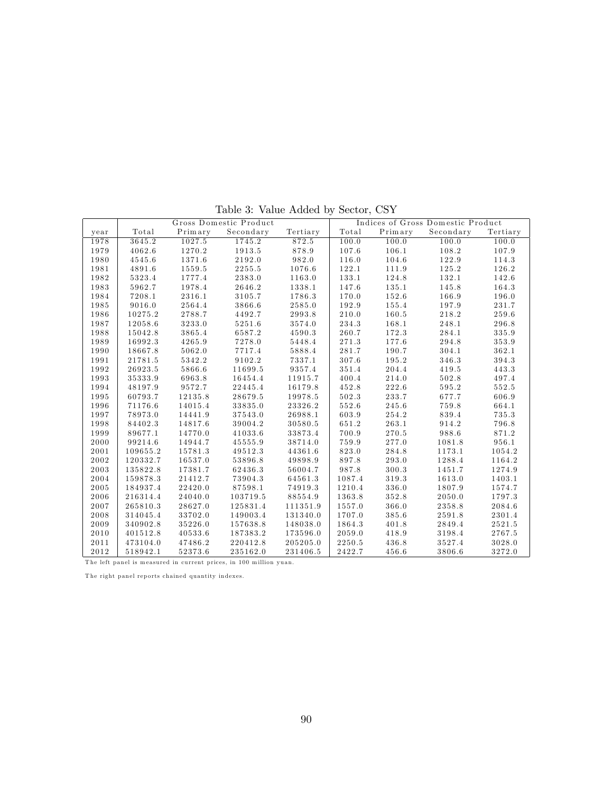|      |          |         | Gross Domestic Product |          | Indices of Gross Domestic Product |         |           |          |
|------|----------|---------|------------------------|----------|-----------------------------------|---------|-----------|----------|
| year | Total    | Primary | Secondary              | Tertiary | Total                             | Primary | Secondary | Tertiary |
| 1978 | 3645.2   | 1027.5  | 1745.2                 | 872.5    | 100.0                             | 100.0   | 100.0     | 100.0    |
| 1979 | 4062.6   | 1270.2  | 1913.5                 | 878.9    | 107.6                             | 106.1   | 108.2     | 107.9    |
| 1980 | 4545.6   | 1371.6  | 2192.0                 | 982.0    | 116.0                             | 104.6   | 122.9     | 114.3    |
| 1981 | 4891.6   | 1559.5  | 2255.5                 | 1076.6   | 122.1                             | 111.9   | 125.2     | 126.2    |
| 1982 | 5323.4   | 1777.4  | 2383.0                 | 1163.0   | 133.1                             | 124.8   | 132.1     | 142.6    |
| 1983 | 5962.7   | 1978.4  | 2646.2                 | 1338.1   | 147.6                             | 135.1   | 145.8     | 164.3    |
| 1984 | 7208.1   | 2316.1  | 3105.7                 | 1786.3   | 170.0                             | 152.6   | 166.9     | 196.0    |
| 1985 | 9016.0   | 2564.4  | 3866.6                 | 2585.0   | 192.9                             | 155.4   | 197.9     | 231.7    |
| 1986 | 10275.2  | 2788.7  | 4492.7                 | 2993.8   | 210.0                             | 160.5   | 218.2     | 259.6    |
| 1987 | 12058.6  | 3233.0  | 5251.6                 | 3574.0   | 234.3                             | 168.1   | 248.1     | 296.8    |
| 1988 | 15042.8  | 3865.4  | 6587.2                 | 4590.3   | 260.7                             | 172.3   | 284.1     | 335.9    |
| 1989 | 16992.3  | 4265.9  | 7278.0                 | 5448.4   | 271.3                             | 177.6   | 294.8     | 353.9    |
| 1990 | 18667.8  | 5062.0  | 7717.4                 | 5888.4   | 281.7                             | 190.7   | 304.1     | 362.1    |
| 1991 | 21781.5  | 5342.2  | 9102.2                 | 7337.1   | 307.6                             | 195.2   | 346.3     | 394.3    |
| 1992 | 26923.5  | 5866.6  | 11699.5                | 9357.4   | 351.4                             | 204.4   | 419.5     | 443.3    |
| 1993 | 35333.9  | 6963.8  | 16454.4                | 11915.7  | 400.4                             | 214.0   | 502.8     | 497.4    |
| 1994 | 48197.9  | 9572.7  | 22445.4                | 16179.8  | 452.8                             | 222.6   | 595.2     | 552.5    |
| 1995 | 60793.7  | 12135.8 | 28679.5                | 19978.5  | 502.3                             | 233.7   | 677.7     | 606.9    |
| 1996 | 71176.6  | 14015.4 | 33835.0                | 23326.2  | 552.6                             | 245.6   | 759.8     | 664.1    |
| 1997 | 78973.0  | 14441.9 | 37543.0                | 26988.1  | 603.9                             | 254.2   | 839.4     | 735.3    |
| 1998 | 84402.3  | 14817.6 | 39004.2                | 30580.5  | 651.2                             | 263.1   | 914.2     | 796.8    |
| 1999 | 89677.1  | 14770.0 | 41033.6                | 33873.4  | 700.9                             | 270.5   | 988.6     | 871.2    |
| 2000 | 99214.6  | 14944.7 | 45555.9                | 38714.0  | 759.9                             | 277.0   | 1081.8    | 956.1    |
| 2001 | 109655.2 | 15781.3 | 49512.3                | 44361.6  | 823.0                             | 284.8   | 1173.1    | 1054.2   |
| 2002 | 120332.7 | 16537.0 | 53896.8                | 49898.9  | 897.8                             | 293.0   | 1288.4    | 1164.2   |
| 2003 | 135822.8 | 17381.7 | $6\,2\,4\,3\,6\,.3$    | 56004.7  | 987.8                             | 300.3   | 1451.7    | 1274.9   |
| 2004 | 159878.3 | 21412.7 | 73904.3                | 64561.3  | 1087.4                            | 319.3   | 1613.0    | 1403.1   |
| 2005 | 184937.4 | 22420.0 | 87598.1                | 74919.3  | 1210.4                            | 336.0   | 1807.9    | 1574.7   |
| 2006 | 216314.4 | 24040.0 | 103719.5               | 88554.9  | 1363.8                            | 352.8   | 2050.0    | 1797.3   |
| 2007 | 265810.3 | 28627.0 | 125831.4               | 111351.9 | 1557.0                            | 366.0   | 2358.8    | 2084.6   |
| 2008 | 314045.4 | 33702.0 | 149003.4               | 131340.0 | 1707.0                            | 385.6   | 2591.8    | 2301.4   |
| 2009 | 340902.8 | 35226.0 | 157638.8               | 148038.0 | 1864.3                            | 401.8   | 2849.4    | 2521.5   |
| 2010 | 401512.8 | 40533.6 | 187383.2               | 173596.0 | $2\,0\,5\,9$ . $0$                | 418.9   | 3198.4    | 2767.5   |
| 2011 | 473104.0 | 47486.2 | 220412.8               | 205205.0 | 2250.5                            | 436.8   | 3527.4    | 3028.0   |
| 2012 | 518942.1 | 52373.6 | 235162.0               | 231406.5 | 2422.7                            | 456.6   | 3806.6    | 3272.0   |

Table 3: Value Added by Sector, CSY

The left panel is measured in current prices, in 100 million yuan.

The right panel reports chained quantity indexes.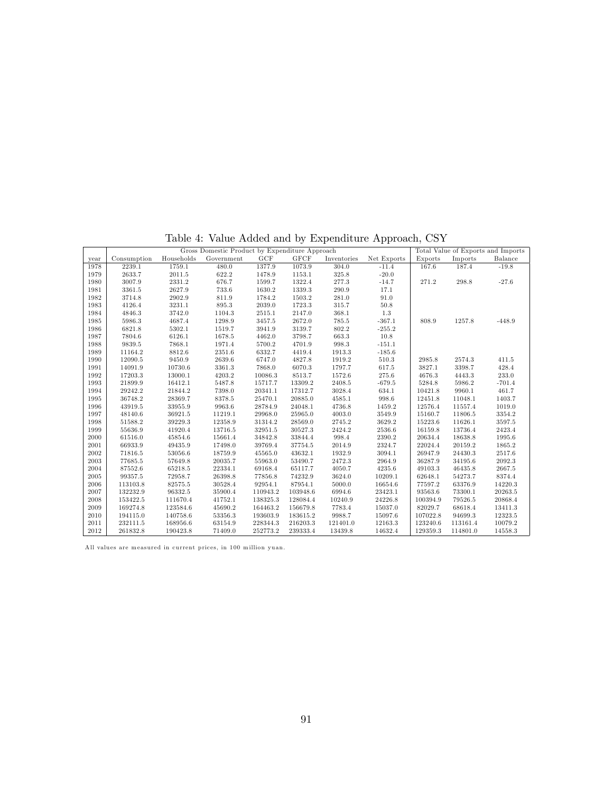|  |  |  | Table 4: Value Added and by Expenditure Approach, CSY |  |  |
|--|--|--|-------------------------------------------------------|--|--|
|  |  |  |                                                       |  |  |

|      | Gross Domestic Product by Expenditure Approach |            |            |          |             |             |             |          |          | Total Value of Exports and Imports |
|------|------------------------------------------------|------------|------------|----------|-------------|-------------|-------------|----------|----------|------------------------------------|
| year | Consumption                                    | Households | Government | GCF      | <b>GFCF</b> | Inventories | Net Exports | Exports  | Imports  | Balance                            |
| 1978 | 2239.1                                         | 1759.1     | 480.0      | 1377.9   | 1073.9      | 304.0       | $-11.4$     | 167.6    | 187.4    | $-19.8$                            |
| 1979 | 2633.7                                         | 2011.5     | 622.2      | 1478.9   | 1153.1      | $325.8\,$   | $-20.0$     |          |          |                                    |
| 1980 | 3007.9                                         | 2331.2     | 676.7      | 1599.7   | 1322.4      | 277.3       | $-14.7$     | 271.2    | 298.8    | $-27.6$                            |
| 1981 | 3361.5                                         | 2627.9     | 733.6      | 1630.2   | 1339.3      | 290.9       | 17.1        |          |          |                                    |
| 1982 | 3714.8                                         | 2902.9     | 811.9      | 1784.2   | 1503.2      | 281.0       | 91.0        |          |          |                                    |
| 1983 | 4126.4                                         | 3231.1     | 895.3      | 2039.0   | 1723.3      | 315.7       | 50.8        |          |          |                                    |
| 1984 | 4846.3                                         | 3742.0     | 1104.3     | 2515.1   | 2147.0      | 368.1       | 1.3         |          |          |                                    |
| 1985 | 5986.3                                         | 4687.4     | 1298.9     | 3457.5   | 2672.0      | 785.5       | $-367.1$    | 808.9    | 1257.8   | $-448.9$                           |
| 1986 | 6821.8                                         | 5302.1     | 1519.7     | 3941.9   | 3139.7      | 802.2       | $-255.2$    |          |          |                                    |
| 1987 | 7804.6                                         | 6126.1     | 1678.5     | 4462.0   | 3798.7      | 663.3       | 10.8        |          |          |                                    |
| 1988 | 9839.5                                         | 7868.1     | 1971.4     | 5700.2   | 4701.9      | 998.3       | $-151.1$    |          |          |                                    |
| 1989 | 11164.2                                        | 8812.6     | 2351.6     | 6332.7   | 4419.4      | 1913.3      | $-185.6$    |          |          |                                    |
| 1990 | 12090.5                                        | 9450.9     | 2639.6     | 6747.0   | 4827.8      | 1919.2      | 510.3       | 2985.8   | 2574.3   | 411.5                              |
| 1991 | 14091.9                                        | 10730.6    | 3361.3     | 7868.0   | 6070.3      | 1797.7      | 617.5       | 3827.1   | 3398.7   | 428.4                              |
| 1992 | 17203.3                                        | 13000.1    | 4203.2     | 10086.3  | 8513.7      | 1572.6      | 275.6       | 4676.3   | 4443.3   | 233.0                              |
| 1993 | 21899.9                                        | 16412.1    | 5487.8     | 15717.7  | 13309.2     | 2408.5      | $-679.5$    | 5284.8   | 5986.2   | $-701.4$                           |
| 1994 | 29242.2                                        | 21844.2    | 7398.0     | 20341.1  | 17312.7     | 3028.4      | 634.1       | 10421.8  | 9960.1   | 461.7                              |
| 1995 | 36748.2                                        | 28369.7    | 8378.5     | 25470.1  | 20885.0     | 4585.1      | 998.6       | 12451.8  | 11048.1  | 1403.7                             |
| 1996 | 43919.5                                        | 33955.9    | 9963.6     | 28784.9  | 24048.1     | 4736.8      | 1459.2      | 12576.4  | 11557.4  | 1019.0                             |
| 1997 | 48140.6                                        | 36921.5    | 11219.1    | 29968.0  | 25965.0     | 4003.0      | 3549.9      | 15160.7  | 11806.5  | 3354.2                             |
| 1998 | 51588.2                                        | 39229.3    | 12358.9    | 31314.2  | 28569.0     | 2745.2      | 3629.2      | 15223.6  | 11626.1  | 3597.5                             |
| 1999 | 55636.9                                        | 41920.4    | 13716.5    | 32951.5  | 30527.3     | 2424.2      | 2536.6      | 16159.8  | 13736.4  | 2423.4                             |
| 2000 | 61516.0                                        | 45854.6    | 15661.4    | 34842.8  | 33844.4     | 998.4       | 2390.2      | 20634.4  | 18638.8  | 1995.6                             |
| 2001 | 66933.9                                        | 49435.9    | 17498.0    | 39769.4  | 37754.5     | 2014.9      | 2324.7      | 22024.4  | 20159.2  | 1865.2                             |
| 2002 | 71816.5                                        | 53056.6    | 18759.9    | 45565.0  | 43632.1     | 1932.9      | 3094.1      | 26947.9  | 24430.3  | 2517.6                             |
| 2003 | 77685.5                                        | 57649.8    | 20035.7    | 55963.0  | 53490.7     | 2472.3      | 2964.9      | 36287.9  | 34195.6  | 2092.3                             |
| 2004 | 87552.6                                        | 65218.5    | 22334.1    | 69168.4  | 65117.7     | 4050.7      | 4235.6      | 49103.3  | 46435.8  | 2667.5                             |
| 2005 | 99357.5                                        | 72958.7    | 26398.8    | 77856.8  | 74232.9     | 3624.0      | 10209.1     | 62648.1  | 54273.7  | 8374.4                             |
| 2006 | 113103.8                                       | 82575.5    | 30528.4    | 92954.1  | 87954.1     | 5000.0      | 16654.6     | 77597.2  | 63376.9  | 14220.3                            |
| 2007 | 132232.9                                       | 96332.5    | 35900.4    | 110943.2 | 103948.6    | 6994.6      | 23423.1     | 93563.6  | 73300.1  | 20263.5                            |
| 2008 | 153422.5                                       | 111670.4   | 41752.1    | 138325.3 | 128084.4    | 10240.9     | 24226.8     | 100394.9 | 79526.5  | 20868.4                            |
| 2009 | 169274.8                                       | 123584.6   | 45690.2    | 164463.2 | 156679.8    | 7783.4      | 15037.0     | 82029.7  | 68618.4  | 13411.3                            |
| 2010 | 194115.0                                       | 140758.6   | 53356.3    | 193603.9 | 183615.2    | 9988.7      | 15097.6     | 107022.8 | 94699.3  | 12323.5                            |
| 2011 | 232111.5                                       | 168956.6   | 63154.9    | 228344.3 | 216203.3    | 121401.0    | 12163.3     | 123240.6 | 113161.4 | 10079.2                            |
| 2012 | 261832.8                                       | 190423.8   | 71409.0    | 252773.2 | 239333.4    | 13439.8     | 14632.4     | 129359.3 | 114801.0 | 14558.3                            |

All values are measured in current prices, in 100 million yuan.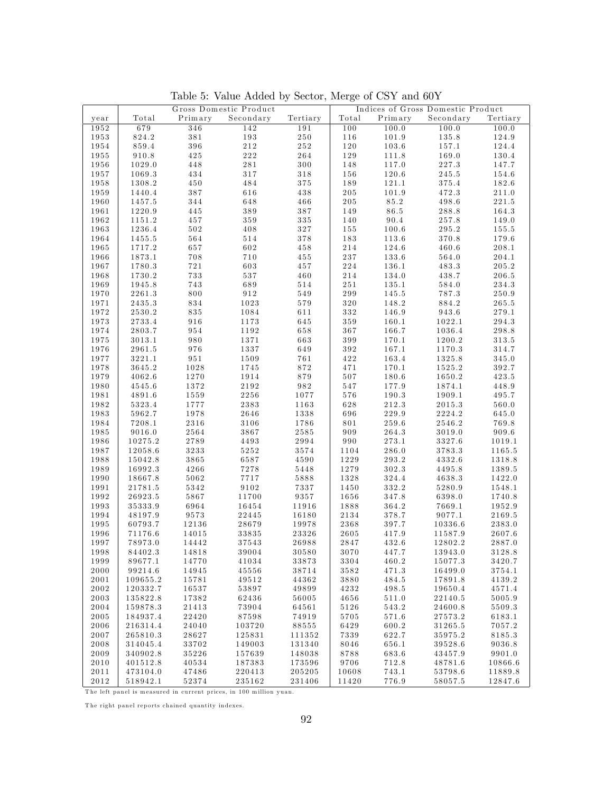|              | Gross Domestic Product |           |                 | Indices of Gross Domestic Product |              |         |           |                 |
|--------------|------------------------|-----------|-----------------|-----------------------------------|--------------|---------|-----------|-----------------|
| year         | Total                  | Primary   | Secondary       | Tertiary                          | Total        | Primary | Secondary | Tertiary        |
| 1952         | 679                    | 346       | 142             | 191                               | 100          | 100.0   | 100.0     | 100.0           |
| 1953         | 824.2                  | 381       | 193             | $2\,5\,0$                         | 116          | 101.9   | 135.8     | 124.9           |
| 1954         | 859.4                  | 396       | 212             | $2\,5\,2$                         | 120          | 103.6   | 157.1     | 124.4           |
| 1955         | 910.8                  | 425       | 222             | 264                               | 129          | 111.8   | 169.0     | 130.4           |
| 1956         | 1029.0                 | 448       | 281             | 300                               | 148          | 117.0   | 227.3     | 147.7           |
| 1957         | 1069.3                 | 434       | 317             | 318                               | 156          | 120.6   | 245.5     | 154.6           |
| 1958         | 1308.2                 | 450       | 484             | $3\,7\,5$                         | 189          | 121.1   | 375.4     | 182.6           |
| 1959         | 1440.4                 | $3\,8\,7$ | 616             | 438                               | 205          | 101.9   | 472.3     | 211.0           |
| 1960         | 1457.5                 | 344       | 648             | 466                               | $2\,0\,5$    | 85.2    | 498.6     | 221.5           |
| 1961         | 1220.9                 | 445       | 389             | $3\,8\,7$                         | 149          | 86.5    | 288.8     | 164.3           |
| 1962         | 1151.2                 | 457       | 359             | $3\,3\,5$                         | 140          | 90.4    | 257.8     | 149.0           |
| 1963         | 1236.4                 | $5\,0\,2$ | 408             | 327                               | 155          | 100.6   | 295.2     | 155.5           |
| 1964         | 1455.5                 | 564       | 514             | 378                               | 183          | 113.6   | 370.8     | 179.6           |
| 1965         | 1717.2                 | 657       | 602             | 458                               | 214          | 124.6   | 460.6     | 208.1           |
| 1966         | 1873.1                 | 708       | 710             | $4\,5\,5$                         | 237          | 133.6   | 564.0     | 204.1           |
| 1967         | 1780.3                 | 721       | 603             | 457                               | 224          | 136.1   | 483.3     | 205.2           |
| 1968         | 1730.2                 | 733       | $5\,3\,7$       | 460                               | 214          | 134.0   | 438.7     | 206.5           |
| 1969         | 1945.8                 | 743       | 689             | 514                               | $2\,5\,1$    | 135.1   | 584.0     | 234.3           |
| 1970         | 2261.3                 | 800       | 912             | 549                               | 299          | 145.5   | 787.3     | 250.9           |
| 1971         | 2435.3                 | 834       | 1023            | 579                               | 320          | 148.2   | 884.2     | 265.5           |
| 1972         | 2530.2                 | 835       | 1084            | 611                               | 332          | 146.9   | 943.6     | 279.1           |
| 1973         | 2733.4                 | 916       | 1173            | 645                               | 359          | 160.1   | 1022.1    | 294.3           |
| 1974         | 2803.7                 | 954       | 1192            | 658                               | 367          | 166.7   | 1036.4    | 298.8           |
| 1975         | 3013.1                 | 980       | 1371            | 663                               | $3\,9\,9$    | 170.1   | 1200.2    | 313.5           |
| 1976         | 2961.5                 | 976       | 1337            | 649                               | 392          | 167.1   | 1170.3    | 314.7           |
| 1977         | 3221.1                 | $9\,5\,1$ | 1509            | 761                               | 422          | 163.4   | 1325.8    | $3\,4\,5$ . $0$ |
| 1978         | 3645.2                 | 1028      | 1745            | 872                               | 471          | 170.1   | 1525.2    | 392.7           |
| 1979         | 4062.6                 | 1270      | 1914            | 879                               | 507          | 180.6   | 1650.2    | 423.5           |
| 1980         | 4545.6                 | 1372      | 2192            | 982                               | 547          | 177.9   | 1874.1    | 448.9           |
| 1981         | 4891.6                 | 1559      | 2256            | 1077                              | 576          | 190.3   | 1909.1    | 495.7           |
| 1982         | 5323.4                 | 1777      | 2383            | 1163                              | 628          | 212.3   | 2015.3    | 560.0           |
| 1983         | 5962.7                 | 1978      | 2646            | 1338                              | 696          | 229.9   | 2224.2    | 645.0           |
| 1984         | 7208.1                 | 2316      | 3106            | 1786                              | 801          | 259.6   | 2546.2    | 769.8           |
| 1985         | 9016.0                 | 2564      | 3867            | 2585                              | 909          | 264.3   | 3019.0    | 909.6           |
| 1986         | 10275.2                | 2789      | 4493            | 2994                              | 990          | 273.1   | 3327.6    | 1019.1          |
| 1987         | 12058.6                | 3233      | 5252            | 3574                              | 1104         | 286.0   | 3783.3    | 1165.5          |
| 1988         | 15042.8                | 3865      | 6587            | 4590                              | 1229         | 293.2   | 4332.6    | 1318.8          |
| 1989         | 16992.3                | 4266      | 7278            | 5448                              | 1279         | 302.3   | 4495.8    | 1389.5          |
| 1990         | 18667.8                | 5062      | 7717            | 5888                              | 1328         | 324.4   | 4638.3    | 1422.0          |
| 1991         | 21781.5                | 5342      | 9102            | 7337                              | 1450         | 332.2   | 5280.9    | 1548.1          |
| 1992         | 26923.5                | 5867      | 11700           | 9357                              | $1\,6\,5\,6$ | 347.8   | 6398.0    | 1740.8          |
| 1993         | 35333.9                | 6964      | 16454           | 11916                             | 1888         | 364.2   | 7669.1    | 1952.9          |
| 1994         | 48197.9                | 9573      | 22445           | 16180                             | 2134         | 378.7   | 9077.1    | 2169.5          |
| 1995         | 60793.7                | 12136     | 28679           | 19978                             | 2368         | 397.7   | 10336.6   | 2383.0          |
| 1996         | 71176.6                | 14015     | 33835           | 23326                             | 2605         | 417.9   | 11587.9   | 2607.6          |
| 1997         | 78973.0                | 14442     | 37543           | 26988                             | 2847         | 432.6   | 12802.2   | 2887.0          |
| 1998         | 84402.3                | 14818     | $3\,9\,0\,0\,4$ | 30580                             | $3\,0\,7\,0$ | 447.7   | 13943.0   | 3128.8          |
| 1999         | 89677.1                | 14770     | 41034           | 33873                             | 3304         | 460.2   | 15077.3   | 3420.7          |
| 2000         | 99214.6                | 14945     | 45556           | 38714                             | 3582         | 471.3   | 16499.0   | 3754.1          |
| 2001         | 109655.2               | 15781     | 49512           | 44362                             | 3880         | 484.5   | 17891.8   | 4139.2          |
| 2002         | 120332.7               | 16537     | 53897           | 49899                             | 4232         | 498.5   | 19650.4   | 4571.4          |
| 2003         | 135822.8               | 17382     | 62436           | 56005                             | 4656         | 511.0   | 22140.5   | 5005.9          |
| 2004         | 159878.3               | 21413     | 73904           | 64561                             | 5126         | 543.2   | 24600.8   | 5509.3          |
| $2\,0\,0\,5$ | 184937.4               | 22420     | 87598           | 74919                             | 5705         | 571.6   | 27573.2   | 6183.1          |
| $2\,0\,0\,6$ | 216314.4               | 24040     | 103720          | 88555                             | 6429         | 600.2   | 31265.5   | 7057.2          |
| 2007         | 265810.3               | 28627     | 125831          | 111352                            | 7339         | 622.7   | 35975.2   | 8185.3          |
| 2008         | 314045.4               | 33702     | 149003          | 131340                            | 8046         | 656.1   | 39528.6   | 9036.8          |
| 2009         | 340902.8               | 35226     | 157639          | 148038                            | 8788         | 683.6   | 43457.9   | 9901.0          |
| 2010         | 401512.8               | 40534     | 187383          | 173596                            | 9706         | 712.8   | 48781.6   | 10866.6         |
| 2011         | 473104.0               | 47486     | 220413          | 205205                            | 10608        | 743.1   | 53798.6   | 11889.8         |
| 2012         | 518942.1               | 52374     | 235162          | 231406                            | 11420        | 776.9   | 58057.5   | 12847.6         |

Table 5: Value Added by Sector, Merge of CSY and 60Y

The left panel is measured in current prices, in 100 million yuan.

The right panel reports chained quantity indexes.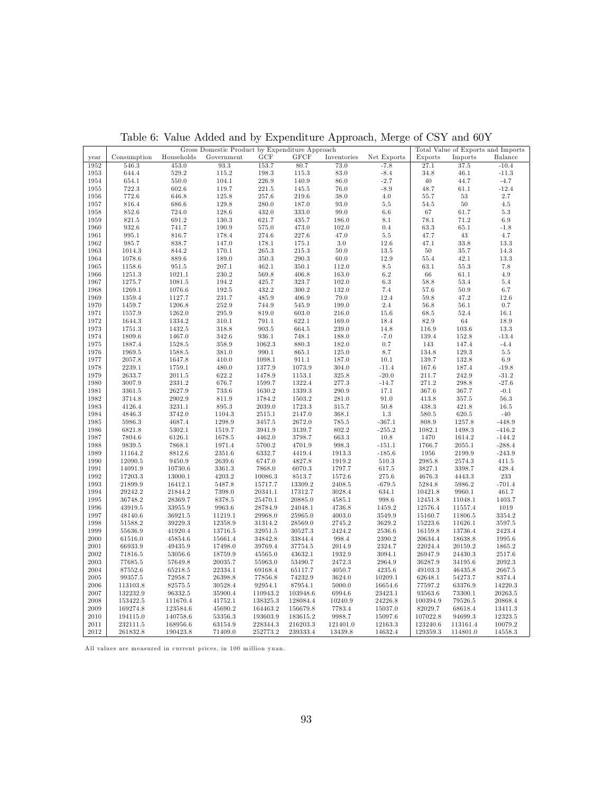|          |             |            | Gross Domestic Product by Expenditure Approach |          |             |             |             |          |            | Total Value of Exports and Imports |
|----------|-------------|------------|------------------------------------------------|----------|-------------|-------------|-------------|----------|------------|------------------------------------|
| year     | Consumption | Households | Government                                     | GCF      | <b>GFCF</b> | Inventories | Net Exports | Exports  | Imports    | ${\bf Balance}$                    |
| 1952     | 546.3       | 453.0      | 93.3                                           | 153.7    | 80.7        | 73.0        | $-7.8$      | 27.1     | 37.5       | $-10.4$                            |
| 1953     | 644.4       | 529.2      | 115.2                                          | 198.3    | 115.3       | 83.0        | $-8.4$      | 34.8     | 46.1       | $-11.3$                            |
| 1954     | 654.1       | 550.0      | 104.1                                          | 226.9    | 140.9       | $86.0\,$    | $-2.7$      | 40       | 44.7       | $-4.7$                             |
| 1955     | 722.3       | 602.6      | 119.7                                          | 221.5    | 145.5       | 76.0        | $-8.9$      | 48.7     | 61.1       | $-12.4$                            |
| 1956     | 772.6       | 646.8      | 125.8                                          | 257.6    | 219.6       | 38.0        | 4.0         | 55.7     | $53\,$     | 2.7                                |
| 1957     | 816.4       | 686.6      | 129.8                                          | 280.0    | 187.0       | 93.0        | $5.5\,$     | 54.5     | 50         | 4.5                                |
| 1958     | 852.6       | 724.0      | 128.6                                          | 432.0    | 333.0       | 99.0        | $6.6\,$     | 67       | 61.7       | $5.3\,$                            |
| 1959     | 821.5       | 691.2      | 130.3                                          | 621.7    | 435.7       | 186.0       | $8.1\,$     | 78.1     | 71.2       | $6.9\,$                            |
| 1960     | 932.6       | 741.7      | 190.9                                          | 575.0    | 473.0       | 102.0       | 0.4         | 63.3     | 65.1       | $-1.8$                             |
| 1961     | 995.1       | 816.7      | 178.4                                          | 274.6    | 227.6       | 47.0        | $5.5\,$     | 47.7     | $43\,$     | 4.7                                |
| 1962     | 985.7       | 838.7      | 147.0                                          | 178.1    | 175.1       | 3.0         | 12.6        | 47.1     | 33.8       | 13.3                               |
| 1963     | 1014.3      | 844.2      | 170.1                                          | 265.3    | 215.3       | 50.0        | 13.5        | $50\,$   | 35.7       | 14.3                               |
| 1964     | 1078.6      | 889.6      | 189.0                                          | 350.3    | 290.3       | 60.0        | 12.9        | 55.4     | 42.1       | 13.3                               |
| 1965     | 1158.6      | 951.5      | 207.1                                          | 462.1    | 350.1       | 112.0       | $8.5\,$     | 63.1     | 55.3       | 7.8                                |
| $1966\,$ | 1251.3      | 1021.1     | 230.2                                          | 569.8    | 406.8       | 163.0       | 6.2         | 66       | 61.1       | 4.9                                |
|          |             |            |                                                |          |             |             |             |          |            |                                    |
| 1967     | 1275.7      | 1081.5     | 194.2                                          | 425.7    | 323.7       | 102.0       | $6.3\,$     | 58.8     | 53.4       | 5.4                                |
| 1968     | 1269.1      | 1076.6     | 192.5                                          | 432.2    | 300.2       | 132.0       | 7.4         | 57.6     | 50.9       | 6.7                                |
| 1969     | 1359.4      | 1127.7     | 231.7                                          | 485.9    | 406.9       | 79.0        | 12.4        | 59.8     | 47.2       | 12.6                               |
| 1970     | 1459.7      | 1206.8     | 252.9                                          | 744.9    | 545.9       | 199.0       | $2.4\,$     | 56.8     | 56.1       | $0.7\,$                            |
| 1971     | 1557.9      | 1262.0     | 295.9                                          | 819.0    | 603.0       | 216.0       | $15.6\,$    | 68.5     | 52.4       | 16.1                               |
| 1972     | 1644.3      | 1334.2     | 310.1                                          | 791.1    | 622.1       | 169.0       | 18.4        | 82.9     | 64         | 18.9                               |
| 1973     | 1751.3      | 1432.5     | 318.8                                          | 903.5    | 664.5       | 239.0       | 14.8        | 116.9    | 103.6      | 13.3                               |
| 1974     | 1809.6      | 1467.0     | 342.6                                          | 936.1    | 748.1       | 188.0       | $-7.0$      | 139.4    | 152.8      | $-13.4$                            |
| 1975     | 1887.4      | 1528.5     | 358.9                                          | 1062.3   | 880.3       | 182.0       | 0.7         | 143      | 147.4      | $-4.4$                             |
| 1976     | 1969.5      | 1588.5     | 381.0                                          | 990.1    | 865.1       | 125.0       | 8.7         | 134.8    | 129.3      | $5.5\,$                            |
| 1977     | 2057.8      | 1647.8     | 410.0                                          | 1098.1   | 911.1       | 187.0       | 10.1        | 139.7    | 132.8      | 6.9                                |
| 1978     | 2239.1      | 1759.1     | 480.0                                          | 1377.9   | 1073.9      | 304.0       | $-11.4$     | 167.6    | 187.4      | $-19.8$                            |
| 1979     | 2633.7      | 2011.5     | 622.2                                          | 1478.9   | 1153.1      | 325.8       | $-20.0$     | 211.7    | 242.9      | $-31.2$                            |
| 1980     | 3007.9      | 2331.2     | 676.7                                          | 1599.7   | 1322.4      | 277.3       | $-14.7$     | 271.2    | 298.8      | $-27.6$                            |
| 1981     | 3361.5      | 2627.9     | 733.6                                          | 1630.2   | 1339.3      | 290.9       | 17.1        | 367.6    | 367.7      | $-0.1$                             |
| 1982     | 3714.8      | 2902.9     | 811.9                                          | 1784.2   | 1503.2      | 281.0       | 91.0        | 413.8    | 357.5      | 56.3                               |
| 1983     | 4126.4      | 3231.1     | 895.3                                          | 2039.0   | 1723.3      | 315.7       | 50.8        | 438.3    | 421.8      | 16.5                               |
| 1984     | 4846.3      | 3742.0     | 1104.3                                         | 2515.1   | 2147.0      | 368.1       | 1.3         | 580.5    | 620.5      | $-40$                              |
| 1985     | 5986.3      | 4687.4     | 1298.9                                         | 3457.5   | 2672.0      | 785.5       | $-367.1$    | 808.9    | 1257.8     | $-448.9$                           |
| 1986     | 6821.8      | 5302.1     | 1519.7                                         | 3941.9   | 3139.7      | 802.2       | $-255.2$    | 1082.1   | 1498.3     | $-416.2$                           |
| 1987     | 7804.6      | 6126.1     | 1678.5                                         | 4462.0   | 3798.7      | 663.3       | 10.8        | 1470     | 1614.2     | $-144.2$                           |
| 1988     | 9839.5      | 7868.1     | 1971.4                                         | 5700.2   | 4701.9      | 998.3       | $-151.1$    | 1766.7   | $2055.1\,$ | $-288.4$                           |
| 1989     | 11164.2     | 8812.6     | 2351.6                                         | 6332.7   | 4419.4      | 1913.3      | $-185.6$    | 1956     | 2199.9     | $-243.9$                           |
| 1990     | 12090.5     | 9450.9     | 2639.6                                         | 6747.0   | 4827.8      | 1919.2      | 510.3       | 2985.8   | 2574.3     | 411.5                              |
| 1991     | 14091.9     | 10730.6    | 3361.3                                         | 7868.0   | 6070.3      | 1797.7      | 617.5       | 3827.1   | 3398.7     | 428.4                              |
| 1992     | 17203.3     | 13000.1    | 4203.2                                         | 10086.3  | 8513.7      | 1572.6      | 275.6       | 4676.3   | 4443.3     | 233                                |
| 1993     | 21899.9     | 16412.1    | 5487.8                                         | 15717.7  | 13309.2     | 2408.5      | $-679.5$    | 5284.8   | 5986.2     | $-701.4$                           |
| 1994     | 29242.2     | 21844.2    | 7398.0                                         | 20341.1  | 17312.7     | 3028.4      | 634.1       | 10421.8  | 9960.1     | 461.7                              |
| 1995     | 36748.2     | 28369.7    | 8378.5                                         | 25470.1  | 20885.0     | 4585.1      | 998.6       | 12451.8  | 11048.1    | 1403.7                             |
| 1996     | 43919.5     | 33955.9    | 9963.6                                         | 28784.9  | 24048.1     | 4736.8      | 1459.2      | 12576.4  | 11557.4    | 1019                               |
| 1997     | 48140.6     | 36921.5    | 11219.1                                        | 29968.0  | 25965.0     | 4003.0      | 3549.9      | 15160.7  | 11806.5    | 3354.2                             |
| 1998     | 51588.2     | 39229.3    | 12358.9                                        | 31314.2  | 28569.0     | 2745.2      | 3629.2      | 15223.6  | 11626.1    | $3597.5\,$                         |
| 1999     | 55636.9     | 41920.4    | 13716.5                                        | 32951.5  | 30527.3     | 2424.2      | 2536.6      | 16159.8  | 13736.4    | 2423.4                             |
| 2000     | 61516.0     | 45854.6    | 15661.4                                        | 34842.8  | 33844.4     | 998.4       | 2390.2      | 20634.4  | 18638.8    | 1995.6                             |
| 2001     | 66933.9     | 49435.9    | 17498.0                                        | 39769.4  | 37754.5     | 2014.9      | 2324.7      | 22024.4  | 20159.2    | 1865.2                             |
| 2002     | 71816.5     | 53056.6    | 18759.9                                        | 45565.0  | 43632.1     | 1932.9      | 3094.1      | 26947.9  | 24430.3    | 2517.6                             |
| 2003     | 77685.5     | 57649.8    | 20035.7                                        | 55963.0  | 53490.7     | 2472.3      | 2964.9      | 36287.9  | 34195.6    | 2092.3                             |
| 2004     | 87552.6     | 65218.5    | 22334.1                                        | 69168.4  | 65117.7     | 4050.7      | 4235.6      | 49103.3  | 46435.8    | 2667.5                             |
| 2005     | 99357.5     | 72958.7    | 26398.8                                        | 77856.8  | 74232.9     | 3624.0      | 10209.1     | 62648.1  | 54273.7    | 8374.4                             |
| 2006     | 113103.8    | 82575.5    | 30528.4                                        | 92954.1  | 87954.1     | 5000.0      | 16654.6     | 77597.2  | 63376.9    | 14220.3                            |
| 2007     | 132232.9    | 96332.5    | 35900.4                                        | 110943.2 | 103948.6    | 6994.6      | 23423.1     | 93563.6  | 73300.1    | 20263.5                            |
| 2008     | 153422.5    | 111670.4   | 41752.1                                        | 138325.3 | 128084.4    | 10240.9     | 24226.8     | 100394.9 | 79526.5    | 20868.4                            |
| 2009     | 169274.8    | 123584.6   | 45690.2                                        | 164463.2 | 156679.8    | 7783.4      | 15037.0     | 82029.7  | 68618.4    | 13411.3                            |
| 2010     | 194115.0    | 140758.6   | 53356.3                                        | 193603.9 | 183615.2    | 9988.7      | 15097.6     | 107022.8 | 94699.3    | 12323.5                            |
| 2011     | 232111.5    | 168956.6   | 63154.9                                        | 228344.3 | 216203.3    | 121401.0    | 12163.3     | 123240.6 | 113161.4   | 10079.2                            |
| 2012     | 261832.8    | 190423.8   | 71409.0                                        | 252773.2 | 239333.4    | 13439.8     | 14632.4     | 129359.3 | 114801.0   | 14558.3                            |

Table 6: Value Added and by Expenditure Approach, Merge of CSY and 60Y

All values are measured in current prices, in 100 million yuan.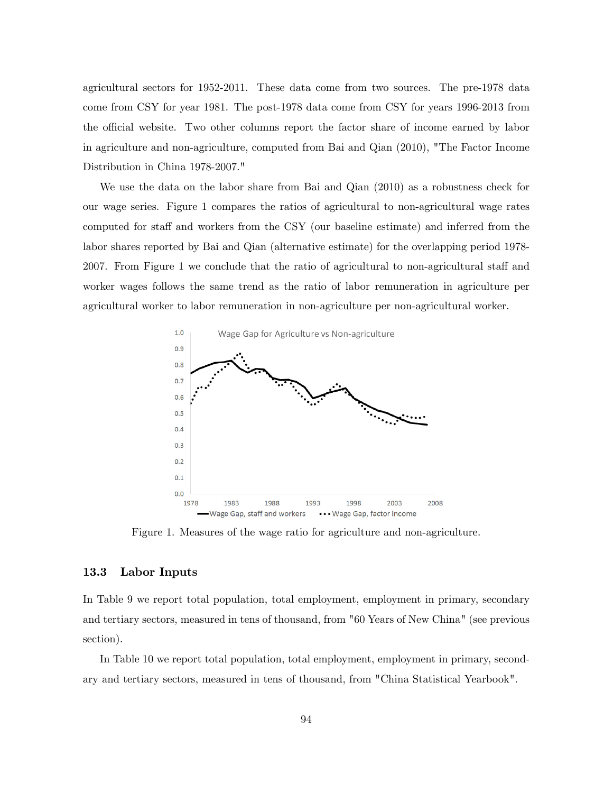agricultural sectors for 1952-2011. These data come from two sources. The pre-1978 data come from CSY for year 1981. The post-1978 data come from CSY for years 1996-2013 from the official website. Two other columns report the factor share of income earned by labor in agriculture and non-agriculture, computed from Bai and Qian (2010), "The Factor Income Distribution in China 1978-2007."

We use the data on the labor share from Bai and Qian (2010) as a robustness check for our wage series. Figure 1 compares the ratios of agricultural to non-agricultural wage rates computed for staff and workers from the CSY (our baseline estimate) and inferred from the labor shares reported by Bai and Qian (alternative estimate) for the overlapping period 1978- 2007. From Figure 1 we conclude that the ratio of agricultural to non-agricultural staff and worker wages follows the same trend as the ratio of labor remuneration in agriculture per agricultural worker to labor remuneration in non-agriculture per non-agricultural worker.



Figure 1. Measures of the wage ratio for agriculture and non-agriculture.

#### 13.3 Labor Inputs

In Table 9 we report total population, total employment, employment in primary, secondary and tertiary sectors, measured in tens of thousand, from "60 Years of New China" (see previous section).

In Table 10 we report total population, total employment, employment in primary, secondary and tertiary sectors, measured in tens of thousand, from "China Statistical Yearbook".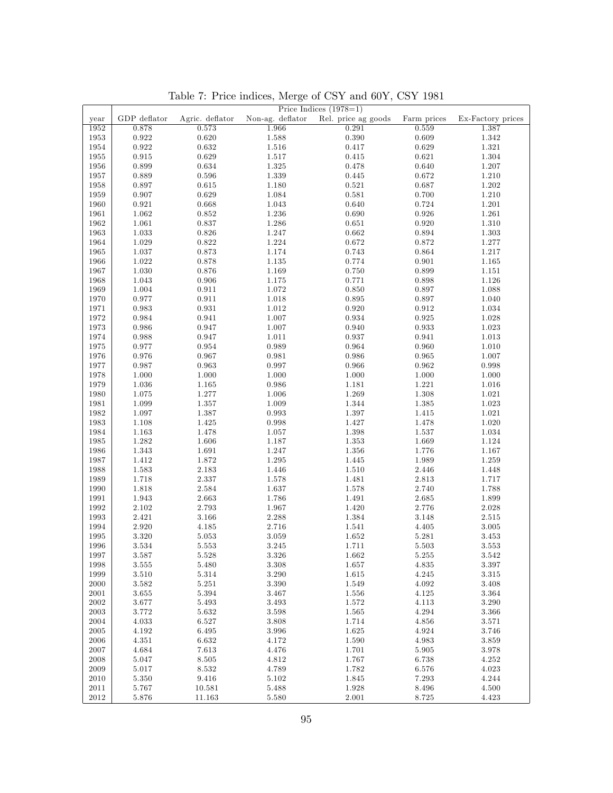|            |              |                 |                  | Price Indices $(1978=1)$ |             |                   |
|------------|--------------|-----------------|------------------|--------------------------|-------------|-------------------|
| year       | GDP deflator | Agric. deflator | Non-ag. deflator | Rel. price ag goods      | Farm prices | Ex-Factory prices |
| 1952       | 0.878        | 0.573           | 1.966            | 0.291                    | 0.559       | 1.387             |
| 1953       | 0.922        | $0.620\,$       | 1.588            | 0.390                    | 0.609       | 1.342             |
| 1954       | 0.922        | $\,0.632\,$     | 1.516            | 0.417                    | 0.629       | 1.321             |
|            |              |                 |                  |                          |             |                   |
| 1955       | 0.915        | 0.629           | 1.517            | 0.415                    | 0.621       | 1.304             |
| 1956       | 0.899        | 0.634           | 1.325            | 0.478                    | 0.640       | 1.207             |
| 1957       | 0.889        | 0.596           | 1.339            | 0.445                    | 0.672       | 1.210             |
| 1958       | 0.897        | 0.615           | 1.180            | 0.521                    | 0.687       | 1.202             |
| 1959       | 0.907        | 0.629           | 1.084            | 0.581                    | 0.700       | 1.210             |
| 1960       | 0.921        | 0.668           | 1.043            | 0.640                    | 0.724       | 1.201             |
| 1961       | 1.062        | 0.852           | $1.236\,$        | 0.690                    | 0.926       | 1.261             |
| 1962       | 1.061        | 0.837           | 1.286            | 0.651                    | 0.920       | 1.310             |
| 1963       | 1.033        | 0.826           | 1.247            | 0.662                    | 0.894       | 1.303             |
| 1964       | 1.029        | 0.822           | 1.224            | 0.672                    | 0.872       | 1.277             |
| 1965       | 1.037        | 0.873           | 1.174            | 0.743                    | 0.864       | 1.217             |
| 1966       | 1.022        | 0.878           | 1.135            | 0.774                    | 0.901       |                   |
|            |              |                 |                  |                          |             | 1.165             |
| 1967       | 1.030        | 0.876           | 1.169            | 0.750                    | 0.899       | 1.151             |
| 1968       | 1.043        | $\,0.906\,$     | 1.175            | 0.771                    | 0.898       | 1.126             |
| 1969       | 1.004        | 0.911           | 1.072            | 0.850                    | 0.897       | 1.088             |
| 1970       | 0.977        | 0.911           | 1.018            | 0.895                    | 0.897       | 1.040             |
| 1971       | 0.983        | 0.931           | 1.012            | 0.920                    | 0.912       | 1.034             |
| 1972       | 0.984        | 0.941           | 1.007            | 0.934                    | 0.925       | 1.028             |
| 1973       | 0.986        | 0.947           | 1.007            | 0.940                    | $\,0.933\,$ | 1.023             |
| 1974       | 0.988        | 0.947           | 1.011            | 0.937                    | 0.941       | 1.013             |
| 1975       | 0.977        | 0.954           | 0.989            | 0.964                    | 0.960       | 1.010             |
| 1976       | 0.976        | 0.967           | 0.981            | 0.986                    | 0.965       | 1.007             |
| 1977       | 0.987        | 0.963           | 0.997            | 0.966                    | 0.962       | 0.998             |
| 1978       | 1.000        | 1.000           | 1.000            | 1.000                    | 1.000       | 1.000             |
| 1979       | 1.036        | 1.165           | 0.986            | 1.181                    | 1.221       | 1.016             |
| 1980       | 1.075        | 1.277           | 1.006            | 1.269                    | 1.308       | 1.021             |
| 1981       | 1.099        | 1.357           | 1.009            | 1.344                    | 1.385       | 1.023             |
|            |              |                 |                  |                          |             |                   |
| 1982       | 1.097        | 1.387           | 0.993            | 1.397                    | 1.415       | 1.021             |
| 1983       | 1.108        | 1.425           | 0.998            | 1.427                    | 1.478       | 1.020             |
| 1984       | 1.163        | 1.478           | 1.057            | 1.398                    | 1.537       | 1.034             |
| 1985       | 1.282        | 1.606           | 1.187            | 1.353                    | 1.669       | 1.124             |
| 1986       | 1.343        | 1.691           | 1.247            | 1.356                    | 1.776       | 1.167             |
| 1987       | 1.412        | 1.872           | 1.295            | 1.445                    | 1.989       | 1.259             |
| 1988       | 1.583        | 2.183           | 1.446            | 1.510                    | 2.446       | 1.448             |
| 1989       | 1.718        | 2.337           | 1.578            | 1.481                    | 2.813       | 1.717             |
| 1990       | 1.818        | 2.584           | 1.637            | 1.578                    | 2.740       | 1.788             |
| 1991       | 1.943        | 2.663           | 1.786            | 1.491                    | 2.685       | 1.899             |
| 1992       | 2.102        | 2.793           | 1.967            | 1.420                    | 2.776       | 2.028             |
| 1993       | 2.421        | 3.166           | 2.288            | 1.384                    | 3.148       | 2.515             |
| 1994       | 2.920        | 4.185           | 2.716            | 1.541                    | 4.405       | 3.005             |
| 1995       | 3.320        | 5.053           | 3.059            | 1.652                    | 5.281       | 3.453             |
| 1996       | 3.534        | 5.553           | 3.245            | 1.711                    | 5.503       | 3.553             |
| 1997       | 3.587        | $5.528\,$       | $3.326\,$        | 1.662                    | 5.255       | $3.542\,$         |
| 1998       | 3.555        | 5.480           | 3.308            | 1.657                    | 4.835       | 3.397             |
| 1999       | 3.510        | $5.314\,$       | $3.290\,$        | 1.615                    | 4.245       | $3.315\,$         |
| 2000       | 3.582        | 5.251           | 3.390            | 1.549                    | 4.092       | 3.408             |
|            |              |                 |                  |                          |             |                   |
| 2001       | 3.655        | 5.394           | 3.467            | 1.556                    | 4.125       | 3.364             |
| 2002       | 3.677        | 5.493           | 3.493            | 1.572                    | 4.113       | 3.290             |
| $\,2003\,$ | 3.772        | 5.632           | 3.598            | 1.565                    | 4.294       | 3.366             |
| 2004       | 4.033        | 6.527           | 3.808            | 1.714                    | 4.856       | 3.571             |
| 2005       | 4.192        | 6.495           | 3.996            | 1.625                    | 4.924       | 3.746             |
| 2006       | 4.351        | 6.632           | 4.172            | 1.590                    | 4.983       | 3.859             |
| 2007       | 4.684        | 7.613           | 4.476            | 1.701                    | 5.905       | 3.978             |
| 2008       | 5.047        | 8.505           | 4.812            | 1.767                    | 6.738       | 4.252             |
| 2009       | 5.017        | 8.532           | 4.789            | 1.782                    | 6.576       | 4.023             |
| 2010       | 5.350        | 9.416           | 5.102            | 1.845                    | 7.293       | 4.244             |
| 2011       | 5.767        | 10.581          | 5.488            | 1.928                    | 8.496       | 4.500             |
| $2012\,$   | 5.876        | 11.163          | 5.580            | 2.001                    | 8.725       | 4.423             |

Table 7: Price indices, Merge of CSY and 60Y, CSY 1981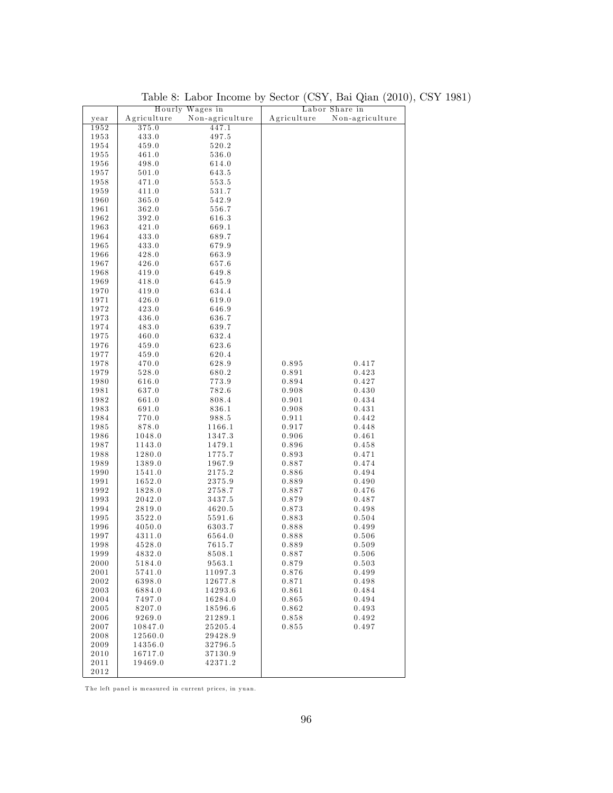|      |             | Hourly Wages in |             | Labor Share in  |
|------|-------------|-----------------|-------------|-----------------|
| year | Agriculture | Non-agriculture | Agriculture | Non-agriculture |
| 1952 | 375.0       | 447.1           |             |                 |
| 1953 | 433.0       | 497.5           |             |                 |
| 1954 | 459.0       | 520.2           |             |                 |
| 1955 | 461.0       | 536.0           |             |                 |
| 1956 | 498.0       | 614.0           |             |                 |
| 1957 | 501.0       | 643.5           |             |                 |
| 1958 | 471.0       | 553.5           |             |                 |
| 1959 | 411.0       | 531.7           |             |                 |
| 1960 | 365.0       | 542.9           |             |                 |
| 1961 | 362.0       | 556.7           |             |                 |
| 1962 | 392.0       | 616.3           |             |                 |
| 1963 | 421.0       | 669.1           |             |                 |
| 1964 | 433.0       | 689.7           |             |                 |
| 1965 | 433.0       | 679.9           |             |                 |
| 1966 | 428.0       | 663.9           |             |                 |
| 1967 | 426.0       | 657.6           |             |                 |
| 1968 | 419.0       | 649.8           |             |                 |
| 1969 | 418.0       | 645.9           |             |                 |
| 1970 | 419.0       | 634.4           |             |                 |
| 1971 | 426.0       | 619.0           |             |                 |
| 1972 | 423.0       | 646.9           |             |                 |
| 1973 | 436.0       | 636.7           |             |                 |
| 1974 | 483.0       | 639.7           |             |                 |
| 1975 | 460.0       | 632.4           |             |                 |
| 1976 | 459.0       | 623.6           |             |                 |
| 1977 | 459.0       | 620.4           |             |                 |
| 1978 | 470.0       | 628.9           | 0.895       | 0.417           |
| 1979 | 528.0       | 680.2           | 0.891       | 0.423           |
| 1980 | 616.0       | 773.9           | 0.894       | 0.427           |
| 1981 | 637.0       | 782.6           | 0.908       | 0.430           |
| 1982 | 661.0       | 808.4           | 0.901       | 0.434           |
| 1983 | 691.0       | 836.1           | 0.908       | 0.431           |
| 1984 | 770.0       | 988.5           | 0.911       | 0.442           |
| 1985 | 878.0       | 1166.1          | 0.917       | 0.448           |
| 1986 | 1048.0      | 1347.3          | 0.906       | 0.461           |
| 1987 | 1143.0      | 1479.1          | 0.896       | 0.458           |
| 1988 | 1280.0      | 1775.7          | 0.893       | 0.471           |
| 1989 | 1389.0      | 1967.9          | 0.887       | 0.474           |
| 1990 | 1541.0      | 2175.2          | 0.886       | 0.494           |
| 1991 | 1652.0      | 2375.9          | 0.889       | 0.490           |
| 1992 | 1828.0      | 2758.7          | 0.887       | 0.476           |
| 1993 | 2042.0      | 3437.5          | 0.879       | 0.487           |
| 1994 | 2819.0      | 4620.5          | 0.873       | 0.498           |
| 1995 | 3522.0      | 5591.6          | 0.883       | 0.504           |
| 1996 | 4050.0      | 6303.7          | 0.888       | 0.499           |
| 1997 | 4311.0      | 6564.0          | 0.888       | 0.506           |
| 1998 | 4528.0      | 7615.7          | 0.889       | 0.509           |
| 1999 | 4832.0      | 8508.1          | 0.887       | 0.506           |
| 2000 | 5184.0      | 9563.1          | 0.879       | 0.503           |
| 2001 | 5741.0      | 11097.3         | 0.876       | 0.499           |
| 2002 | 6398.0      | 12677.8         | 0.871       | 0.498           |
| 2003 | 6884.0      | 14293.6         | 0.861       | 0.484           |
| 2004 | 7497.0      | 16284.0         | 0.865       | 0.494           |
| 2005 | 8207.0      | 18596.6         | 0.862       | 0.493           |
| 2006 | 9269.0      | 21289.1         | 0.858       | 0.492           |
| 2007 | 10847.0     | 25205.4         | 0.855       | 0.497           |
| 2008 | 12560.0     | 29428.9         |             |                 |
| 2009 | 14356.0     | 32796.5         |             |                 |
| 2010 | 16717.0     | 37130.9         |             |                 |
| 2011 | 19469.0     | 42371.2         |             |                 |
| 2012 |             |                 |             |                 |

Table 8: Labor Income by Sector (CSY, Bai Qian (2010), CSY 1981)

The left panel is measured in current prices, in yuan.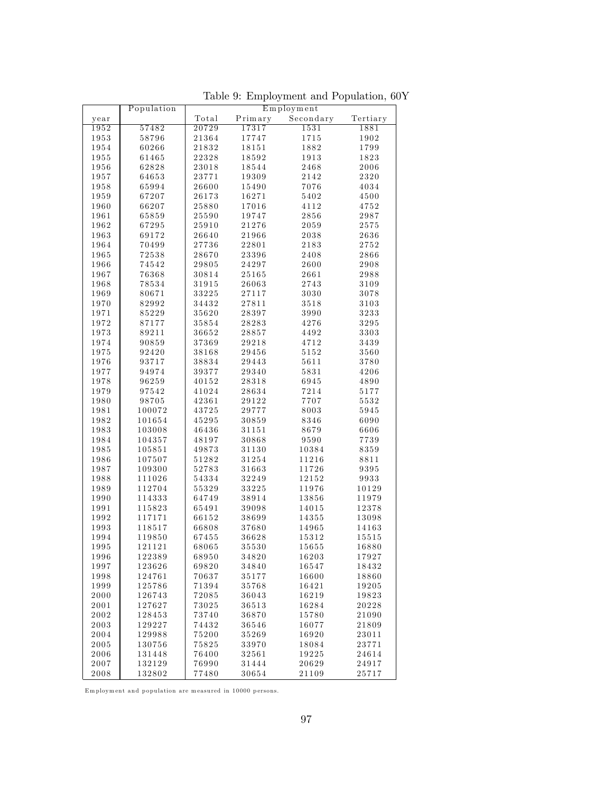|      | Population |       |         | Employment |          |
|------|------------|-------|---------|------------|----------|
| year |            | Total | Primary | Secondary  | Tertiary |
| 1952 | 57482      | 20729 | 17317   | 1531       | 1881     |
| 1953 | 58796      | 21364 | 17747   | 1715       | 1902     |
| 1954 | 60266      | 21832 | 18151   | 1882       | 1799     |
| 1955 | 61465      | 22328 | 18592   | 1913       | 1823     |
| 1956 | 62828      | 23018 | 18544   | 2468       | 2006     |
| 1957 | 64653      | 23771 | 19309   | 2142       | 2320     |
| 1958 | 65994      | 26600 | 15490   | 7076       | 4034     |
| 1959 | 67207      | 26173 | 16271   | 5402       | 4500     |
|      |            |       |         |            |          |
| 1960 | 66207      | 25880 | 17016   | 4112       | 4752     |
| 1961 | 65859      | 25590 | 19747   | 2856       | 2987     |
| 1962 | 67295      | 25910 | 21276   | 2059       | 2575     |
| 1963 | 69172      | 26640 | 21966   | 2038       | 2636     |
| 1964 | 70499      | 27736 | 22801   | 2183       | 2752     |
| 1965 | 72538      | 28670 | 23396   | 2408       | 2866     |
| 1966 | 74542      | 29805 | 24297   | 2600       | 2908     |
| 1967 | 76368      | 30814 | 25165   | 2661       | 2988     |
| 1968 | 78534      | 31915 | 26063   | 2743       | 3109     |
| 1969 | 80671      | 33225 | 27117   | 3030       | 3078     |
| 1970 | 82992      | 34432 | 27811   | 3518       | 3103     |
| 1971 | 85229      | 35620 | 28397   | 3990       | 3233     |
| 1972 | 87177      | 35854 | 28283   | 4276       | 3295     |
| 1973 | 89211      | 36652 | 28857   | 4492       | 3303     |
| 1974 | 90859      | 37369 | 29218   | 4712       | 3439     |
| 1975 | 92420      | 38168 | 29456   | 5152       | 3560     |
| 1976 | 93717      | 38834 | 29443   | 5611       | 3780     |
| 1977 | 94974      | 39377 | 29340   | 5831       | 4206     |
|      |            |       |         | 6945       | 4890     |
| 1978 | 96259      | 40152 | 28318   |            |          |
| 1979 | 97542      | 41024 | 28634   | 7214       | 5177     |
| 1980 | 98705      | 42361 | 29122   | 7707       | 5532     |
| 1981 | 100072     | 43725 | 29777   | 8003       | 5945     |
| 1982 | 101654     | 45295 | 30859   | 8346       | 6090     |
| 1983 | 103008     | 46436 | 31151   | 8679       | 6606     |
| 1984 | 104357     | 48197 | 30868   | 9590       | 7739     |
| 1985 | 105851     | 49873 | 31130   | 10384      | 8359     |
| 1986 | 107507     | 51282 | 31254   | 11216      | 8811     |
| 1987 | 109300     | 52783 | 31663   | 11726      | 9395     |
| 1988 | 111026     | 54334 | 32249   | 12152      | 9933     |
| 1989 | 112704     | 55329 | 33225   | 11976      | 10129    |
| 1990 | 114333     | 64749 | 38914   | 13856      | 11979    |
| 1991 | 115823     | 65491 | 39098   | 14015      | 12378    |
| 1992 | 117171     | 66152 | 38699   | 14355      | 13098    |
| 1993 | 118517     | 66808 | 37680   | 14965      | 14163    |
| 1994 | 119850     | 67455 | 36628   | 15312      | 15515    |
| 1995 | 121121     | 68065 | 35530   | 15655      | 16880    |
| 1996 | 122389     | 68950 | 34820   | 16203      | 17927    |
| 1997 | 123626     | 69820 | 34840   | 16547      | 18432    |
| 1998 | 124761     | 70637 | 35177   | 16600      | 18860    |
| 1999 | 125786     | 71394 | 35768   | 16421      | 19205    |
| 2000 | 126743     | 72085 | 36043   | 16219      | 19823    |
| 2001 |            |       |         |            | 20228    |
|      | 127627     | 73025 | 36513   | 16284      |          |
| 2002 | 128453     | 73740 | 36870   | 15780      | 21090    |
| 2003 | 129227     | 74432 | 36546   | 16077      | 21809    |
| 2004 | 129988     | 75200 | 35269   | 16920      | 23011    |
| 2005 | 130756     | 75825 | 33970   | 18084      | 23771    |
| 2006 | 131448     | 76400 | 32561   | 19225      | 24614    |
| 2007 | 132129     | 76990 | 31444   | 20629      | 24917    |
| 2008 | 132802     | 77480 | 30654   | 21109      | 25717    |

Table 9: Employment and Population, 60Y

Employment and population are measured in  $10000$  persons.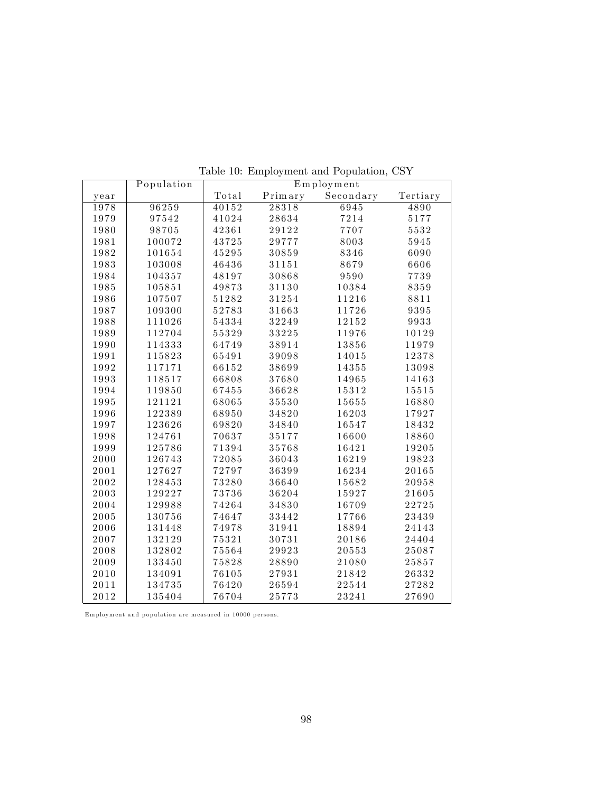|      | Population | Employment |         |           |          |  |
|------|------------|------------|---------|-----------|----------|--|
| year |            | Total      | Primary | Secondary | Tertiary |  |
| 1978 | 96259      | 40152      | 28318   | 6945      | 4890     |  |
| 1979 | 97542      | 41024      | 28634   | 7214      | 5177     |  |
| 1980 | 98705      | 42361      | 29122   | 7707      | 5532     |  |
| 1981 | 100072     | 43725      | 29777   | 8003      | 5945     |  |
| 1982 | 101654     | 45295      | 30859   | 8346      | 6090     |  |
| 1983 | 103008     | 46436      | 31151   | 8679      | 6606     |  |
| 1984 | 104357     | 48197      | 30868   | 9590      | 7739     |  |
| 1985 | 105851     | 49873      | 31130   | 10384     | 8359     |  |
| 1986 | 107507     | 51282      | 31254   | 11216     | 8811     |  |
| 1987 | 109300     | 52783      | 31663   | 11726     | 9395     |  |
| 1988 | 111026     | 54334      | 32249   | 12152     | 9933     |  |
| 1989 | 112704     | 55329      | 33225   | 11976     | 10129    |  |
| 1990 | 114333     | 64749      | 38914   | 13856     | 11979    |  |
| 1991 | 115823     | 65491      | 39098   | 14015     | 12378    |  |
| 1992 | 117171     | 66152      | 38699   | 14355     | 13098    |  |
| 1993 | 118517     | 66808      | 37680   | 14965     | 14163    |  |
| 1994 | 119850     | 67455      | 36628   | 15312     | 15515    |  |
| 1995 | 121121     | 68065      | 35530   | 15655     | 16880    |  |
| 1996 | 122389     | 68950      | 34820   | 16203     | 17927    |  |
| 1997 | 123626     | 69820      | 34840   | 16547     | 18432    |  |
| 1998 | 124761     | 70637      | 35177   | 16600     | 18860    |  |
| 1999 | 125786     | 71394      | 35768   | 16421     | 19205    |  |
| 2000 | 126743     | 72085      | 36043   | 16219     | 19823    |  |
| 2001 | 127627     | 72797      | 36399   | 16234     | 20165    |  |
| 2002 | 128453     | 73280      | 36640   | 15682     | 20958    |  |
| 2003 | 129227     | 73736      | 36204   | 15927     | 21605    |  |
| 2004 | 129988     | 74264      | 34830   | 16709     | 22725    |  |
| 2005 | 130756     | 74647      | 33442   | 17766     | 23439    |  |
| 2006 | 131448     | 74978      | 31941   | 18894     | 24143    |  |
| 2007 | 132129     | 75321      | 30731   | 20186     | 24404    |  |
| 2008 | 132802     | 75564      | 29923   | 20553     | 25087    |  |
| 2009 | 133450     | 75828      | 28890   | 21080     | 25857    |  |
| 2010 | 134091     | 76105      | 27931   | 21842     | 26332    |  |
| 2011 | 134735     | 76420      | 26594   | 22544     | 27282    |  |
| 2012 | 135404     | 76704      | 25773   | 23241     | 27690    |  |

Table 10: Employment and Population, CSY

Em ployment and population are measured in 10000 persons.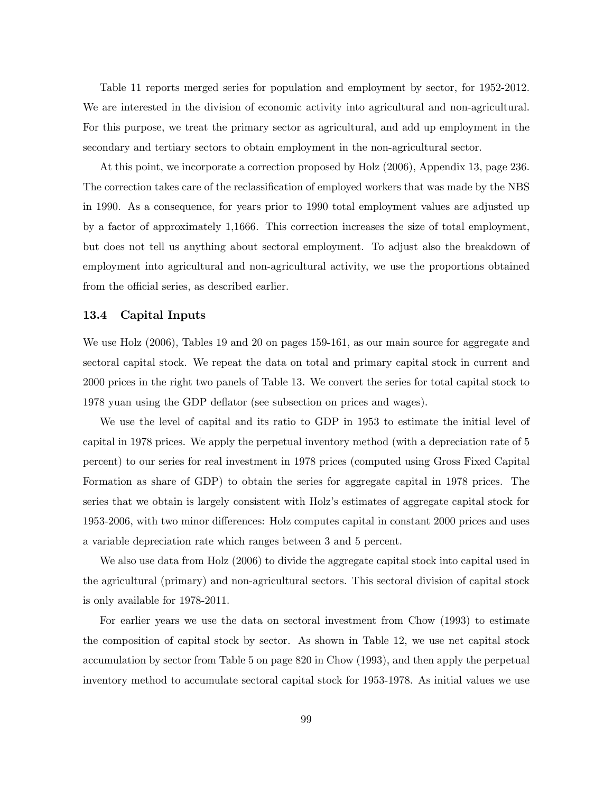Table 11 reports merged series for population and employment by sector, for 1952-2012. We are interested in the division of economic activity into agricultural and non-agricultural. For this purpose, we treat the primary sector as agricultural, and add up employment in the secondary and tertiary sectors to obtain employment in the non-agricultural sector.

At this point, we incorporate a correction proposed by Holz (2006), Appendix 13, page 236. The correction takes care of the reclassification of employed workers that was made by the NBS in 1990. As a consequence, for years prior to 1990 total employment values are adjusted up by a factor of approximately 1,1666. This correction increases the size of total employment, but does not tell us anything about sectoral employment. To adjust also the breakdown of employment into agricultural and non-agricultural activity, we use the proportions obtained from the official series, as described earlier.

# 13.4 Capital Inputs

We use Holz (2006), Tables 19 and 20 on pages 159-161, as our main source for aggregate and sectoral capital stock. We repeat the data on total and primary capital stock in current and 2000 prices in the right two panels of Table 13. We convert the series for total capital stock to 1978 yuan using the GDP deflator (see subsection on prices and wages).

We use the level of capital and its ratio to GDP in 1953 to estimate the initial level of capital in 1978 prices. We apply the perpetual inventory method (with a depreciation rate of 5 percent) to our series for real investment in 1978 prices (computed using Gross Fixed Capital Formation as share of GDP) to obtain the series for aggregate capital in 1978 prices. The series that we obtain is largely consistent with Holz's estimates of aggregate capital stock for 1953-2006, with two minor differences: Holz computes capital in constant 2000 prices and uses a variable depreciation rate which ranges between 3 and 5 percent.

We also use data from Holz (2006) to divide the aggregate capital stock into capital used in the agricultural (primary) and non-agricultural sectors. This sectoral division of capital stock is only available for 1978-2011.

For earlier years we use the data on sectoral investment from Chow (1993) to estimate the composition of capital stock by sector. As shown in Table 12, we use net capital stock accumulation by sector from Table 5 on page 820 in Chow (1993), and then apply the perpetual inventory method to accumulate sectoral capital stock for 1953-1978. As initial values we use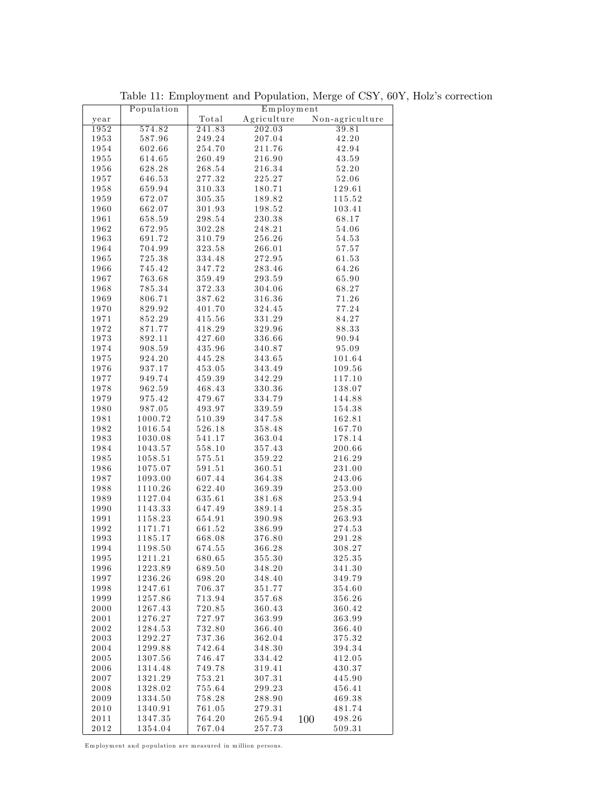|              | Population         |                  | $Em$ ployment    |                  |
|--------------|--------------------|------------------|------------------|------------------|
| year         |                    | Total            | Agriculture      | Non-agriculture  |
| 1952         | 574.82             | 241.83           | 202.03           | 39.81            |
| 1953         | 587.96             | 249.24           | 207.04           | 42.20            |
| 1954         | 602.66             | 254.70           | 211.76           | 42.94            |
| 1955         | 614.65             | 260.49           | 216.90           | 43.59            |
| 1956         | 628.28             | 268.54           | 216.34           | 52.20            |
| 1957         | 646.53             | 277.32           | 225.27           | $52.06\,$        |
| 1958         | 659.94             | 310.33           | 180.71           | 129.61           |
| 1959         | 672.07             | 305.35           | 189.82           | 115.52           |
| 1960         | 662.07             | 301.93           | 198.52           | 103.41           |
| 1961         | 658.59             | 298.54           | 230.38           | 68.17            |
| 1962         | 672.95             | 302.28           | 248.21           | 54.06            |
| 1963         | 691.72             | 310.79           | 256.26           | 54.53            |
| 1964         | 704.99             | 323.58           | 266.01           | 57.57            |
| 1965         | 725.38             | 334.48           | 272.95           | 61.53            |
| 1966         | 745.42             | 347.72           | 283.46           | 64.26            |
| 1967         | 763.68             | 359.49           | 293.59           | 65.90            |
| 1968         | 785.34             | 372.33           | 304.06           | 68.27            |
| 1969         | 806.71             | 387.62           | 316.36           | 71.26            |
| 1970         | 829.92             | 401.70           | 324.45           | 77.24            |
| 1971         | 852.29             | 415.56           | $3\,3\,1.2\,9$   | 84.27            |
| 1972         | 871.77             | 418.29           | 329.96           | 88.33            |
| 1973         | 892.11             | 427.60           | 336.66           | 90.94            |
| 1974         | 908.59             | 435.96           | 340.87           | 95.09            |
| 1975         | 924.20             | 445.28           | 343.65           | 101.64           |
| 1976         | 937.17             | 453.05           | 343.49           | 109.56           |
| 1977         | 949.74             | 459.39           | 342.29           | 117.10           |
| 1978         | 962.59             | 468.43           | 330.36           | 138.07           |
| 1979         | 975.42             | 479.67           | 334.79           | 144.88           |
| 1980         | 987.05             | 493.97           | $3\,3\,9\,.5\,9$ | 154.38           |
| 1981         | 1000.72            | 510.39           | 347.58           | 162.81           |
| 1982         | 1016.54            | 526.18           | 358.48           | 167.70           |
| 1983         | 1030.08            | 541.17           | 363.04           | 178.14           |
| 1984         | 1043.57            | 558.10           | 357.43           | 200.66           |
| 1985         | 1058.51            | 575.51           | 359.22           | 216.29           |
| 1986         | 1075.07            | 591.51           | 360.51           | 231.00           |
| 1987         | 1093.00            | 607.44           | 364.38           | 243.06           |
| 1988         | 1110.26            | 622.40           | 369.39           | 253.00           |
| 1989         | 1127.04            | 635.61           | 381.68           | 253.94           |
| 1990         | 1143.33            | 647.49           | 389.14           | 258.35           |
| 1991         | 1158.23            | 654.91           | 390.98           | 263.93           |
| 1992         | 1171.71            | 661.52           | 386.99           | 274.53           |
| 1993         | 1185.17            | 668.08           | 376.80           | 291.28           |
| 1994         | 1198.50            | 674.55           | 366.28           | 308.27           |
| 1995         | 1211.21            | 680.65           | 355.30<br>348.20 | 325.35           |
| 1996<br>1997 | 1223.89<br>1236.26 | 689.50<br>698.20 | 348.40           | 341.30<br>349.79 |
| 1998         | 1247.61            | 706.37           | 351.77           | 354.60           |
| 1999         | 1257.86            | 713.94           | 357.68           | 356.26           |
| 2000         | 1267.43            | 720.85           | 360.43           | 360.42           |
| 2001         | 1276.27            | 727.97           | 363.99           | 363.99           |
| 2002         | 1284.53            | 732.80           | 366.40           | 366.40           |
| 2003         | 1292.27            | 737.36           | 362.04           | 375.32           |
| 2004         | 1299.88            | 742.64           | 348.30           | 394.34           |
| 2005         | 1307.56            | 746.47           | 334.42           | 412.05           |
| 2006         | 1314.48            | 749.78           | 319.41           | 430.37           |
| 2007         | 1321.29            | 753.21           | 307.31           | 445.90           |
| 2008         | 1328.02            | 755.64           | 299.23           | 456.41           |
| 2009         | 1334.50            | 758.28           | 288.90           | 469.38           |
| 2010         | 1340.91            | 761.05           | 279.31           | 481.74           |
| $2\,0\,1\,1$ | 1347.35            | 764.20           | 265.94           | 100<br>498.26    |
| 2012         | 1354.04            | 767.04           | 257.73           | 509.31           |
|              |                    |                  |                  |                  |

Table 11: Employment and Population, Merge of CSY,  $60\%$  Holz's correction

Em ployment and population are measured in million persons.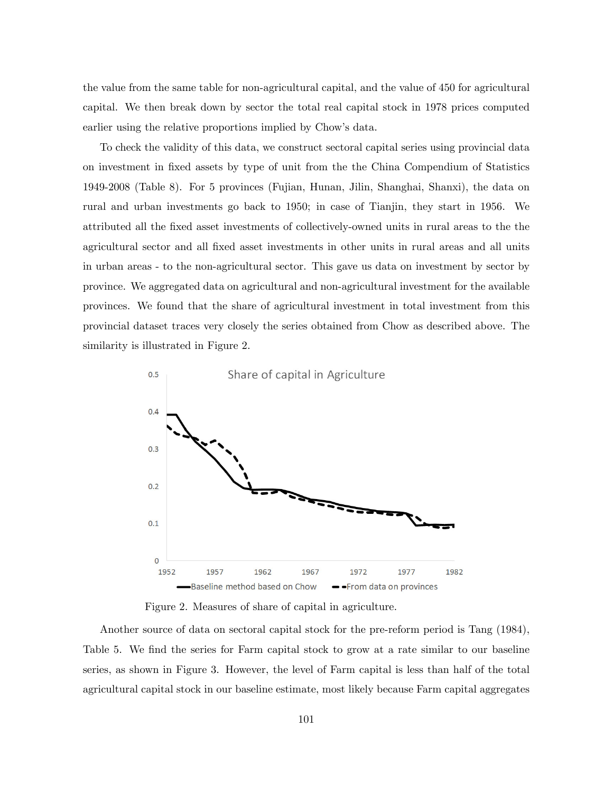the value from the same table for non-agricultural capital, and the value of 450 for agricultural capital. We then break down by sector the total real capital stock in 1978 prices computed earlier using the relative proportions implied by Chow's data.

To check the validity of this data, we construct sectoral capital series using provincial data on investment in Öxed assets by type of unit from the the China Compendium of Statistics 1949-2008 (Table 8). For 5 provinces (Fujian, Hunan, Jilin, Shanghai, Shanxi), the data on rural and urban investments go back to 1950; in case of Tianjin, they start in 1956. We attributed all the Öxed asset investments of collectively-owned units in rural areas to the the agricultural sector and all Öxed asset investments in other units in rural areas and all units in urban areas - to the non-agricultural sector. This gave us data on investment by sector by province. We aggregated data on agricultural and non-agricultural investment for the available provinces. We found that the share of agricultural investment in total investment from this provincial dataset traces very closely the series obtained from Chow as described above. The similarity is illustrated in Figure 2.



Figure 2. Measures of share of capital in agriculture.

Another source of data on sectoral capital stock for the pre-reform period is Tang (1984), Table 5. We find the series for Farm capital stock to grow at a rate similar to our baseline series, as shown in Figure 3. However, the level of Farm capital is less than half of the total agricultural capital stock in our baseline estimate, most likely because Farm capital aggregates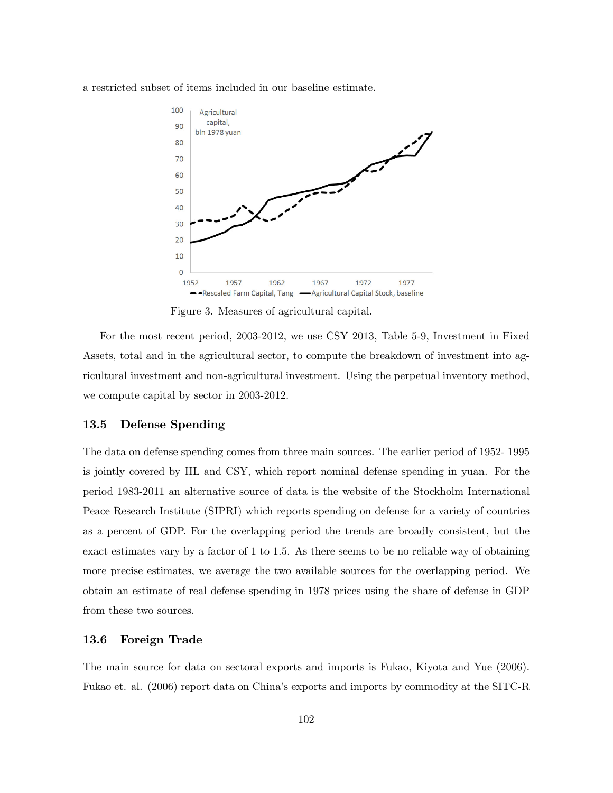a restricted subset of items included in our baseline estimate.



Figure 3. Measures of agricultural capital.

For the most recent period, 2003-2012, we use CSY 2013, Table 5-9, Investment in Fixed Assets, total and in the agricultural sector, to compute the breakdown of investment into agricultural investment and non-agricultural investment. Using the perpetual inventory method, we compute capital by sector in 2003-2012.

# 13.5 Defense Spending

The data on defense spending comes from three main sources. The earlier period of 1952- 1995 is jointly covered by HL and CSY, which report nominal defense spending in yuan. For the period 1983-2011 an alternative source of data is the website of the Stockholm International Peace Research Institute (SIPRI) which reports spending on defense for a variety of countries as a percent of GDP. For the overlapping period the trends are broadly consistent, but the exact estimates vary by a factor of 1 to 1.5. As there seems to be no reliable way of obtaining more precise estimates, we average the two available sources for the overlapping period. We obtain an estimate of real defense spending in 1978 prices using the share of defense in GDP from these two sources.

# 13.6 Foreign Trade

The main source for data on sectoral exports and imports is Fukao, Kiyota and Yue (2006). Fukao et. al. (2006) report data on Chinaís exports and imports by commodity at the SITC-R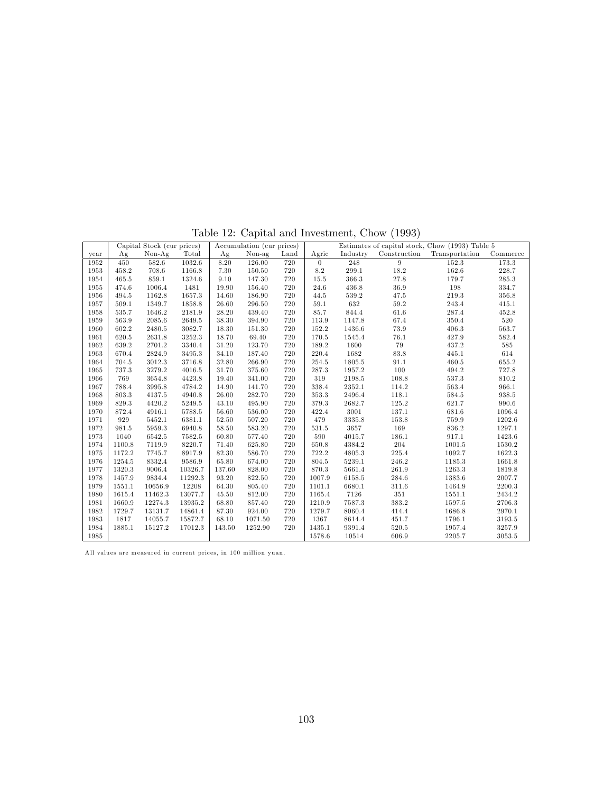Table 12: Capital and Investment, Chow (1993)

|      |        | Capital Stock (cur prices) |         |        | Accumulation (cur prices) |      | Estimates of capital stock, Chow $(1993)$ Table 5 |          |              |                |          |  |
|------|--------|----------------------------|---------|--------|---------------------------|------|---------------------------------------------------|----------|--------------|----------------|----------|--|
| year | Ag     | $Non-Ag$                   | Total   | Ag     | Non-ag                    | Land | Agric                                             | Industry | Construction | Transportation | Commerce |  |
| 1952 | 450    | 582.6                      | 1032.6  | 8.20   | 126.00                    | 720  | $\theta$                                          | 248      | 9            | 152.3          | 173.3    |  |
| 1953 | 458.2  | 708.6                      | 1166.8  | 7.30   | 150.50                    | 720  | 8.2                                               | 299.1    | 18.2         | 162.6          | 228.7    |  |
| 1954 | 465.5  | 859.1                      | 1324.6  | 9.10   | 147.30                    | 720  | 15.5                                              | 366.3    | 27.8         | 179.7          | 285.3    |  |
| 1955 | 474.6  | 1006.4                     | 1481    | 19.90  | 156.40                    | 720  | 24.6                                              | 436.8    | 36.9         | 198            | 334.7    |  |
| 1956 | 494.5  | 1162.8                     | 1657.3  | 14.60  | 186.90                    | 720  | 44.5                                              | 539.2    | 47.5         | 219.3          | 356.8    |  |
| 1957 | 509.1  | 1349.7                     | 1858.8  | 26.60  | 296.50                    | 720  | 59.1                                              | 632      | 59.2         | 243.4          | 415.1    |  |
| 1958 | 535.7  | 1646.2                     | 2181.9  | 28.20  | 439.40                    | 720  | 85.7                                              | 844.4    | 61.6         | 287.4          | 452.8    |  |
| 1959 | 563.9  | 2085.6                     | 2649.5  | 38.30  | 394.90                    | 720  | 113.9                                             | 1147.8   | 67.4         | 350.4          | 520      |  |
| 1960 | 602.2  | 2480.5                     | 3082.7  | 18.30  | 151.30                    | 720  | 152.2                                             | 1436.6   | 73.9         | 406.3          | 563.7    |  |
| 1961 | 620.5  | 2631.8                     | 3252.3  | 18.70  | 69.40                     | 720  | 170.5                                             | 1545.4   | 76.1         | 427.9          | 582.4    |  |
| 1962 | 639.2  | 2701.2                     | 3340.4  | 31.20  | 123.70                    | 720  | 189.2                                             | 1600     | 79           | 437.2          | 585      |  |
| 1963 | 670.4  | 2824.9                     | 3495.3  | 34.10  | 187.40                    | 720  | 220.4                                             | 1682     | 83.8         | 445.1          | 614      |  |
| 1964 | 704.5  | 3012.3                     | 3716.8  | 32.80  | 266.90                    | 720  | 254.5                                             | 1805.5   | 91.1         | 460.5          | 655.2    |  |
| 1965 | 737.3  | 3279.2                     | 4016.5  | 31.70  | 375.60                    | 720  | 287.3                                             | 1957.2   | 100          | 494.2          | 727.8    |  |
| 1966 | 769    | 3654.8                     | 4423.8  | 19.40  | 341.00                    | 720  | 319                                               | 2198.5   | 108.8        | 537.3          | 810.2    |  |
| 1967 | 788.4  | 3995.8                     | 4784.2  | 14.90  | 141.70                    | 720  | 338.4                                             | 2352.1   | 114.2        | 563.4          | 966.1    |  |
| 1968 | 803.3  | 4137.5                     | 4940.8  | 26.00  | 282.70                    | 720  | 353.3                                             | 2496.4   | 118.1        | 584.5          | 938.5    |  |
| 1969 | 829.3  | 4420.2                     | 5249.5  | 43.10  | 495.90                    | 720  | 379.3                                             | 2682.7   | 125.2        | 621.7          | 990.6    |  |
| 1970 | 872.4  | 4916.1                     | 5788.5  | 56.60  | 536.00                    | 720  | 422.4                                             | 3001     | 137.1        | 681.6          | 1096.4   |  |
| 1971 | 929    | 5452.1                     | 6381.1  | 52.50  | 507.20                    | 720  | 479                                               | 3335.8   | 153.8        | 759.9          | 1202.6   |  |
| 1972 | 981.5  | 5959.3                     | 6940.8  | 58.50  | 583.20                    | 720  | 531.5                                             | 3657     | 169          | 836.2          | 1297.1   |  |
| 1973 | 1040   | 6542.5                     | 7582.5  | 60.80  | 577.40                    | 720  | 590                                               | 4015.7   | 186.1        | 917.1          | 1423.6   |  |
| 1974 | 1100.8 | 7119.9                     | 8220.7  | 71.40  | 625.80                    | 720  | 650.8                                             | 4384.2   | 204          | 1001.5         | 1530.2   |  |
| 1975 | 1172.2 | 7745.7                     | 8917.9  | 82.30  | 586.70                    | 720  | 722.2                                             | 4805.3   | 225.4        | 1092.7         | 1622.3   |  |
| 1976 | 1254.5 | 8332.4                     | 9586.9  | 65.80  | 674.00                    | 720  | 804.5                                             | 5239.1   | 246.2        | 1185.3         | 1661.8   |  |
| 1977 | 1320.3 | 9006.4                     | 10326.7 | 137.60 | 828.00                    | 720  | 870.3                                             | 5661.4   | 261.9        | 1263.3         | 1819.8   |  |
| 1978 | 1457.9 | 9834.4                     | 11292.3 | 93.20  | 822.50                    | 720  | 1007.9                                            | 6158.5   | 284.6        | 1383.6         | 2007.7   |  |
| 1979 | 1551.1 | 10656.9                    | 12208   | 64.30  | 805.40                    | 720  | 1101.1                                            | 6680.1   | 311.6        | 1464.9         | 2200.3   |  |
| 1980 | 1615.4 | 11462.3                    | 13077.7 | 45.50  | 812.00                    | 720  | 1165.4                                            | 7126     | 351          | 1551.1         | 2434.2   |  |
| 1981 | 1660.9 | 12274.3                    | 13935.2 | 68.80  | 857.40                    | 720  | 1210.9                                            | 7587.3   | 383.2        | 1597.5         | 2706.3   |  |
| 1982 | 1729.7 | 13131.7                    | 14861.4 | 87.30  | 924.00                    | 720  | 1279.7                                            | 8060.4   | 414.4        | 1686.8         | 2970.1   |  |
| 1983 | 1817   | 14055.7                    | 15872.7 | 68.10  | 1071.50                   | 720  | 1367                                              | 8614.4   | 451.7        | 1796.1         | 3193.5   |  |
| 1984 | 1885.1 | 15127.2                    | 17012.3 | 143.50 | 1252.90                   | 720  | 1435.1                                            | 9391.4   | 520.5        | 1957.4         | 3257.9   |  |
| 1985 |        |                            |         |        |                           |      | 1578.6                                            | 10514    | 606.9        | 2205.7         | 3053.5   |  |

All values are measured in current prices, in 100 million yuan.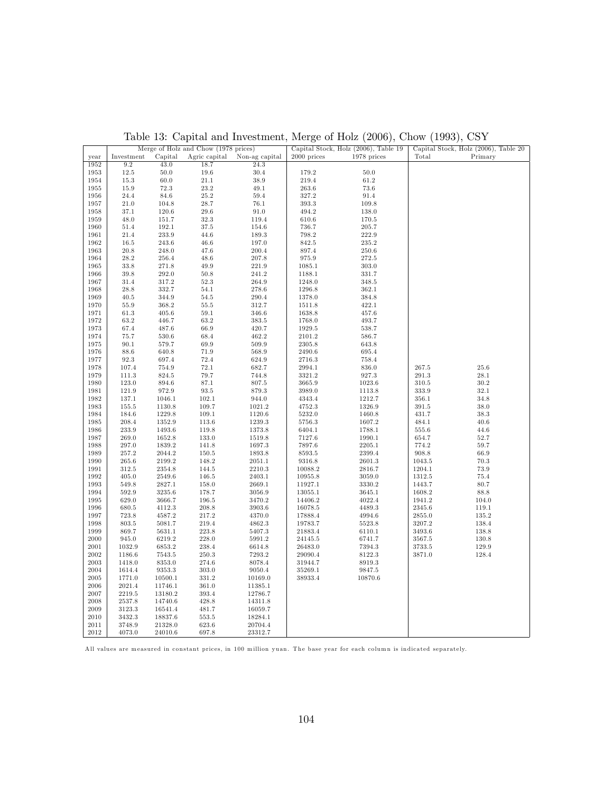|      | Merge of Holz and Chow (1978 prices) |           |               |                |             | Capital Stock, Holz (2006), Table 19 | Capital Stock, Holz (2006), Table 20 |          |  |  |
|------|--------------------------------------|-----------|---------------|----------------|-------------|--------------------------------------|--------------------------------------|----------|--|--|
| year | Investment                           | Capital   | Agric capital | Non-ag capital | 2000 prices | 1978 prices                          | Total                                | Primary  |  |  |
| 1952 | 9.2                                  | 43.0      | 18.7          | 24.3           |             |                                      |                                      |          |  |  |
| 1953 | $12.5\,$                             | 50.0      | 19.6          | 30.4           | 179.2       | 50.0                                 |                                      |          |  |  |
| 1954 | $15.3\,$                             | 60.0      | $21.1\,$      | 38.9           | 219.4       | 61.2                                 |                                      |          |  |  |
| 1955 | 15.9                                 | 72.3      | 23.2          | 49.1           | 263.6       | 73.6                                 |                                      |          |  |  |
| 1956 | 24.4                                 | 84.6      | 25.2          | 59.4           | 327.2       | 91.4                                 |                                      |          |  |  |
| 1957 | 21.0                                 | 104.8     | 28.7          | 76.1           | 393.3       | 109.8                                |                                      |          |  |  |
| 1958 | 37.1                                 | 120.6     | $29.6\,$      | $91.0\,$       | 494.2       | 138.0                                |                                      |          |  |  |
| 1959 | 48.0                                 | 151.7     | 32.3          | 119.4          | 610.6       | 170.5                                |                                      |          |  |  |
|      |                                      |           |               |                |             |                                      |                                      |          |  |  |
| 1960 | 51.4                                 | 192.1     | 37.5          | 154.6          | 736.7       | 205.7                                |                                      |          |  |  |
| 1961 | 21.4                                 | 233.9     | 44.6          | 189.3          | 798.2       | 222.9                                |                                      |          |  |  |
| 1962 | $16.5\,$                             | 243.6     | 46.6          | 197.0          | 842.5       | 235.2                                |                                      |          |  |  |
| 1963 | 20.8                                 | 248.0     | 47.6          | 200.4          | 897.4       | 250.6                                |                                      |          |  |  |
| 1964 | 28.2                                 | 256.4     | 48.6          | 207.8          | 975.9       | 272.5                                |                                      |          |  |  |
| 1965 | 33.8                                 | 271.8     | 49.9          | 221.9          | 1085.1      | 303.0                                |                                      |          |  |  |
| 1966 | 39.8                                 | 292.0     | 50.8          | 241.2          | 1188.1      | 331.7                                |                                      |          |  |  |
| 1967 | 31.4                                 | 317.2     | 52.3          | 264.9          | 1248.0      | 348.5                                |                                      |          |  |  |
| 1968 | 28.8                                 | 332.7     | 54.1          | 278.6          | 1296.8      | 362.1                                |                                      |          |  |  |
| 1969 | 40.5                                 | 344.9     | 54.5          | 290.4          | 1378.0      | 384.8                                |                                      |          |  |  |
| 1970 | $55.9\,$                             | 368.2     | 55.5          | 312.7          | 1511.8      | 422.1                                |                                      |          |  |  |
| 1971 | 61.3                                 | $405.6\,$ | $59.1\,$      | 346.6          | 1638.8      | 457.6                                |                                      |          |  |  |
| 1972 | 63.2                                 | 446.7     | 63.2          | 383.5          | 1768.0      | 493.7                                |                                      |          |  |  |
| 1973 | 67.4                                 | 487.6     | 66.9          | 420.7          | 1929.5      | 538.7                                |                                      |          |  |  |
| 1974 | 75.7                                 | 530.6     | 68.4          | 462.2          | 2101.2      | 586.7                                |                                      |          |  |  |
| 1975 | $90.1\,$                             | 579.7     | 69.9          | 509.9          | 2305.8      | 643.8                                |                                      |          |  |  |
| 1976 | 88.6                                 | 640.8     | 71.9          | 568.9          | 2490.6      | 695.4                                |                                      |          |  |  |
| 1977 | 92.3                                 | 697.4     | 72.4          | 624.9          | 2716.3      | 758.4                                |                                      |          |  |  |
|      |                                      |           |               |                |             |                                      |                                      |          |  |  |
| 1978 | 107.4                                | 754.9     | 72.1          | 682.7          | 2994.1      | 836.0                                | 267.5                                | $25.6\,$ |  |  |
| 1979 | 111.3                                | 824.5     | 79.7          | 744.8          | 3321.2      | 927.3                                | 291.3                                | $28.1\,$ |  |  |
| 1980 | 123.0                                | 894.6     | 87.1          | 807.5          | 3665.9      | 1023.6                               | 310.5                                | $30.2\,$ |  |  |
| 1981 | 121.9                                | 972.9     | 93.5          | 879.3          | 3989.0      | 1113.8                               | 333.9                                | 32.1     |  |  |
| 1982 | 137.1                                | 1046.1    | 102.1         | 944.0          | 4343.4      | 1212.7                               | 356.1                                | 34.8     |  |  |
| 1983 | 155.5                                | 1130.8    | 109.7         | 1021.2         | 4752.3      | 1326.9                               | 391.5                                | $38.0\,$ |  |  |
| 1984 | 184.6                                | 1229.8    | $109.1\,$     | 1120.6         | 5232.0      | 1460.8                               | 431.7                                | $38.3\,$ |  |  |
| 1985 | 208.4                                | 1352.9    | 113.6         | 1239.3         | 5756.3      | 1607.2                               | 484.1                                | $40.6\,$ |  |  |
| 1986 | 233.9                                | 1493.6    | 119.8         | 1373.8         | 6404.1      | 1788.1                               | 555.6                                | 44.6     |  |  |
| 1987 | 269.0                                | 1652.8    | 133.0         | 1519.8         | 7127.6      | 1990.1                               | 654.7                                | $52.7\,$ |  |  |
| 1988 | 297.0                                | 1839.2    | 141.8         | 1697.3         | 7897.6      | 2205.1                               | 774.2                                | 59.7     |  |  |
| 1989 | 257.2                                | 2044.2    | 150.5         | 1893.8         | 8593.5      | 2399.4                               | 908.8                                | 66.9     |  |  |
| 1990 | 265.6                                | 2199.2    | 148.2         | 2051.1         | 9316.8      | 2601.3                               | 1043.5                               | $70.3\,$ |  |  |
| 1991 | 312.5                                | 2354.8    | 144.5         | 2210.3         | 10088.2     | 2816.7                               | 1204.1                               | $73.9\,$ |  |  |
| 1992 | 405.0                                | 2549.6    | 146.5         | 2403.1         | 10955.8     | 3059.0                               | 1312.5                               | 75.4     |  |  |
| 1993 | 549.8                                | 2827.1    | 158.0         | 2669.1         | 11927.1     | 3330.2                               | 1443.7                               | 80.7     |  |  |
| 1994 | 592.9                                | 3235.6    | 178.7         | 3056.9         | 13055.1     | 3645.1                               | 1608.2                               | 88.8     |  |  |
| 1995 | 629.0                                | 3666.7    | 196.5         | 3470.2         | 14406.2     | 4022.4                               | 1941.2                               | 104.0    |  |  |
| 1996 | 680.5                                | 4112.3    | 208.8         | 3903.6         | 16078.5     | 4489.3                               | 2345.6                               | 119.1    |  |  |
| 1997 | 723.8                                | 4587.2    | 217.2         | 4370.0         | 17888.4     | 4994.6                               | 2855.0                               | 135.2    |  |  |
| 1998 | 803.5                                | 5081.7    | 219.4         | 4862.3         | 19783.7     | 5523.8                               | 3207.2                               | 138.4    |  |  |
| 1999 | 869.7                                | 5631.1    | 223.8         | 5407.3         | 21883.4     | 6110.1                               | 3493.6                               | 138.8    |  |  |
| 2000 | 945.0                                | 6219.2    | 228.0         | 5991.2         | 24145.5     | 6741.7                               | $3567.5\,$                           | 130.8    |  |  |
| 2001 | 1032.9                               | 6853.2    | 238.4         | 6614.8         | 26483.0     | 7394.3                               | 3733.5                               | 129.9    |  |  |
| 2002 | 1186.6                               | 7543.5    | 250.3         | 7293.2         | 29090.4     | 8122.3                               | 3871.0                               | 128.4    |  |  |
| 2003 | 1418.0                               | 8353.0    | 274.6         | 8078.4         | 31944.7     | 8919.3                               |                                      |          |  |  |
|      |                                      |           |               |                |             |                                      |                                      |          |  |  |
| 2004 | 1614.4                               | 9353.3    | 303.0         | 9050.4         | 35269.1     | 9847.5                               |                                      |          |  |  |
| 2005 | 1771.0                               | 10500.1   | 331.2         | 10169.0        | 38933.4     | 10870.6                              |                                      |          |  |  |
| 2006 | 2021.4                               | 11746.1   | 361.0         | 11385.1        |             |                                      |                                      |          |  |  |
| 2007 | 2219.5                               | 13180.2   | 393.4         | 12786.7        |             |                                      |                                      |          |  |  |
| 2008 | 2537.8                               | 14740.6   | 428.8         | 14311.8        |             |                                      |                                      |          |  |  |
| 2009 | 3123.3                               | 16541.4   | 481.7         | 16059.7        |             |                                      |                                      |          |  |  |
| 2010 | 3432.3                               | 18837.6   | 553.5         | 18284.1        |             |                                      |                                      |          |  |  |
| 2011 | 3748.9                               | 21328.0   | 623.6         | 20704.4        |             |                                      |                                      |          |  |  |
| 2012 | 4073.0                               | 24010.6   | 697.8         | 23312.7        |             |                                      |                                      |          |  |  |

Table 13: Capital and Investment, Merge of Holz (2006), Chow (1993), CSY

All values are measured in constant prices, in 100 million yuan. The base year for each column is indicated separately.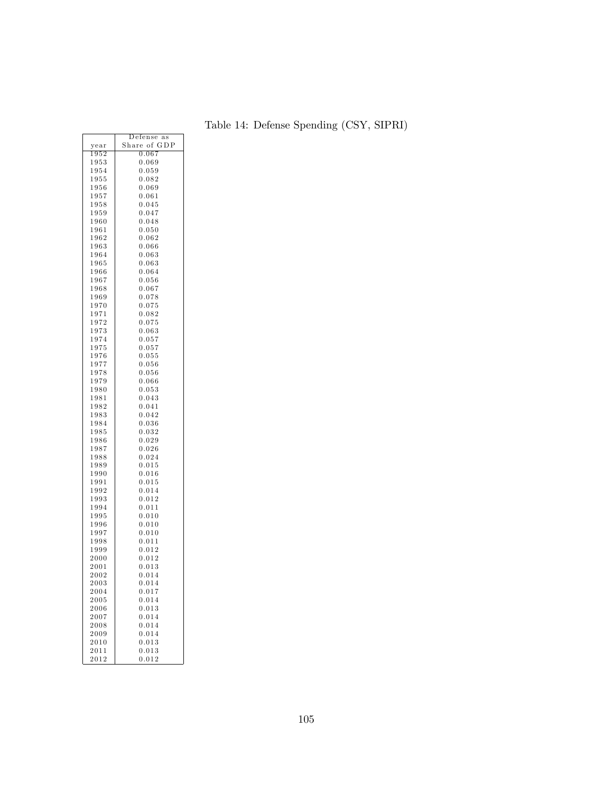|              | Defense<br>as   |
|--------------|-----------------|
| year         | Share of<br>GDP |
| $_{1952}$    | 0.067           |
| 1953         | 0.069           |
| 1954         | 0.059           |
| $_{1955}$    | $_{0.082}$      |
| $_{1956}$    | $_{0.069}$      |
| 1957         | 0.061           |
| $_{1958}$    | 0.045           |
| $_{1959}$    | 0.047           |
| $_{1960}$    | 0.048           |
| 1961         | $_{0.050}$      |
| 1962         | $_{0.062}$      |
| $_{1963}$    | $_{0.066}$      |
| 1964         | $_{0.063}$      |
| 1965         | 0.063           |
| 1966         | $_{0.064}$      |
| $_{1967}$    | 0.056           |
| $_{1968}$    | 0.067           |
| $_{1969}$    | 0.078           |
| 1970         | $_{0.075}$      |
| 1971         | $_{0.082}$      |
| 1972         | 0.075           |
| 1973         | $_{0.063}$      |
| 1974         | 0.057           |
| 1975         | 0.057           |
| 1976         | 0.055           |
| 1977         | 0.056           |
| 1978         | $_{0.056}$      |
| 1979         | $_{0.066}$      |
| $_{1980}$    | 0.053           |
| 1981         | 0.043           |
| 1982         | 0.041           |
| 1983         | 0.042           |
| 1984         | $_{0.036}$      |
| 1985         | $_{0.032}$      |
| $_{1986}$    | 0.029           |
| 1987<br>1988 | 0.026<br>0.024  |
| $_{1989}$    | $_{0.015}$      |
| $_{1990}$    | 0.016           |
| 1991         | $_{0.015}$      |
| 1992         | 0.014           |
| 1993         | 0.012           |
| 1994         | $_{0.011}$      |
| 1995         | $_{0.010}$      |
| 1996         | $_{0.010}$      |
| 1997         | 0.010           |
| 1998         | 0.011           |
| 1999         | $_{0.012}$      |
| 2000         | 0.012           |
| $^{2001}$    | $_{0.013}$      |
| $_{2002}$    | 0.014           |
| 2003         | 0.014           |
| $_{2004}$    | 0.017           |
| 2005         | 0.014           |
| 2006         | 0.013           |
| 2007         | 0.014           |
| $_{2008}$    | 0.014           |
| 2009         | 0.014           |
| 2010         | 0.013           |
| 2011         | 0.013           |
| 2012         | $_{0.012}$      |

|  | Table 14: Defense Spending (CSY, SIPRI) |  |
|--|-----------------------------------------|--|
|  |                                         |  |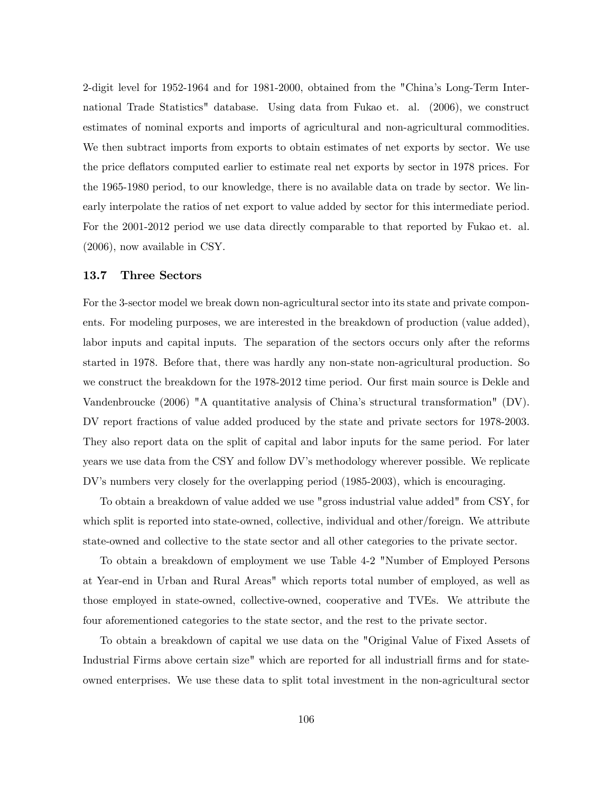2-digit level for 1952-1964 and for 1981-2000, obtained from the "Chinaís Long-Term International Trade Statistics" database. Using data from Fukao et. al. (2006), we construct estimates of nominal exports and imports of agricultural and non-agricultural commodities. We then subtract imports from exports to obtain estimates of net exports by sector. We use the price deáators computed earlier to estimate real net exports by sector in 1978 prices. For the 1965-1980 period, to our knowledge, there is no available data on trade by sector. We linearly interpolate the ratios of net export to value added by sector for this intermediate period. For the 2001-2012 period we use data directly comparable to that reported by Fukao et. al. (2006), now available in CSY.

#### 13.7 Three Sectors

For the 3-sector model we break down non-agricultural sector into its state and private components. For modeling purposes, we are interested in the breakdown of production (value added), labor inputs and capital inputs. The separation of the sectors occurs only after the reforms started in 1978. Before that, there was hardly any non-state non-agricultural production. So we construct the breakdown for the 1978-2012 time period. Our first main source is Dekle and Vandenbroucke (2006) "A quantitative analysis of China's structural transformation" (DV). DV report fractions of value added produced by the state and private sectors for 1978-2003. They also report data on the split of capital and labor inputs for the same period. For later years we use data from the CSY and follow DV's methodology wherever possible. We replicate DV's numbers very closely for the overlapping period (1985-2003), which is encouraging.

To obtain a breakdown of value added we use "gross industrial value added" from CSY, for which split is reported into state-owned, collective, individual and other/foreign. We attribute state-owned and collective to the state sector and all other categories to the private sector.

To obtain a breakdown of employment we use Table 4-2 "Number of Employed Persons at Year-end in Urban and Rural Areas" which reports total number of employed, as well as those employed in state-owned, collective-owned, cooperative and TVEs. We attribute the four aforementioned categories to the state sector, and the rest to the private sector.

To obtain a breakdown of capital we use data on the "Original Value of Fixed Assets of Industrial Firms above certain size" which are reported for all industriall firms and for stateowned enterprises. We use these data to split total investment in the non-agricultural sector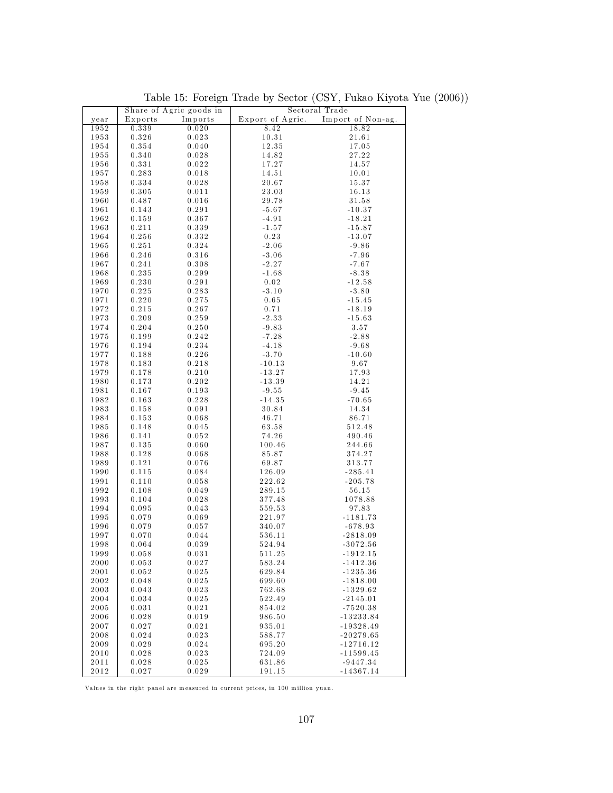|              |           | Share of Agric goods in |                  | Sectoral Trade    |
|--------------|-----------|-------------------------|------------------|-------------------|
| year         | Exports   | Imports                 | Export of Agric. | Import of Non-ag. |
| 1952         | 0.339     | 0.020                   | 8.42             | 18.82             |
| 1953         | 0.326     | 0.023                   | 10.31            | 21.61             |
| 1954         | 0.354     | 0.040                   | 12.35            | 17.05             |
|              |           |                         |                  |                   |
| 1955         | 0.340     | 0.028                   | 14.82            | 27.22             |
| 1956         | 0.331     | 0.022                   | 17.27            | 14.57             |
| 1957         | 0.283     | 0.018                   | 14.51            | 10.01             |
| 1958         | 0.334     | 0.028                   | 20.67            | 15.37             |
| 1959         | 0.305     | 0.011                   | 23.03            | 16.13             |
| 1960         | 0.487     | 0.016                   | 29.78            | 31.58             |
| 1961         | 0.143     | 0.291                   | $-5.67$          | $-10.37$          |
| 1962         | 0.159     | 0.367                   | $-4.91$          | $-18.21$          |
| 1963         | 0.211     | 0.339                   | $-1.57$          | $-15.87$          |
|              |           |                         |                  |                   |
| 1964         | 0.256     | 0.332                   | 0.23             | $-13.07$          |
| 1965         | 0.251     | 0.324                   | $-2.06$          | $-9.86$           |
| 1966         | 0.246     | 0.316                   | $-3.06$          | $-7.96$           |
| 1967         | 0.241     | 0.308                   | $-2.27$          | $-7.67$           |
| 1968         | 0.235     | 0.299                   | $-1.68$          | $-8.38$           |
| 1969         | 0.230     | 0.291                   | 0.02             | $-12.58$          |
| 1970         | 0.225     | 0.283                   | $-3.10$          | $-3.80$           |
| 1971         | 0.220     | 0.275                   | $0.65\,$         | $-15.45$          |
| 1972         | 0.215     | 0.267                   | 0.71             | $-18.19$          |
| 1973         | 0.209     | 0.259                   | $-2.33$          | $-15.63$          |
|              |           |                         |                  |                   |
| 1974         | 0.204     | 0.250                   | $-9.83$          | 3.57              |
| 1975         | 0.199     | 0.242                   | $-7.28$          | $-2.88$           |
| 1976         | 0.194     | 0.234                   | $-4.18$          | $-9.68$           |
| 1977         | 0.188     | 0.226                   | $-3.70$          | $-10.60$          |
| 1978         | 0.183     | 0.218                   | $-10.13$         | 9.67              |
| 1979         | 0.178     | 0.210                   | $-13.27$         | 17.93             |
| 1980         | 0.173     | 0.202                   | $-13.39$         | 14.21             |
| 1981         | 0.167     | 0.193                   | $-9.55$          | $-9.45$           |
| 1982         | 0.163     | 0.228                   | $-14.35$         | $-70.65$          |
| 1983         | 0.158     | 0.091                   | 30.84            | 14.34             |
| 1984         | 0.153     | 0.068                   | 46.71            | 86.71             |
|              |           |                         |                  |                   |
| 1985         | 0.148     | 0.045                   | 63.58            | 512.48            |
| 1986         | 0.141     | 0.052                   | 74.26            | 490.46            |
| 1987         | 0.135     | 0.060                   | 100.46           | 244.66            |
| 1988         | 0.128     | 0.068                   | 85.87            | 374.27            |
| 1989         | 0.121     | 0.076                   | 69.87            | 313.77            |
| 1990         | 0.115     | 0.084                   | 126.09           | $-285.41$         |
| 1991         | 0.110     | 0.058                   | 222.62           | $-205.78$         |
| 1992         | 0.108     | 0.049                   | 289.15           | 56.15             |
| 1993         | 0.104     | 0.028                   | 377.48           | 1078.88           |
| 1994         | 0.095     | 0.043                   | 559.53           | 97.83             |
| 1995         | 0.079     | 0.069                   | 221.97           | $-1181.73$        |
| 1996         | 0.079     | 0.057                   | 340.07           | $-678.93$         |
|              |           |                         |                  |                   |
| 1997         | 0.070     | 0.044                   | 536.11           | $-2818.09$        |
| 1998         | 0.064     | 0.039                   | 524.94           | $-3072.56$        |
| 1999         | 0.058     | 0.031                   | 511.25           | $-1912.15$        |
| 2000         | $0\,.053$ | 0.027                   | 583.24           | $-1412.36$        |
| 2001         | 0.052     | 0.025                   | 629.84           | $-1235.36$        |
| 2002         | 0.048     | 0.025                   | 699.60           | $-1818.00$        |
| 2003         | 0.043     | 0.023                   | 762.68           | $-1329.62$        |
| 2004         | 0.034     | 0.025                   | 522.49           | $-2145.01$        |
| 2005         | 0.031     | 0.021                   | 854.02           | $-7520.38$        |
| 2006         | 0.028     | 0.019                   | 986.50           | $-13233.84$       |
| 2007         | 0.027     | 0.021                   | 935.01           | $-19328.49$       |
| 2008         | 0.024     | 0.023                   | 588.77           | $-20279.65$       |
|              |           |                         |                  |                   |
| 2009         | 0.029     | 0.024                   | 695.20           | $-12716.12$       |
| 2010         | 0.028     | 0.023                   | 724.09           | $-11599.45$       |
| 2011         | 0.028     | 0.025                   | 631.86           | $-9447.34$        |
| $2\,0\,1\,2$ | 0.027     | $0\,.029$               | 191.15           | $-14367.14$       |

Table 15: Foreign Trade by Sector (CSY, Fukao Kiyota Yue (2006))

Values in the right panel are measured in current prices, in 100 million yuan.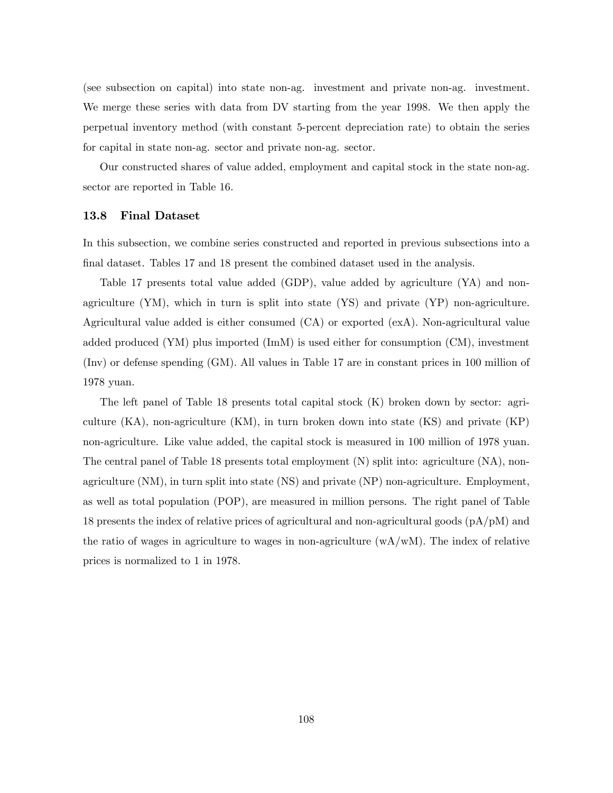(see subsection on capital) into state non-ag. investment and private non-ag. investment. We merge these series with data from DV starting from the year 1998. We then apply the perpetual inventory method (with constant 5-percent depreciation rate) to obtain the series for capital in state non-ag. sector and private non-ag. sector.

Our constructed shares of value added, employment and capital stock in the state non-ag. sector are reported in Table 16.

#### 13.8 Final Dataset

In this subsection, we combine series constructed and reported in previous subsections into a final dataset. Tables 17 and 18 present the combined dataset used in the analysis.

Table 17 presents total value added (GDP), value added by agriculture (YA) and nonagriculture (YM), which in turn is split into state (YS) and private (YP) non-agriculture. Agricultural value added is either consumed (CA) or exported (exA). Non-agricultural value added produced (YM) plus imported (ImM) is used either for consumption (CM), investment (Inv) or defense spending (GM). All values in Table 17 are in constant prices in 100 million of 1978 yuan.

The left panel of Table 18 presents total capital stock (K) broken down by sector: agriculture (KA), non-agriculture (KM), in turn broken down into state (KS) and private (KP) non-agriculture. Like value added, the capital stock is measured in 100 million of 1978 yuan. The central panel of Table 18 presents total employment (N) split into: agriculture (NA), nonagriculture (NM), in turn split into state (NS) and private (NP) non-agriculture. Employment, as well as total population (POP), are measured in million persons. The right panel of Table 18 presents the index of relative prices of agricultural and non-agricultural goods (pA/pM) and the ratio of wages in agriculture to wages in non-agriculture  $(wA/wM)$ . The index of relative prices is normalized to 1 in 1978.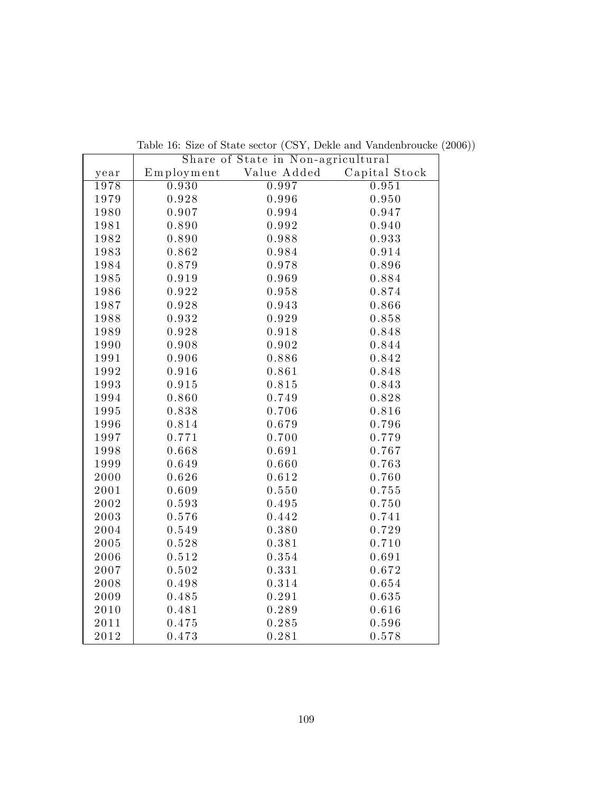|              | Share of State in Non-agricultural |             |               |  |  |  |  |  |  |
|--------------|------------------------------------|-------------|---------------|--|--|--|--|--|--|
| year         | $E$ mployment                      | Value Added | Capital Stock |  |  |  |  |  |  |
| 1978         | 0.930                              | 0.997       | 0.951         |  |  |  |  |  |  |
| 1979         | 0.928                              | 0.996       | 0.950         |  |  |  |  |  |  |
| 1980         | 0.907                              | 0.994       | 0.947         |  |  |  |  |  |  |
| 1981         | 0.890                              | 0.992       | 0.940         |  |  |  |  |  |  |
| 1982         | 0.890                              | 0.988       | 0.933         |  |  |  |  |  |  |
| 1983         | 0.862                              | 0.984       | 0.914         |  |  |  |  |  |  |
| 1984         | 0.879                              | 0.978       | 0.896         |  |  |  |  |  |  |
| 1985         | 0.919                              | 0.969       | 0.884         |  |  |  |  |  |  |
| 1986         | 0.922                              | 0.958       | 0.874         |  |  |  |  |  |  |
| 1987         | 0.928                              | 0.943       | 0.866         |  |  |  |  |  |  |
| 1988         | 0.932                              | 0.929       | 0.858         |  |  |  |  |  |  |
| 1989         | 0.928                              | 0.918       | 0.848         |  |  |  |  |  |  |
| 1990         | 0.908                              | 0.902       | 0.844         |  |  |  |  |  |  |
| 1991         | 0.906                              | 0.886       | 0.842         |  |  |  |  |  |  |
| 1992         | 0.916                              | 0.861       | 0.848         |  |  |  |  |  |  |
| 1993         | 0.915                              | 0.815       | 0.843         |  |  |  |  |  |  |
| 1994         | 0.860                              | 0.749       | 0.828         |  |  |  |  |  |  |
| 1995         | 0.838                              | 0.706       | 0.816         |  |  |  |  |  |  |
| 1996         | 0.814                              | 0.679       | 0.796         |  |  |  |  |  |  |
| 1997         | 0.771                              | 0.700       | 0.779         |  |  |  |  |  |  |
| 1998         | 0.668                              | 0.691       | 0.767         |  |  |  |  |  |  |
| 1999         | 0.649                              | 0.660       | 0.763         |  |  |  |  |  |  |
| 2000         | 0.626                              | 0.612       | 0.760         |  |  |  |  |  |  |
| 2001         | 0.609                              | 0.550       | 0.755         |  |  |  |  |  |  |
| 2002         | 0.593                              | 0.495       | 0.750         |  |  |  |  |  |  |
| 2003         | 0.576                              | 0.442       | 0.741         |  |  |  |  |  |  |
| 2004         | 0.549                              | 0.380       | 0.729         |  |  |  |  |  |  |
| 2005         | 0.528                              | 0.381       | 0.710         |  |  |  |  |  |  |
| 2006         | 0.512                              | 0.354       | 0.691         |  |  |  |  |  |  |
| 2007         | 0.502                              | 0.331       | 0.672         |  |  |  |  |  |  |
| 2008         | 0.498                              | 0.314       | 0.654         |  |  |  |  |  |  |
| 2009         | 0.485                              | 0.291       | 0.635         |  |  |  |  |  |  |
| 2010         | 0.481                              | 0.289       | 0.616         |  |  |  |  |  |  |
| 2011         | 0.475                              | 0.285       | 0.596         |  |  |  |  |  |  |
| $2\,0\,1\,2$ | 0.473                              | 0.281       | 0.578         |  |  |  |  |  |  |

Table 16: Size of State sector (CSY, Dekle and Vandenbroucke (2006))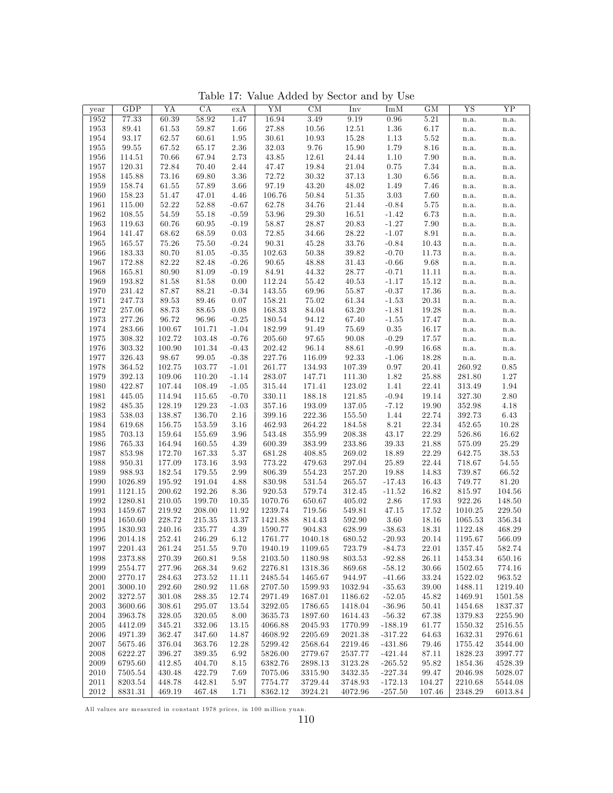Table 17: Value Added by Sector and by Use

| year | GDP        | YA        | CA        | exA                | YM         | CM             | Inv        | Im M      | GM                  | $\overline{\text{YS}}$ | $\overline{YP}$          |
|------|------------|-----------|-----------|--------------------|------------|----------------|------------|-----------|---------------------|------------------------|--------------------------|
| 1952 | 77.33      | 60.39     | 58.92     | 1.47               | 16.94      | 3.49           | 9.19       | 0.96      | 5.21                | n.a.                   | n.a.                     |
| 1953 | 89.41      | 61.53     | 59.87     | 1.66               | 27.88      | $10.56\,$      | $12.51\,$  | $1.36\,$  | $6.17\,$            | n.a.                   | $\mathbf{n}.\mathbf{a}.$ |
| 1954 | 93.17      | 62.57     | 60.61     | 1.95               | 30.61      | 10.93          | $15.28\,$  | 1.13      | 5.52                | n.a.                   | n.a.                     |
| 1955 | 99.55      | 67.52     | 65.17     | 2.36               | 32.03      | $9.76\,$       | $15.90\,$  | 1.79      | 8.16                | n.a.                   | n.a.                     |
| 1956 | 114.51     | 70.66     | 67.94     | 2.73               | 43.85      | 12.61          | $24.44\,$  | $1.10\,$  | $7.90\,$            | n.a.                   | n.a.                     |
| 1957 | 120.31     | 72.84     | 70.40     | 2.44               | 47.47      | 19.84          | $21.04\,$  | $0.75\,$  | $7.34\,$            | n.a.                   | $\mathbf{n}.\mathbf{a}.$ |
| 1958 | 145.88     | 73.16     | 69.80     | $3.36\,$           | 72.72      | $30.32\,$      | $37.13\,$  | $1.30\,$  | 6.56                | n.a.                   | $\mathbf{n}.\mathbf{a}.$ |
| 1959 | 158.74     | 61.55     | $57.89\,$ | 3.66               | 97.19      | 43.20          | $48.02\,$  | 1.49      | 7.46                | n.a.                   | n.a.                     |
| 1960 | 158.23     | 51.47     | 47.01     | 4.46               | 106.76     | 50.84          | $51.35\,$  | 3.03      | 7.60                | n.a.                   | n.a.                     |
| 1961 | 115.00     | $52.22\,$ | 52.88     | $-0.67$            | 62.78      | 34.76          | $21.44\,$  | $-0.84$   | $5.75\,$            | n.a.                   | n.a.                     |
| 1962 | 108.55     | 54.59     | 55.18     | $-0.59$            | $53.96\,$  | 29.30          | $16.51\,$  | $-1.42$   | $6.73\,$            | n.a.                   | n.a.                     |
| 1963 | 119.63     | 60.76     | 60.95     | $-0.19$            | 58.87      | $28.87\,$      | $20.83\,$  | $-1.27$   | $7.90\,$            | n.a.                   | $\mathbf{n}.\mathbf{a}.$ |
| 1964 | 141.47     | 68.62     | 68.59     | 0.03               | $72.85\,$  | 34.66          | $28.22\,$  | $-1.07$   | $8.91\,$            | n.a.                   | n.a.                     |
| 1965 | 165.57     | 75.26     | 75.50     |                    | 90.31      |                | $33.76\,$  | $-0.84$   | 10.43               |                        |                          |
|      | 183.33     | 80.70     | 81.05     | $-0.24$<br>$-0.35$ | 102.63     | 45.28<br>50.38 | $39.82\,$  | $-0.70$   | 11.73               | n.a.                   | n.a.                     |
| 1966 |            |           |           |                    |            |                |            |           |                     | n.a.                   | n.a.                     |
| 1967 | 172.88     | 82.22     | 82.48     | $-0.26$            | 90.65      | 48.88          | $31.43\,$  | $-0.66$   | $\boldsymbol{9.68}$ | n.a.                   | n.a.                     |
| 1968 | 165.81     | 80.90     | 81.09     | $-0.19$            | 84.91      | $\bf 44.32$    | $28.77\,$  | $-0.71$   | 11.11               | n.a.                   | n.a.                     |
| 1969 | 193.82     | 81.58     | 81.58     | 0.00               | 112.24     | 55.42          | $40.53\,$  | $-1.17$   | 15.12               | n.a.                   | n.a.                     |
| 1970 | 231.42     | 87.87     | 88.21     | $-0.34$            | $143.55\,$ | 69.96          | $55.87\,$  | $-0.37$   | 17.36               | n.a.                   | $\mathbf{n}.\mathbf{a}.$ |
| 1971 | 247.73     | 89.53     | 89.46     | 0.07               | 158.21     | 75.02          | $61.34\,$  | $-1.53$   | 20.31               | n.a.                   | n.a.                     |
| 1972 | 257.06     | 88.73     | 88.65     | 0.08               | 168.33     | 84.04          | $63.20\,$  | $-1.81$   | 19.28               | n.a.                   | n.a.                     |
| 1973 | 277.26     | 96.72     | 96.96     | $-0.25$            | 180.54     | 94.12          | 67.40      | $-1.55$   | 17.47               | n.a.                   | n.a.                     |
| 1974 | 283.66     | 100.67    | 101.71    | $-1.04$            | 182.99     | 91.49          | $75.69\,$  | $0.35\,$  | 16.17               | n.a.                   | n.a.                     |
| 1975 | 308.32     | 102.72    | 103.48    | $-0.76$            | $205.60\,$ | $\bf{97.65}$   | $90.08\,$  | $-0.29$   | $17.57\,$           | n.a.                   | $\mathbf{n}.\mathbf{a}.$ |
| 1976 | 303.32     | 100.90    | 101.34    | $-0.43$            | 202.42     | 96.14          | $88.61\,$  | $-0.99$   | 16.68               | n.a.                   | $\mathbf{n}.\mathbf{a}.$ |
| 1977 | 326.43     | 98.67     | 99.05     | $-0.38$            | 227.76     | 116.09         | $92.33\,$  | $-1.06$   | 18.28               | n.a.                   | $\mathbf{n}.\mathbf{a}.$ |
| 1978 | 364.52     | 102.75    | 103.77    | $-1.01$            | 261.77     | 134.93         | 107.39     | 0.97      | $20.41\,$           | 260.92                 | $\rm 0.85$               |
| 1979 | $392.13\,$ | 109.06    | 110.20    | $-1.14$            | 283.07     | 147.71         | 111.30     | $1.82\,$  | $25.88\,$           | 281.80                 | $1.27\,$                 |
| 1980 | 422.87     | 107.44    | 108.49    | $-1.05$            | $315.44\,$ | 171.41         | 123.02     | $1.41\,$  | 22.41               | 313.49                 | $1.94\,$                 |
| 1981 | 445.05     | 114.94    | 115.65    | $-0.70$            | 330.11     | 188.18         | 121.85     | $-0.94$   | 19.14               | 327.30                 | $2.80\,$                 |
| 1982 | 485.35     | 128.19    | 129.23    | $-1.03$            | 357.16     | 193.09         | 137.05     | $-7.12$   | 19.90               | 352.98                 | $4.18\,$                 |
| 1983 | 538.03     | 138.87    | 136.70    | 2.16               | 399.16     | 222.36         | 155.50     | 1.44      | 22.74               | 392.73                 | $6.43\,$                 |
| 1984 | 619.68     | 156.75    | 153.59    | 3.16               | 462.93     | 264.22         | 184.58     | $8.21\,$  | $22.34\,$           | $452.65\,$             | $10.28\,$                |
| 1985 | 703.13     | 159.64    | 155.69    | 3.96               | 543.48     | 355.99         | $208.38\,$ | 43.17     | 22.29               | 526.86                 | $16.62\,$                |
| 1986 | $765.33\,$ | 164.94    | 160.55    | 4.39               | 600.39     | $383.99\,$     | $233.86\,$ | $39.33\,$ | $21.88\,$           | 575.09                 | $25.29\,$                |
| 1987 | 853.98     | 172.70    | 167.33    | $5.37\,$           | 681.28     | 408.85         | 269.02     | 18.89     | 22.29               | 642.75                 | $38.53\,$                |
| 1988 | 950.31     | 177.09    | 173.16    | 3.93               | 773.22     | 479.63         | 297.04     | 25.89     | 22.44               | 718.67                 | 54.55                    |
| 1989 | 988.93     | 182.54    | 179.55    | 2.99               | 806.39     | $554.23\,$     | 257.20     | 19.88     | 14.83               | 739.87                 | 66.52                    |
| 1990 | 1026.89    | 195.92    | 191.04    | 4.88               | 830.98     | 531.54         | 265.57     | $-17.43$  | 16.43               | 749.77                 | $81.20\,$                |
| 1991 | 1121.15    | 200.62    | 192.26    | 8.36               | $920.53\,$ | 579.74         | $312.45\,$ | $-11.52$  | 16.82               | $815.97\,$             | $104.56\,$               |
| 1992 | 1280.81    | 210.05    | 199.70    | 10.35              | 1070.76    | 650.67         | 405.02     | $2.86\,$  | 17.93               | 922.26                 | 148.50                   |
| 1993 | 1459.67    | 219.92    | 208.00    | 11.92              | 1239.74    | 719.56         | 549.81     | 47.15     | 17.52               | 1010.25                | 229.50                   |
| 1994 | 1650.60    | 228.72    | 215.35    | 13.37              | 1421.88    | 814.43         | $592.90\,$ | 3.60      | 18.16               | 1065.53                | $356.34\,$               |
| 1995 | 1830.93    | 240.16    | 235.77    | 4.39               | 1590.77    | 904.83         | 628.99     | $-38.63$  | 18.31               | 1122.48                | $\rm 468.29$             |
| 1996 | 2014.18    | 252.41    | 246.29    | 6.12               | 1761.77    | 1040.18        | 680.52     | $-20.93$  | $20.14\,$           | 1195.67                | 566.09                   |
| 1997 | 2201.43    | 261.24    | 251.55    | 9.70               | 1940.19    | 1109.65        | 723.79     | $-84.73$  | 22.01               | 1357.45                | 582.74                   |
| 1998 | 2373.88    | 270.39    | 260.81    | 9.58               | 2103.50    | 1180.98        | 803.53     | $-92.88$  | 26.11               | 1453.34                | 650.16                   |
| 1999 | 2554.77    | 277.96    | 268.34    | 9.62               | 2276.81    | 1318.36        | 869.68     | $-58.12$  | 30.66               | 1502.65                | 774.16                   |
| 2000 | 2770.17    | 284.63    | 273.52    | 11.11              | 2485.54    | 1465.67        | 944.97     | $-41.66$  | 33.24               | 1522.02                | 963.52                   |
| 2001 | 3000.10    | 292.60    | 280.92    | 11.68              | 2707.50    | 1599.93        | 1032.94    | $-35.63$  | 39.00               | 1488.11                | 1219.40                  |
| 2002 | 3272.57    | 301.08    | 288.35    | 12.74              | 2971.49    | 1687.01        | 1186.62    | $-52.05$  | 45.82               | 1469.91                | 1501.58                  |
| 2003 | 3600.66    | 308.61    | 295.07    | 13.54              | 3292.05    | 1786.65        | 1418.04    | $-36.96$  | 50.41               | 1454.68                | 1837.37                  |
| 2004 | 3963.78    | 328.05    | 320.05    | 8.00               | 3635.73    | 1897.60        | 1614.43    | $-56.32$  | 67.38               | 1379.83                | 2255.90                  |
| 2005 | 4412.09    | 345.21    | 332.06    | 13.15              | 4066.88    | 2045.93        | 1770.99    | $-188.19$ | 61.77               | 1550.32                | 2516.55                  |
| 2006 | 4971.39    | 362.47    | 347.60    | 14.87              | 4608.92    | 2205.69        | 2021.38    | $-317.22$ | 64.63               | 1632.31                | 2976.61                  |
| 2007 | 5675.46    | 376.04    | 363.76    | 12.28              | 5299.42    | 2568.64        | 2219.46    | $-431.86$ | 79.46               | 1755.42                | 3544.00                  |
| 2008 | 6222.27    | 396.27    | 389.35    | 6.92               | 5826.00    | 2779.67        | 2537.77    | $-421.44$ | 87.11               | 1828.23                | 3997.77                  |
| 2009 | 6795.60    | 412.85    | 404.70    | 8.15               | 6382.76    | 2898.13        | 3123.28    | $-265.52$ | 95.82               | 1854.36                | 4528.39                  |
| 2010 | 7505.54    | 430.48    | 422.79    | 7.69               | 7075.06    | 3315.90        | 3432.35    | $-227.34$ | 99.47               | 2046.98                | 5028.07                  |
| 2011 | 8203.54    | 448.78    | 442.81    | 5.97               | 7754.77    | 3729.44        | 3748.93    | $-172.13$ | 104.27              | 2210.68                | 5544.08                  |
| 2012 | 8831.31    | 469.19    | 467.48    | 1.71               | 8362.12    | 3924.21        | 4072.96    | $-257.50$ | 107.46              | 2348.29                | 6013.84                  |

All values are measured in constant 1978 prices, in 100 million yuan.